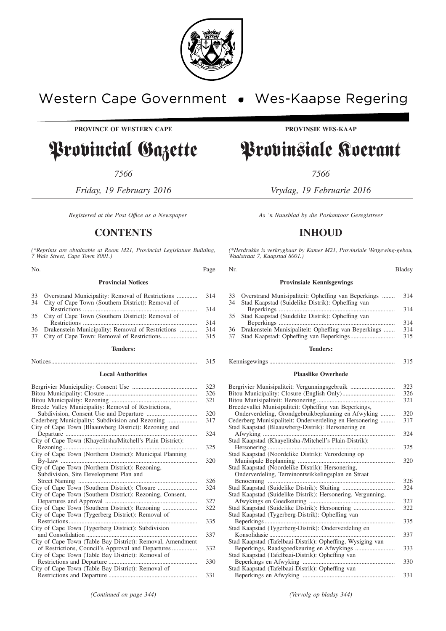

# Western Cape Government . Wes-Kaapse Regering

**PROVINCE OF WESTERN CAPE PROVINSIE WES-KAAP**

# Provincial Gazette Provinsiale Koerant

*7566 7566*

*Friday, 19 February 2016 Vrydag, 19 Februarie 2016*

*Registered at the Post Office as a Newspaper* As 'n Nuusblad by die Poskantoor Geregistreer

## **CONTENTS INHOUD**

*(\*Reprints are obtainable at Room M21, Provincial Legislature Building, 7 Wale Street, Cape Town 8001.)*

| N <sub>0</sub> | Page                                                |  | Nr.                                                 |  |
|----------------|-----------------------------------------------------|--|-----------------------------------------------------|--|
|                | <b>Provincial Notices</b>                           |  | <b>Provinsiale Kennisgewings</b>                    |  |
|                | 33 Overstrand Municipality: Removal of Restrictions |  | Overstrand Municipaliteit: Opheffing van Reperkings |  |

|    |                                                      | -21-1 |
|----|------------------------------------------------------|-------|
|    | 34 City of Cape Town (Southern District): Removal of |       |
|    |                                                      | 314   |
|    | 35 City of Cape Town (Southern District): Removal of |       |
|    |                                                      | 314   |
|    | 36 Drakenstein Municipality: Removal of Restrictions | 314   |
| 37 |                                                      | 315   |

#### **Tenders:**

### Notices............................................................................................ 315

#### **Local Authorities**

|                                                            | 323 |
|------------------------------------------------------------|-----|
|                                                            | 326 |
|                                                            | 321 |
| Breede Valley Municipality: Removal of Restrictions,       |     |
|                                                            | 320 |
| Cederberg Municipality: Subdivision and Rezoning           | 317 |
| City of Cape Town (Blaauwberg District): Rezoning and      |     |
|                                                            | 324 |
| City of Cape Town (Khayelitsha/Mitchell's Plain District): |     |
|                                                            | 325 |
| City of Cape Town (Northern District): Municipal Planning  |     |
|                                                            | 320 |
|                                                            |     |
| Subdivision, Site Development Plan and                     |     |
|                                                            | 326 |
| City of Cape Town (Southern District): Closure             | 324 |
| City of Cape Town (Southern District): Rezoning, Consent,  |     |
|                                                            | 327 |
|                                                            | 322 |
| City of Cape Town (Tygerberg District): Removal of         |     |
| Restrictions<br>.                                          | 335 |
| City of Cape Town (Tygerberg District): Subdivision        |     |
|                                                            | 337 |
| City of Cape Town (Table Bay District): Removal, Amendment |     |
|                                                            | 332 |
| City of Cape Town (Table Bay District): Removal of         |     |
|                                                            | 330 |
| City of Cape Town (Table Bay District): Removal of         |     |
|                                                            | 331 |
|                                                            |     |

*(\*Herdrukke is verkrygbaar by Kamer M21, Provinsiale Wetgewing-gebou, Waalstraat 7, Kaapstad 8001.)*

|  | <b>Blads</b> |
|--|--------------|
|  |              |

#### **Provinsiale Kennisgewings**

| 33 | Overstrand Munisipaliteit: Opheffing van Beperkings     | 314 |
|----|---------------------------------------------------------|-----|
| 34 | Stad Kaapstad (Suidelike Distrik): Opheffing van        |     |
|    |                                                         | 314 |
|    | 35 Stad Kaapstad (Suidelike Distrik): Opheffing van     |     |
|    |                                                         | 314 |
|    | 36 Drakenstein Munisipaliteit: Opheffing van Beperkings | 314 |
| 37 |                                                         | 315 |
|    |                                                         |     |

#### **Tenders:**

#### Kennisgewings ............................................................................... 315

#### **Plaaslike Owerhede**

| Bergrivier Munisipaliteit: Vergunningsgebruik               | 323 |
|-------------------------------------------------------------|-----|
|                                                             | 326 |
|                                                             | 321 |
| Breedevallei Munisipaliteit: Opheffing van Beperkings,      |     |
| Onderverdeling, Grondgebruikbeplanning en Afwyking          | 320 |
| Cederberg Munisipaliteit: Onderverdeling en Hersonering     | 317 |
| Stad Kaapstad (Blaauwberg-Distrik): Hersonering en          |     |
|                                                             | 324 |
| Stad Kaapstad (Khayelitsha-/Mitchell's Plain-Distrik):      |     |
|                                                             | 325 |
| Stad Kaapstad (Noordelike Distrik): Verordening op          |     |
|                                                             | 320 |
| Stad Kaapstad (Noordelike Distrik): Hersonering,            |     |
| Onderverdeling, Terreinontwikkelingsplan en Straat          |     |
|                                                             | 326 |
|                                                             | 324 |
| Stad Kaapstad (Suidelike Distrik): Hersonering, Vergunning, |     |
|                                                             | 327 |
| Stad Kaapstad (Suidelike Distrik): Hersonering              | 322 |
| Stad Kaapstad (Tygerberg-Distrik): Opheffing van            |     |
|                                                             | 335 |
| Stad Kaapstad (Tygerberg-Distrik): Onderverdeling en        |     |
|                                                             | 337 |
| Stad Kaapstad (Tafelbaai-Distrik): Opheffing, Wysiging van  |     |
|                                                             | 333 |
| Stad Kaapstad (Tafelbaai-Distrik): Opheffing van            |     |
|                                                             | 330 |
| Stad Kaapstad (Tafelbaai-Distrik): Opheffing van            |     |
|                                                             | 331 |

*(Continued on page 344) (Vervolg op bladsy 344)*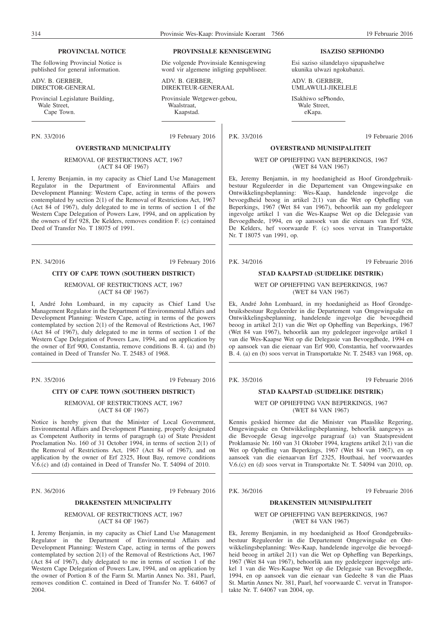**ISAZISO SEPHONDO**

Esi saziso silandelayo sipapashelwe ukunika ulwazi ngokubanzi.

#### **PROVINCIAL NOTICE**

The following Provincial Notice is published for general information.

ADV. B. GERBER, DIRECTOR-GENERAL

Provincial Legislature Building, Wale Street. Cape Town.

#### **OVERSTRAND MUNICIPALITY**

#### REMOVAL OF RESTRICTIONS ACT, 1967 (ACT 84 OF 1967)

I, Jeremy Benjamin, in my capacity as Chief Land Use Management Regulator in the Department of Environmental Affairs and Development Planning: Western Cape, acting in terms of the powers contemplated by section 2(1) of the Removal of Restrictions Act, 1967 (Act 84 of 1967), duly delegated to me in terms of section 1 of the Western Cape Delegation of Powers Law, 1994, and on application by the owners of Erf 928, De Kelders, removes condition F. (c) contained Deed of Transfer No. T 18075 of 1991.

P.N. 34/2016 19 February 2016

#### **CITY OF CAPE TOWN (SOUTHERN DISTRICT)**

#### REMOVAL OF RESTRICTIONS ACT, 1967 (ACT 84 OF 1967)

I, André John Lombaard, in my capacity as Chief Land Use Management Regulator in the Department of Environmental Affairs and Development Planning: Western Cape, acting in terms of the powers contemplated by section 2(1) of the Removal of Restrictions Act, 1967 (Act 84 of 1967), duly delegated to me in terms of section 1 of the Western Cape Delegation of Powers Law, 1994, and on application by the owner of Erf 900, Constantia, remove conditions B. 4. (a) and (b) contained in Deed of Transfer No. T. 25483 of 1968.

P.N. 35/2016 19 February 2016

#### **CITY OF CAPE TOWN (SOUTHERN DISTRICT)**

REMOVAL OF RESTRICTIONS ACT, 1967 (ACT 84 OF 1967)

Notice is hereby given that the Minister of Local Government, Environmental Affairs and Development Planning, properly designated as Competent Authority in terms of paragraph (a) of State President Proclamation No. 160 of 31 October 1994, in terms of section 2(1) of the Removal of Restrictions Act, 1967 (Act 84 of 1967), and on application by the owner of Erf 2325, Hout Bay, remove conditions V.6.(c) and (d) contained in Deed of Transfer No. T. 54094 of 2010.

P.N. 36/2016 19 February 2016

#### **DRAKENSTEIN MUNICIPALITY**

REMOVAL OF RESTRICTIONS ACT, 1967 (ACT 84 OF 1967)

I, Jeremy Benjamin, in my capacity as Chief Land Use Management Regulator in the Department of Environmental Affairs and Development Planning: Western Cape, acting in terms of the powers contemplated by section 2(1) of the Removal of Restrictions Act, 1967 (Act 84 of 1967), duly delegated to me in terms of section 1 of the Western Cape Delegation of Powers Law, 1994, and on application by the owner of Portion 8 of the Farm St. Martin Annex No. 381, Paarl, removes condition C. contained in Deed of Transfer No. T. 64067 of 2004.

#### **PROVINSIALE KENNISGEWING**

Die volgende Provinsiale Kennisgewing word vir algemene inligting gepubliseer.

ADV. B. GERBER, DIREKTEUR-GENERAAL

Provinsiale Wetgewer-gebou, Waalstraat, Kaapstad.

P.N. 33/2016 19 February 2016

#### **OVERSTRAND MUNISIPALITEIT**

ADV. B. GERBER UMLAWULI-JIKELELE ISakhiwo sePhondo, Wale Street, eKapa.

WET OP OPHEFFING VAN BEPERKINGS, 1967 (WET 84 VAN 1967)

Ek, Jeremy Benjamin, in my hoedanigheid as Hoof Grondgebruikbestuur Reguleerder in die Departement van Omgewingsake en Ontwikkelingsbeplanning: Wes-Kaap, handelende ingevolge die bevoegdheid beoog in artikel 2(1) van die Wet op Opheffing van Beperkings, 1967 (Wet 84 van 1967), behoorlik aan my gedelegeer ingevolge artikel 1 van die Wes-Kaapse Wet op die Delegasie van Bevoegdhede, 1994, en op aansoek van die eienaars van Erf 928, De Kelders, hef voorwaarde F. (c) soos vervat in Transportakte Nr. T 18075 van 1991, op.

P.K. 34/2016 19 Februarie 2016

# **STAD KAAPSTAD (SUIDELIKE DISTRIK)**

WET OP OPHEFFING VAN BEPERKINGS, 1967 (WET 84 VAN 1967)

Ek, André John Lombaard, in my hoedanigheid as Hoof Grondgebruiksbestuur Reguleerder in die Departement van Omgewingsake en Ontwikkelingsbeplanning, handelende ingevolge die bevoegdheid beoog in artikel 2(1) van die Wet op Opheffing van Beperkings, 1967 (Wet 84 van 1967), behoorlik aan my gedelegeer ingevolge artikel 1 van die Wes-Kaapse Wet op die Delegasie van Bevoegdhede, 1994 en op aansoek van die eienaar van Erf 900, Constantia, hef voorwaardes B. 4. (a) en (b) soos vervat in Transportakte Nr. T. 25483 van 1968, op.

P.K. 35/2016 19 Februarie 2016

#### **STAD KAAPSTAD (SUIDELIKE DISTRIK)**

WET OP OPHEFFING VAN BEPERKINGS, 1967 (WET 84 VAN 1967)

Kennis geskied hiermee dat die Minister van Plaaslike Regering, Omgewingsake en Ontwikkelingsbeplanning, behoorlik aangewys as die Bevoegde Gesag ingevolge paragraaf (a) van Staatspresident Proklamasie Nr. 160 van 31 Oktober 1994, kragtens artikel 2(1) van die Wet op Opheffing van Beperkings, 1967 (Wet 84 van 1967), en op aansoek van die eienaarvan Erf 2325, Houtbaai, hef voorwaardes V.6.(c) en (d) soos vervat in Transportakte Nr. T. 54094 van 2010, op.

P.K. 36/2016 19 Februarie 2016

#### **DRAKENSTEIN MUNISIPALITEIT**

WET OP OPHEFFING VAN BEPERKINGS, 1967 (WET 84 VAN 1967)

Ek, Jeremy Benjamin, in my hoedanigheid as Hoof Grondgebruiksbestuur Reguleerder in die Departement Omgewingsake en Ontwikkelingsbeplanning: Wes-Kaap, handelende ingevolge die bevoegdheid beoog in artikel 2(1) van die Wet op Opheffing van Beperkings, 1967 (Wet 84 van 1967), behoorlik aan my gedelegeer ingevolge artikel 1 van die Wes-Kaapse Wet op die Delegasie van Bevoegdhede, 1994, en op aansoek van die eienaar van Gedeelte 8 van die Plaas St. Martin Annex Nr. 381, Paarl, hef voorwaarde C. vervat in Transportakte Nr. T. 64067 van 2004, op.

P.K. 33/2016 19 Februarie 2016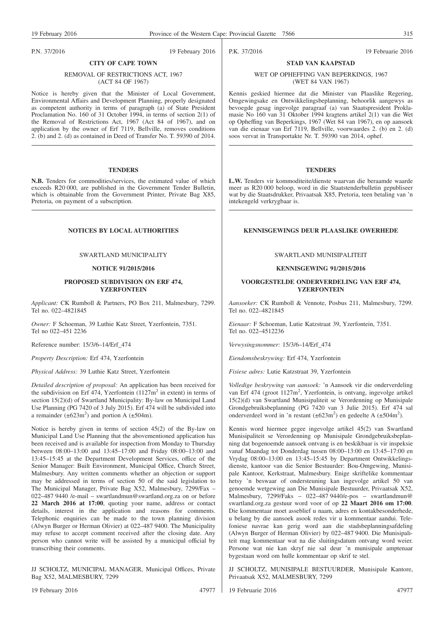#### P.N. 37/2016 19 February 2016

P.K. 37/2016 19 Februarie 2016

#### WET OP OPHEFFING VAN BEPERKINGS, 1967 (WET 84 VAN 1967)

**STAD VAN KAAPSTAD**

Kennis geskied hiermee dat die Minister van Plaaslike Regering, Omgewingsake en Ontwikkelingsbeplanning, behoorlik aangewys as bevoegde gesag ingevolge paragraaf (a) van Staatspresident Proklamasie No 160 van 31 Oktober 1994 kragtens artikel 2(1) van die Wet op Opheffing van Beperkings, 1967 (Wet 84 van 1967), en op aansoek van die eienaar van Erf 7119, Bellville, voorwaardes 2. (b) en 2. (d) soos vervat in Transportakte Nr. T. 59390 van 2014, ophef.

#### **TENDERS**

**L.W.** Tenders vir kommoditeite/dienste waarvan die beraamde waarde meer as R20 000 beloop, word in die Staatstenderbulletin gepubliseer wat by die Staatsdrukker, Privaatsak X85, Pretoria, teen betaling van 'n intekengeld verkrygbaar is.

#### **NOTICES BY LOCAL AUTHORITIES KENNISGEWINGS DEUR PLAASLIKE OWERHEDE**

#### SWARTLAND MUNISIPALITEIT

#### **KENNISGEWING 91/2015/2016**

#### **VOORGESTELDE ONDERVERDELING VAN ERF 474, YZERFONTEIN**

*Aansoeker:* CK Rumboll & Vennote, Posbus 211, Malmesbury, 7299. Tel no. 022–4821845

*Eienaar:* F Schoeman, Lutie Katzstraat 39, Yzerfontein, 7351. Tel no. 022–4512236

*Verwysingsnommer:* 15/3/6–14/Erf\_474

*Eiendomsbeskrywing:* Erf 474, Yzerfontein

*Fisiese adres:* Lutie Katzstraat 39, Yzerfontein

*Volledige beskrywing van aansoek:* 'n Aansoek vir die onderverdeling van Erf 474 (groot 1127m<sup>2</sup>, Yzerfontein, is ontvang, ingevolge artikel 15(2)(d) van Swartland Munisipaliteit se Verordenning op Munisipale Grondgebruiksbeplanning (PG 7420 van 3 Julie 2015). Erf 474 sal onderverdeel word in 'n restant  $(\pm 623 \text{m}^2)$  en gedeelte A  $(\pm 504 \text{m}^2)$ .

Kennis word hiermee gegee ingevolge artikel 45(2) van Swartland Munisipaliteit se Verordenning op Munisipale Grondgebruiksbeplanning dat bogenoemde aansoek ontvang is en beskikbaar is vir inspeksie vanaf Maandag tot Donderdag tussen 08:00–13:00 en 13:45–17:00 en Vrydag 08:00–13:00 en 13:45–15:45 by Department Ontwikkelingsdienste, kantoor van die Senior Bestuurder: Bou-Omgewing, Munisipale Kantoor, Kerkstraat, Malmesbury. Enige skriftelike kommentaar hetsy 'n beswaar of ondersteuning kan ingevolge artikel 50 van genoemde wetgewing aan Die Munisipale Bestuurder, Privaatsak X52, Malmesbury, 7299/Faks – 022–487 9440/e-pos – swartlandmun@ swartland.org.za gestuur word voor of op **22 Maart 2016 om 17:00**. Die kommentaar moet asseblief u naam, adres en kontakbesonderhede, u belang by die aansoek asook redes vir u kommentaar aandui. Telefoniese navrae kan gerig word aan die stadsbeplanningsafdeling (Alwyn Burger of Herman Olivier) by 022–487 9400. Die Munisipaliteit mag kommentaar wat na die sluitingsdatum ontvang word weier. Persone wat nie kan skryf nie sal deur 'n munisipale amptenaar bygestaan word om hulle kommentaar op skrif te stel.

JJ SCHOLTZ, MUNISIPALE BESTUURDER, Munisipale Kantore, Privaatsak X52, MALMESBURY, 7299

19 Februarie 2016 47977

#### REMOVAL OF RESTRICTIONS ACT, 1967 (ACT 84 OF 1967)

**CITY OF CAPE TOWN**

Notice is hereby given that the Minister of Local Government, Environmental Affairs and Development Planning, properly designated as competent authority in terms of paragraph  $\alpha$ ) of State President Proclamation No. 160 of 31 October 1994, in terms of section 2(1) of the Removal of Restrictions Act, 1967 (Act 84 of 1967), and on application by the owner of Erf 7119, Bellville, removes conditions 2. (b) and 2. (d) as contained in Deed of Transfer No. T. 59390 of 2014.

#### **TENDERS**

**N.B.** Tenders for commodities/services, the estimated value of which exceeds R20 000, are published in the Government Tender Bulletin, which is obtainable from the Government Printer, Private Bag X85, Pretoria, on payment of a subscription.

#### SWARTLAND MUNICIPALITY

#### **NOTICE 91/2015/2016**

#### **PROPOSED SUBDIVISION ON ERF 474, YZERFONTEIN**

*Applicant:* CK Rumboll & Partners, PO Box 211, Malmesbury, 7299. Tel no. 022–4821845

*Owner:* F Schoeman, 39 Luthie Katz Street, Yzerfontein, 7351. Tel no 022–451 2236

Reference number: 15/3/6–14/Erf\_474

*Property Description:* Erf 474, Yzerfontein

*Physical Address:* 39 Luthie Katz Street, Yzerfontein

*Detailed description of proposal:* An application has been received for the subdivision on Erf 474, Yzerfontein  $(1127m^2$  in extent) in terms of section 15(2)(d) of Swartland Municipality: By-law on Municipal Land Use Planning (PG 7420 of 3 July 2015). Erf 474 will be subdivided into a remainder  $(\pm 623 \text{m}^2)$  and portion A  $(\pm 504 \text{m})$ .

Notice is hereby given in terms of section 45(2) of the By-law on Municipal Land Use Planning that the abovementioned application has been received and is available for inspection from Monday to Thursday between 08:00–13:00 and 13:45–17:00 and Friday 08:00–13:00 and 13:45–15:45 at the Department Development Services, office of the Senior Manager: Built Environment, Municipal Office, Church Street, Malmesbury. Any written comments whether an objection or support may be addressed in terms of section 50 of the said legislation to The Municipal Manager, Private Bag X52, Malmesbury, 7299/Fax – 022–487 9440 /e-mail – swartlandmun@swartland.org.za on or before **22 March 2016 at 17:00**, quoting your name, address or contact details, interest in the application and reasons for comments. Telephonic enquiries can be made to the town planning division (Alwyn Burger or Herman Olivier) at 022–487 9400. The Municipality may refuse to accept comment received after the closing date. Any person who cannot write will be assisted by a municipal official by transcribing their comments.

JJ SCHOLTZ, MUNICIPAL MANAGER, Municipal Offices, Private Bag X52, MALMESBURY, 7299

19 February 2016 47977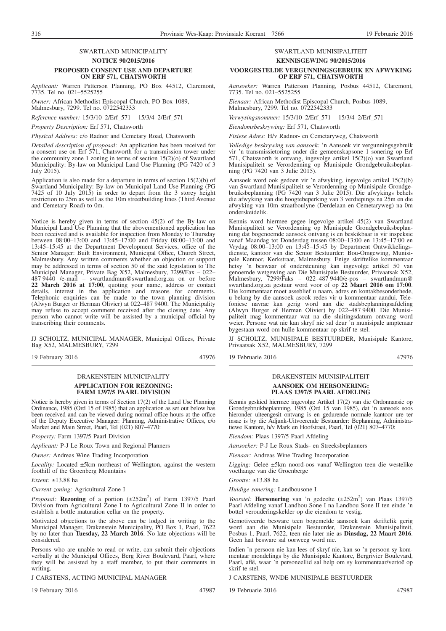*Applicant:* Warren Patterson Planning, PO Box 44512, Claremont, 7735. Tel no. 021–5525255

*Owner:* African Methodist Episcopal Church, PO Box 1089, Malmesbury, 7299. Tel no. 0722542333

*Reference number:* 15/3/10–2/Erf\_571 – 15/3/4–2/Erf\_571

*Property Description:* Erf 571, Chatsworth

*Physical Address:* c/o Radnor and Cemetary Road, Chatsworth

*Detailed description of proposal:* An application has been received for a consent use on Erf 571, Chatsworth for a transmission tower under the community zone 1 zoning in terms of section 15(2)(o) of Swartland Municipality: By-law on Municipal Land Use Planning (PG 7420 of 3 July 2015).

Application is also made for a departure in terms of section 15(2)(b) of Swartland Municipality: By-law on Municipal Land Use Planning (PG 7425 of 10 July 2015) in order to depart from the 3 storey height restriction to 25m as well as the 10m streetbuilding lines (Third Avenue and Cemetary Road) to 0m.

Notice is hereby given in terms of section 45(2) of the By-law on Municipal Land Use Planning that the abovementioned application has been received and is available for inspection from Monday to Thursday between 08:00–13:00 and 13:45–17:00 and Friday 08:00–13:00 and 13:45–15:45 at the Department Development Services, office of the Senior Manager: Built Environment, Municipal Office, Church Street, Malmesbury. Any written comments whether an objection or support may be addressed in terms of section 50 of the said legislation to The Municipal Manager, Private Bag X52, Malmesbury, 7299/Fax – 022– 487 9440 /e-mail – swartlandmun@swartland.org.za on or before **22 March 2016 at 17:00**, quoting your name, address or contact details, interest in the application and reasons for comments. Telephonic enquiries can be made to the town planning division (Alwyn Burger or Herman Olivier) at 022–487 9400. The Municipality may refuse to accept comment received after the closing date. Any person who cannot write will be assisted by a municipal official by transcribing their comments.

JJ SCHOLTZ, MUNICIPAL MANAGER, Municipal Offices, Private Bag X52, MALMESBURY, 7299

19 February 2016 47976

#### DRAKENSTEIN MUNICIPALITY **APPLICATION FOR REZONING: FARM 1397/5 PAARL DIVISION**

Notice is hereby given in terms of Section 17(2) of the Land Use Planning Ordinance, 1985 (Ord 15 of 1985) that an application as set out below has been received and can be viewed during normal office hours at the office of the Deputy Executive Manager: Planning, Administrative Offices, c/o Market and Main Street, Paarl, Tel (021) 807–4770:

*Property:* Farm 1397/5 Paarl Division

*Applicant:* P-J Le Roux Town and Regional Planners

*Owner:* Andreas Wine Trading Incorporation

*Locality:* Located ±5km northeast of Wellington, against the western foothill of the Groenberg Mountains

*Extent:* ±13.88 ha

*Current zoning:* Agricultural Zone I

*Proposal:* **Rezoning** of a portion  $(\pm 252 \text{m}^2)$  of Farm 1397/5 Paarl Division from Agricultural Zone I to Agricultural Zone II in order to establish a bottle maturation cellar on the property.

Motivated objections to the above can be lodged in writing to the Municipal Manager, Drakenstein Municipality, PO Box 1, Paarl, 7622 by no later than **Tuesday, 22 March 2016**. No late objections will be considered.

Persons who are unable to read or write, can submit their objections verbally at the Municipal Offices, Berg River Boulevard, Paarl, where they will be assisted by a staff member, to put their comments in writing.

J CARSTENS, ACTING MUNICIPAL MANAGER

19 February 2016 47987

## SWARTLAND MUNISIPALITEIT

### **KENNISGEWING 90/2015/2016**

#### **VOORGESTELDE VERGUNNINGSGEBRUIK EN AFWYKING OP ERF 571, CHATSWORTH**

*Aansoeker:* Warren Patterson Planning, Posbus 44512, Claremont, 7735. Tel no. 021–5525255

*Eienaar:* African Methodist Episcopal Church, Posbus 1089, Malmesbury, 7299. Tel no. 0722542333

*Verwysingsnommer:* 15/3/10–2/Erf\_571 – 15/3/4–2/Erf\_571

*Eiendomsbeskrywing:* Erf 571, Chatsworth

*Fisiese Adres:* H/v Radnor- en Cemetaryweg, Chatsworth

*Volledige beskrywing van aansoek:* 'n Aansoek vir vergunningsgebruik vir 'n transmissietoring onder die gemeenskapsone 1 sonering op Erf 571, Chatsworth is ontvang, ingevolge artikel 15(2)(o) van Swartland Munisipaliteit se Verordenning op Munisipale Grondgebruiksbeplanning (PG 7420 van 3 Julie 2015).

Aansoek word ook gedoen vir 'n afwyking, ingevolge artikel 15(2)(b) van Swartland Munisipaliteit se Verordenning op Munisipale Grondgebruiksbeplanning (PG 7420 van 3 Julie 2015). Die afwykings behels die afwyking van die hoogtebeperking van 3 verdiepings na 25m en die afwyking van 10m straatboulyne (Derdelaan en Cemetaryweg) na 0m onderskeidelik.

Kennis word hiermee gegee ingevolge artikel 45(2) van Swartland Munisipaliteit se Verordenning op Munisipale Grondgebruiksbeplanning dat bogenoemde aansoek ontvang is en beskikbaar is vir inspeksie vanaf Maandag tot Donderdag tussen 08:00–13:00 en 13:45–17:00 en Vrydag 08:00–13:00 en 13:45–15:45 by Department Ontwikkelingsdienste, kantoor van die Senior Bestuurder: Bou-Omgewing, Munisipale Kantoor, Kerkstraat, Malmesbury. Enige skriftelike kommentaar hetsy 'n beswaar of ondersteuning kan ingevolge artikel 50 van genoemde wetgewing aan Die Munisipale Bestuurder, Privaatsak X52, Malmesbury, 7299/Faks – 022–487 9440/e-pos – swartlandmun@ swartland.org.za gestuur word voor of op **22 Maart 2016 om 17:00**. Die kommentaar moet asseblief u naam, adres en kontakbesonderhede, u belang by die aansoek asook redes vir u kommentaar aandui. Telefoniese navrae kan gerig word aan die stadsbeplanningsafdeling (Alwyn Burger of Herman Olivier) by 022–487 9400. Die Munisipaliteit mag kommentaar wat na die sluitingsdatum ontvang word weier. Persone wat nie kan skryf nie sal deur 'n munisipale amptenaar bygestaan word om hulle kommentaar op skrif te stel.

JJ SCHOLTZ, MUNISIPALE BESTUURDER, Munisipale Kantore, Privaatsak X52, MALMESBURY, 7299

19 Februarie 2016 47976

#### DRAKENSTEIN MUNISIPALITEIT **AANSOEK OM HERSONERING: PLAAS 1397/5 PAARL AFDELING**

Kennis geskied hiermee ingevolge Artikel 17(2) van die Ordonnansie op Grondgebruikbeplanning, 1985 (Ord 15 van 1985), dat 'n aansoek soos hieronder uiteengesit ontvang is en gedurende normale kantoor ure ter insae is by die Adjunk-Uitvoerende Bestuurder: Beplanning, Administratiewe Kantore, h/v Mark en Hoofstraat, Paarl, Tel (021) 807–4770:

*Eiendom:* Plaas 1397/5 Paarl Afdeling

*Aansoeker:* P-J Le Roux Stads- en Streeksbeplanners

*Eienaar:* Andreas Wine Trading Incorporation

*Ligging:* Geleë ±5km noord-oos vanaf Wellington teen die westelike voethange van die Groenberge

*Grootte:* ±13.88 ha

*Huidige sonering:* Landbousone I

*Voorstel:* **Hersonering** van 'n gedeelte (±252m<sup>2</sup>) van Plaas 1397/5 Paarl Afdeling vanaf Landbou Sone I na Landbou Sone II ten einde 'n bottel verouderingskelder op die eiendom te vestig.

Gemotiveerde besware teen bogemelde aansoek kan skriftelik gerig word aan die Munisipale Bestuurder, Drakenstein Munisipaliteit, Posbus 1, Paarl, 7622, teen nie later nie as **Dinsdag, 22 Maart 2016**. Geen laat besware sal oorweeg word nie.

Indien 'n persoon nie kan lees of skryf nie, kan so 'n persoon sy kommentaar mondelings by die Munisipale Kantore, Bergrivier Boulevard, Paarl, aflê, waar 'n personeellid sal help om sy kommentaar/vertoë op skrif te stel.

J CARSTENS, WNDE MUNISIPALE BESTUURDER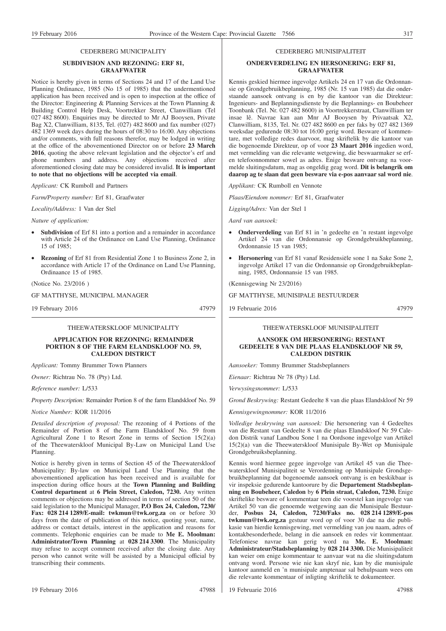#### CEDERBERG MUNICIPALITY

#### **SUBDIVISION AND REZONING: ERF 81, GRAAFWATER**

Notice is hereby given in terms of Sections 24 and 17 of the Land Use Planning Ordinance, 1985 (No 15 of 1985) that the undermentioned application has been received and is open to inspection at the office of the Director: Engineering & Planning Services at the Town Planning & Building Control Help Desk, Voortrekker Street, Clanwilliam (Tel 027 482 8600). Enquiries may be directed to Mr AJ Booysen, Private Bag X2, Clanwilliam, 8135, Tel. (027) 482 8600 and fax number (027) 482 1369 week days during the hours of 08:30 to 16:00. Any objections and/or comments, with full reasons therefor, may be lodged in writing at the office of the abovementioned Director on or before **23 March 2016**, quoting the above relevant legislation and the objector's erf and phone numbers and address. Any objections received after aforementioned closing date may be considered invalid. **It is important to note that no objections will be accepted via email**.

*Applicant:* CK Rumboll and Partners

*Farm/Property number:* Erf 81, Graafwater

*Locality/Address:* 1 Van der Stel

*Nature of application:*

- **Subdivision** of Erf 81 into a portion and a remainder in accordance with Article 24 of the Ordinance on Land Use Planning, Ordinance 15 of 1985;
- **Rezoning** of Erf 81 from Residential Zone 1 to Business Zone 2, in accordance with Article 17 of the Ordinance on Land Use Planning, Ordinaance 15 of 1985.

(Notice No. 23/2016 )

GF MATTHYSE, MUNICIPAL MANAGER

19 February 2016 47979

THEEWATERSKLOOF MUNICIPALITY

#### **APPLICATION FOR REZONING: REMAINDER PORTION 8 OF THE FARM ELANDSKLOOF NO. 59, CALEDON DISTRICT**

*Applicant:* Tommy Brummer Town Planners

*Owner:* Richtrau No. 78 (Pty) Ltd.

*Reference number:* L/533

*Property Description:* Remainder Portion 8 of the farm Elandskloof No. 59

*Notice Number:* KOR 11/2016

*Detailed description of proposal:* The rezoning of 4 Portions of the Remainder of Portion 8 of the Farm Elandskloof No. 59 from Agricultural Zone 1 to Resort Zone in terms of Section 15(2)(a) of the Theewaterskloof Municipal By-Law on Municipal Land Use Planning.

Notice is hereby given in terms of Section 45 of the Theewaterskloof Municipality: By-law on Municipal Land Use Planning that the abovementioned application has been received and is available for inspection during office hours at the **Town Planning and Building Control department** at **6 Plein Street, Caledon, 7230.** Any written comments or objections may be addressed in terms of section 50 of the said legislation to the Municipal Manager, **P.O Box 24, Caledon, 7230/ Fax: 028 214 1289/E-mail: twkmun@twk.org.za** on or before 30 days from the date of publication of this notice, quoting your, name, address or contact details, interest in the application and reasons for comments. Telephonic enquiries can be made to **Me E. Moolman: Administrator/Town Planning** at **028 214 3300**. The Municipality may refuse to accept comment received after the closing date. Any person who cannot write will be assisted by a Municipal official by transcribing their comments.

#### CEDERBERG MUNISIPALITEIT

#### **ONDERVERDELING EN HERSONERING: ERF 81, GRAAFWATER**

Kennis geskied hiermee ingevolge Artikels 24 en 17 van die Ordonnansie op Grondgebruikbeplanning, 1985 (Nr. 15 van 1985) dat die onderstaande aansoek ontvang is en by die kantoor van die Direkteur: Ingenieurs- and Beplanningsdienste by die Beplannings- en Boubeheer Toonbank (Tel. Nr. 027 482 8600) in Voortrekkerstraat, Clanwilliam ter insae lê. Navrae kan aan Mnr AJ Booysen by Privaatsak X2, Clanwilliam, 8135, Tel. Nr. 027 482 8600 en per faks by 027 482 1369 weeksdae gedurende 08:30 tot 16:00 gerig word. Besware of kommentare, met volledige redes daarvoor, mag skriftelik by die kantoor van die bogenoemde Direkteur, op of voor **23 Maart 2016** ingedien word, met vermelding van die relevante wetgewing, die beswaarmaker se erfen telefoonnommer sowel as adres. Enige besware ontvang na voormelde sluitingsdatum, mag as ongeldig geag word. **Dit is belangrik om daarop ag te slaan dat geen besware via e-pos aanvaar sal word nie**.

*Applikant:* CK Rumboll en Vennote

*Plaas/Eiendom nommer:* Erf 81, Graafwater

*Ligging/Adres:* Van der Stel 1

*Aard van aansoek:*

- **Onderverdeling** van Erf 81 in 'n gedeelte en 'n restant ingevolge Artikel 24 van die Ordonnansie op Grondgebruikbeplanning, Ordonnansie 15 van 1985;
- **Hersonering** van Erf 81 vanaf Residensiële sone 1 na Sake Sone 2, ingevolge Artikel 17 van die Ordonnansie op Grondgebruikbeplanning, 1985, Ordonnansie 15 van 1985.

(Kennisgewing Nr 23/2016)

GF MATTHYSE, MUNISIPALE BESTUURDER

19 Februarie 2016 47979

THEEWATERSKLOOF MUNISIPALITEIT

#### **AANSOEK OM HERSONERING: RESTANT GEDEELTE 8 VAN DIE PLAAS ELANDSKLOOF NR 59, CALEDON DISTRIK**

*Aansoeker:* Tommy Brummer Stadsbeplanners

*Eienaar:* Richtrau Nr 78 (Pty) Ltd.

*Verwysingsnommer:* L/533

*Grond Beskrywing:* Restant Gedeelte 8 van die plaas Elandskloof Nr 59

*Kennisgewingnommer:* KOR 11/2016

*Volledige beskrywing van aansoek:* Die hersonering van 4 Gedeeltes van die Restant van Gedeelte 8 van die plaas Elandskloof Nr 59 Caledon Distrik vanaf Landbou Sone 1 na Oordsone ingevolge van Artikel 15(2)(a) van die Theewaterskloof Munisipale By-Wet op Munisipale Grondgebruiksbeplanning.

Kennis word hiermee gegee ingevolge van Artikel 45 van die Theewaterskloof Munisipaliteit se Verordenning op Munisipale Grondsgebruikbeplanning dat bogenoemde aansoek ontvang is en beskikbaar is vir inspeksie gedurende kantoorure by die **Departement Stadsbeplanning en Boubeheer, Caledon** by **6 Plein straat, Caledon, 7230.** Enige skriftelike besware of kommentaar teen die voorstel kan ingevolge van Artikel 50 van die genoemde wetgewing aan die Munisipale Bestuurder, **Posbus 24, Caledon, 7230/Faks no. 028 214 1289/E-pos twkmun@twk.org.za** gestuur word op of voor 30 dae na die publikasie van hierdie kennisgewing, met vermelding van jou naam, adres of kontakbesonderhede, belang in die aansoek en redes vir kommentaar. Telefoniese navrae kan gerig word na **Me. E. Moolman: Administrateur/Stadsbeplanning** by **028 214 3300.** Die Munisipaliteit kan weier om enige kommentaar te aanvaar wat na die sluitingsdatum ontvang word. Persone wie nie kan skryf nie, kan by die munisipale kantoor aanmeld en 'n munisipale amptenaar sal behulpsaam wees om die relevante kommentaar of inligting skriftelik te dokumenteer.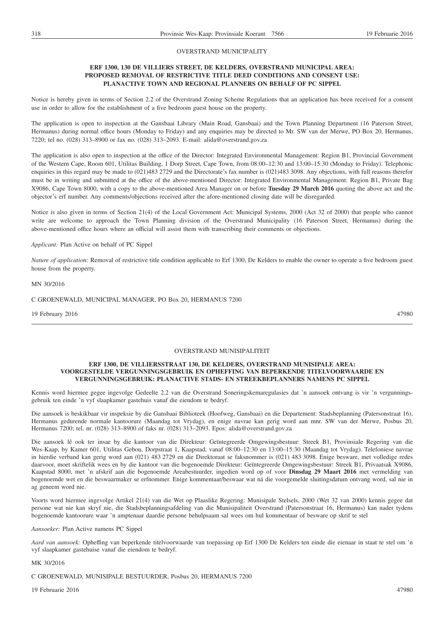#### OVERSTRAND MUNICIPALITY

#### **ERF 1300, 130 DE VILLIERS STREET, DE KELDERS, OVERSTRAND MUNICIPAL AREA: PROPOSED REMOVAL OF RESTRICTIVE TITLE DEED CONDITIONS AND CONSENT USE: PLANACTIVE TOWN AND REGIONAL PLANNERS ON BEHALF OF PC SIPPEL**

Notice is hereby given in terms of Section 2.2 of the Overstrand Zoning Scheme Regulations that an application has been received for a consent use in order to allow for the establishment of a five bedroom guest house on the property.

The application is open to inspection at the Gansbaai Library (Main Road, Gansbaai) and the Town Planning Department (16 Paterson Street, Hermanus) during normal office hours (Monday to Friday) and any enquiries may be directed to Mr. SW van der Merwe, PO Box 20, Hermanus, 7220; tel no. (028) 313–8900 or fax no. (028) 313–2093. E-mail: alida@overstrand.gov.za

The application is also open to inspection at the office of the Director: Integrated Environmental Management: Region B1, Provincial Government of the Western Cape, Room 601, Utilitas Building, 1 Dorp Street, Cape Town, from 08:00–12:30 and 13:00–15:30 (Monday to Friday). Telephonic enquiries in this regard may be made to (021)483 2729 and the Directorate's fax number is (021)483 3098. Any objections, with full reasons therefor must be in writing and submitted at the office of the above-mentioned Director: Integrated Environmental Management: Region B1, Private Bag X9086, Cape Town 8000, with a copy to the above-mentioned Area Manager on or before **Tuesday 29 March 2016** quoting the above act and the objector's erf number. Any comments/objections received after the afore-mentioned closing date will be disregarded.

Notice is also given in terms of Section 21(4) of the Local Government Act: Municipal Systems, 2000 (Act 32 of 2000) that people who cannot write are welcome to approach the Town Planning division of the Overstrand Municipality (16 Paterson Street, Hermanus) during the above-mentioned office hours where an official will assist them with transcribing their comments or objections.

#### *Applicant:* Plan Active on behalf of PC Sippel

*Nature of application:* Removal of restrictive title condition applicable to Erf 1300, De Kelders to enable the owner to operate a five bedroom guest house from the property.

MN 30/2016

C GROENEWALD, MUNICIPAL MANAGER, PO Box 20, HERMANUS 7200

19 February 2016 47980

#### OVERSTRAND MUNISIPALITEIT

#### **ERF 1300, DE VILLIERSSTRAAT 130, DE KELDERS, OVERSTRAND MUNISIPALE AREA: VOORGESTELDE VERGUNNINGSGEBRUIK EN OPHEFFING VAN BEPERKENDE TITELVOORWAARDE EN VERGUNNINGSGEBRUIK: PLANACTIVE STADS- EN STREEKBEPLANNERS NAMENS PC SIPPEL**

Kennis word hiermee gegee ingevolge Gedeelte 2.2 van die Overstrand Soneringskemaregulasies dat 'n aansoek ontvang is vir 'n vergunningsgebruik ten einde 'n vyf slaapkamer gastehuis vanaf die eiendom te bedryf.

Die aansoek is beskikbaar vir inspeksie by die Gansbaai Biblioteek (Hoofweg, Gansbaai) en die Departement: Stadsbeplanning (Patersonstraat 16), Hermanus gedurende normale kantoorure (Maandag tot Vrydag), en enige navrae kan gerig word aan mnr. SW van der Merwe, Posbus 20, Hermanus 7200; tel. nr. (028) 313–8900 of faks nr. (028) 313–2093. Epos: alida@overstrand.gov.za

Die aansoek lê ook ter insae by die kantoor van die Direkteur: Geïntegreerde Omgewingsbestuur: Streek B1, Provinsiale Regering van die Wes-Kaap, by Kamer 601, Utilitas Gebou, Dorpstraat 1, Kaapstad, vanaf 08:00–12:30 en 13:00–15:30 (Maandag tot Vrydag). Telefoniese navrae in hierdie verband kan gerig word aan (021) 483 2729 en die Direktoraat se faksnommer is (021) 483 3098. Enige besware, met volledige redes daarvoor, moet skriftelik wees en by die kantoor van die bogenoemde Direkteur: Geïntegreerde Omgewingsbestuur: Streek B1, Privaatsak X9086, Kaapstad 8000, met 'n afskrif aan die bogenoemde Areabestuurder, ingedien word op of voor **Dinsdag 29 Maart 2016** met vermelding van bogenoemde wet en die beswaarmaker se erfnommer. Enige kommentaar/beswaar wat ná die voorgemelde sluitingsdatum ontvang word, sal nie in ag geneem word nie.

Voorts word hiermee ingevolge Artikel 21(4) van die Wet op Plaaslike Regering: Munisipale Stelsels, 2000 (Wet 32 van 2000) kennis gegee dat persone wat nie kan skryf nie, die Stadsbeplanningsafdeling van die Munisipaliteit Overstrand (Patersonstraat 16, Hermanus) kan nader tydens bogenoemde kantoorure waar 'n amptenaar daardie persone behulpsaam sal wees om hul kommentaar of besware op skrif te stel

#### *Aansoeker:* Plan Active namens PC Sippel

*Aard van aansoek:* Opheffing van beperkende titelvoorwaarde van toepassing op Erf 1300 De Kelders ten einde die eienaar in staat te stel om 'n vyf slaapkamer gastehuise vanaf die eiendom te bedryf.

#### MK 30/2016

C GROENEWALD, MUNISIPALE BESTUURDER, Posbus 20, HERMANUS 7200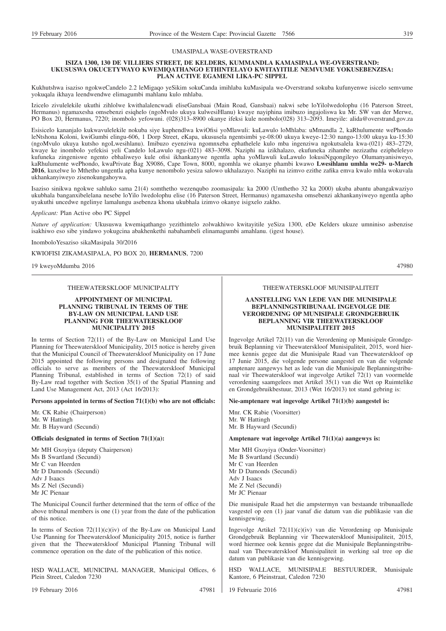#### UMASIPALA WASE-OVERSTRAND

#### **ISIZA 1300, 130 DE VILLIERS STREET, DE KELDERS, KUMMANDLA KAMASIPALA WE-OVERSTRAND: UKUSUSWA OKUCETYWAYO KWEMIQATHANGO ETHINTELAYO KWITAYITILE NEMVUME YOKUSEBENZISA: PLAN ACTIVE EGAMENI LIKA-PC SIPPEL**

Kukhutshwa isaziso ngokweCandelo 2.2 leMigaqo yeSikim sokuCanda imihlaba kuMasipala we-Overstrand sokuba kufunyenwe isicelo semvume yokuqala ikhaya leendwendwe elimagumbi mahlanu kulo mhlaba.

Izicelo zivulelekile ukuthi zihlolwe kwithalalencwadi eliseGansbaai (Main Road, Gansbaai) nakwi sebe loYilolwedolophu (16 Paterson Street, Hermanus) ngamaxesha omsebenzi esiqhelo (ngoMvulo ukuya kulwesiHlanu) kwaye nayiphina imibuzo ingajoliswa ku Mr. SW van der Merwe, PO Box 20, Hermanus, 7220; inombolo yefowuni. (028)313–8900 okanye ifeksi kule nombolo(028) 313–2093. Imeyile: alida@overstrand.gov.za

Esisicelo kananjalo kukwavulelekile nokuba siye kuphendlwa kwiOfisi yoMlawuli: kuLawulo loMhlaba: uMmandla 2, kaRhulumente wePhondo leNtshona Koloni, kwiGumbi elingu-606, 1 Dorp Street, eKapa, ukususela ngentsimbi ye-08:00 ukuya kweye-12:30 nango-13:00 ukuya ku-15:30 (ngoMvulo ukuya kutsho ngoLwesihlanu). Imibuzo eyenziwa ngomnxeba ephathelele kulo mba ingenziwa ngokutsalela kwa-(021) 483–2729, kwaye ke inombolo yefekisi yeli Candelo loLawulo ngu-(021) 483–3098. Naziphi na izikhalazo, ekufuneka zihambe nezizathu ezipheleleyo kufuneka zingeniswe ngento ebhaliweyo kule ofisi ikhankanywe ngentla apha yoMlawuli kuLawulo lokusiNgqongileyo Olumanyanisiweyo, kaRhulumente wePhondo, kwaPrivate Bag X9086, Cape Town, 8000, ngomhla we okanye phambi kwawo **Lwesihlanu umhla we29- u-March 2016**, kuxelwe lo Mthetho ungentla apha kunye nenombolo yesiza salowo ukhalazayo. Naziphi na izimvo ezithe zafika emva kwalo mhla wokuvala ukhankanyiweyo zisenokungahoywa.

Isaziso sinikwa ngokwe sahluko sama 21(4) somthetho wezenqubo zoomasipala: ka 2000 (Umthetho 32 ka 2000) ukuba abantu abangakwaziyo ukubhala banganxibelelana nesebe loYilo lwedolophu elise (16 Paterson Street, Hermanus) ngamaxesha omsebenzi akhankanyiweyo ngentla apho uyakuthi uncedwe ngelinye lamalungu asebenza khona ukubhala izimvo okanye isigxelo zakho.

*Applicant:* Plan Active obo PC Sippel

*Nature of application:* Ukususwa kwemiqathango yezithintelo zolwakhiwo kwitayitile yeSiza 1300, eDe Kelders ukuze umniniso asbenzise isakhiwo eso sibe yindawo yokugcina abakhenkethi nabahambeli elinamagumbi amahlanu. (igest house).

InomboloYesaziso sikaMasipala 30/2016

KWIOFISI ZIKAMASIPALA, PO BOX 20, **HERMANUS**, 7200

19 kweyoMdumba 2016 47980

THEEWATERSKLOOF MUNICIPALITY

**APPOINTMENT OF MUNICIPAL PLANNING TRIBUNAL IN TERMS OF THE BY-LAW ON MUNICIPAL LAND USE PLANNING FOR THEEWATERSKLOOF MUNICIPALITY 2015**

In terms of Section 72(11) of the By-Law on Municipal Land Use Planning for Theewaterskloof Municipality, 2015 notice is hereby given that the Municipal Council of Theewaterskloof Municipality on 17 June 2015 appointed the following persons and designated the following officials to serve as members of the Theewaterskloof Municipal Planning Tribunal, established in terms of Section 72(1) of said By-Law read together with Section 35(1) of the Spatial Planning and Land Use Management Act, 2013 (Act 16/2013):

**Persons appointed in terms of Section 71(1)(b) who are not officials:**

Mr. CK Rabie (Chairperson) Mr. W Hattingh Mr. B Hayward (Secundi)

#### **Officials designated in terms of Section 71(1)(a):**

Mr MH Gxoyiya (deputy Chairperson) Ms B Swartland (Secundi) Mr C van Heerden Mr D Damonds (Secundi) Adv J Isaacs Ms Z Nel (Secundi) Mr JC Pienaar

The Municipal Council further determined that the term of office of the above tribunal members is one (1) year from the date of the publication of this notice.

In terms of Section  $72(11)(c)(iv)$  of the By-Law on Municipal Land Use Planning for Theewaterskloof Municipality 2015, notice is further given that the Theewaterskloof Municipal Planning Tribunal will commence operation on the date of the publication of this notice.

HSD WALLACE, MUNICIPAL MANAGER, Municipal Offices, 6 Plein Street, Caledon 7230

19 February 2016 47981

THEEWATERSKLOOF MUNISIPALITEIT

#### **AANSTELLING VAN LEDE VAN DIE MUNISIPALE BEPLANNINGSTRIBUNAAL INGEVOLGE DIE VERORDENING OP MUNISIPALE GRONDGEBRUIK BEPLANNING VIR THEEWATERSKLOOF MUNISIPALITEIT 2015**

Ingevolge Artikel 72(11) van die Verordening op Munisipale Grondgebruik Beplanning vir Theewaterskloof Munisipaliteit, 2015, word hiermee kennis gegee dat die Munisipale Raad van Theewaterskloof op 17 Junie 2015, die volgende persone aangestel en van die volgende amptenare aangewys het as lede van die Munisipale Beplanningstribunaal vir Theewaterskloof wat ingevolge Artikel 72(1) van voormelde verordening saamgelees met Artikel 35(1) van die Wet op Ruimtelike en Grondgebruikbestuur, 2013 (Wet 16/2013) tot stand gebring is:

**Nie-amptenare wat ingevolge Artikel 71(1)(b) aangestel is:**

Mnr. CK Rabie (Voorsitter) Mr. W Hattingh Mr. B Hayward (Secundi)

#### **Amptenare wat ingevolge Artikel 71(1)(a) aangewys is:**

Mnr MH Gxoyiya (Onder-Voorsitter) Me B Swartland (Secundi) Mr C van Heerden Mr D Damonds (Secundi) Adv J Isaacs Me Z Nel (Secundi) Mr JC Pienaar

Die munisipale Raad het die ampstermyn van bestaande tribunaallede vasgestel op een (1) jaar vanaf die datum van die publikasie van die kennisgewing.

Ingevolge Artikel 72(11)(c)(iv) van die Verordening op Munisipale Grondgebruik Beplanning vir Theewaterskloof Munisipaliteit, 2015, word hiermee ook kennis gegee dat die Munisipale Beplanningstribunaal van Theewaterskloof Munisipaliteit in werking sal tree op die datum van publikasie van die kennisgewing.

HSD WALLACE, MUNISIPALE BESTUURDER, Munisipale Kantore, 6 Pleinstraat, Caledon 7230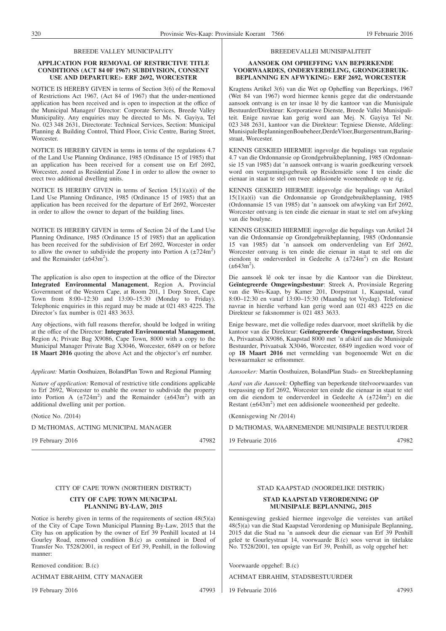#### BREEDE VALLEY MUNICIPALITY

#### **APPLICATION FOR REMOVAL OF RESTRICTIVE TITLE CONDITIONS (ACT 84 0F 1967) SUBDIVISION, CONSENT USE AND DEPARTURE:- ERF 2692, WORCESTER**

NOTICE IS HEREBY GIVEN in terms of Section 3(6) of the Removal of Restrictions Act 1967, (Act 84 of 1967) that the under-mentioned application has been received and is open to inspection at the office of the Municipal Manager/ Director: Corporate Services, Breede Valley Municipality. Any enquiries may be directed to Ms. N. Gayiya, Tel No. 023 348 2631, Directorate: Technical Services, Section: Municipal Planning & Building Control, Third Floor, Civic Centre, Baring Street, **Worcester.** 

NOTICE IS HEREBY GIVEN in terms in terms of the regulations 4.7 of the Land Use Planning Ordinance, 1985 (Ordinance 15 of 1985) that an application has been received for a consent use on Erf 2692, Worcester, zoned as Residential Zone I in order to allow the owner to erect two additional dwelling units.

NOTICE IS HEREBY GIVEN in terms of Section 15(1)(a)(i) of the Land Use Planning Ordinance, 1985 (Ordinance 15 of 1985) that an application has been received for the departure of Erf 2692, Worcester in order to allow the owner to depart of the building lines.

NOTICE IS HEREBY GIVEN in terms of Section 24 of the Land Use Planning Ordinance, 1985 (Ordinance 15 of 1985) that an application has been received for the subdivision of Erf 2692, Worcester in order to allow the owner to subdivide the property into Portion A  $(\pm 724 \text{m}^2)$ and the Remainder  $(\pm 643 \text{m}^2)$ .

The application is also open to inspection at the office of the Director **Integrated Environmental Management**, Region A, Provincial Government of the Western Cape, at Room 201, 1 Dorp Street, Cape Town from 8:00–12:30 and 13:00–15:30 (Monday to Friday). Telephonic enquiries in this regard may be made at 021 483 4225. The Director's fax number is 021 483 3633.

Any objections, with full reasons therefor, should be lodged in writing at the office of the Director: **Integrated Environmental Management**, Region A; Private Bag X9086, Cape Town, 8000 with a copy to the Municipal Manager Private Bag X3046, Worcester, 6849 on or before **18 Maart 2016** quoting the above Act and the objector's erf number.

*Applicant:* Martin Oosthuizen, BolandPlan Town and Regional Planning

*Nature of application:* Removal of restrictive title conditions applicable to Erf 2692, Worcester to enable the owner to subdivide the property into Portion A  $(\pm 724 \text{m}^2)$  and the Remainder  $(\pm 643 \text{m}^2)$  with an additional dwelling unit per portion.

(Notice No. /2014)

D McTHOMAS, ACTING MUNICIPAL MANAGER

19 February 2016 47982

## CITY OF CAPE TOWN (NORTHERN DISTRICT)

#### **CITY OF CAPE TOWN MUNICIPAL PLANNING BY-LAW, 2015**

Notice is hereby given in terms of the requirements of section 48(5)(a) of the City of Cape Town Municipal Planning By-Law, 2015 that the City has on application by the owner of Erf 39 Penhill located at 14 Gourley Road, removed condition B.(c) as contained in Deed of Transfer No. T528/2001, in respect of Erf 39, Penhill, in the following manner:

Removed condition: B.(c)

ACHMAT EBRAHIM, CITY MANAGER

19 February 2016 47993

## STAD KAAPSTAD (NOORDELIKE DISTRIK)

#### **STAD KAAPSTAD VERORDENING OP MUNISIPALE BEPLANNING, 2015**

Kennisgewing geskied hiermee ingevolge die vereistes van artikel 48(5)(a) van die Stad Kaapstad Verordening op Munisipale Beplanning, 2015 dat die Stad na 'n aansoek deur die eienaar van Erf 39 Penhill geleë te Gourleystraat 14, voorwaarde B.(c) soos vervat in titelakte No. T528/2001, ten opsigte van Erf 39, Penhill, as volg opgehef het:

Voorwaarde opgehef: B.(c)

ACHMAT EBRAHIM, STADSBESTUURDER

19 Februarie 2016 47993

#### BREEDEVALLEI MUNISIPALITEIT

#### **AANSOEK OM OPHEFFING VAN BEPERKENDE VOORWAARDES, ONDERVERDELING, GRONDGEBRUIK-BEPLANNING EN AFWYKING:- ERF 2692, WORCESTER**

Kragtens Artikel 3(6) van die Wet op Opheffing van Beperkings, 1967 (Wet 84 van 1967) word hiermee kennis gegee dat die onderstaande aansoek ontvang is en ter insae lê by die kantoor van die Munisipale Bestuurder/Direkteur: Korporatiewe Dienste, Breede Vallei Munisipaliteit. Enige navrae kan gerig word aan Mej. N. Gayiya Tel Nr. 023 348 2631, kantoor van die Direkteur: Tegniese Dienste, Afdeling: MunisipaleBeplanningenBoubeheer,DerdeVloer,Burgersentrum,Baringstraat, Worcester.

KENNIS GESKIED HIERMEE ingevolge die bepalings van regulasie 4.7 van die Ordonnansie op Grondgebruikbeplanning, 1985 (Ordonnansie 15 van 1985) dat 'n aansoek ontvang is waarin goedkeuring versoek word om vergunningsgebruik op Residensiële sone I ten einde die eienaar in staat te stel om twee addisionele wooneenhede op te rig.

KENNIS GESKIED HIERMEE ingevolge die bepalings van Artikel 15(1)(a)(i) van die Ordonnansie op Grondgebruikbeplanning, 1985 (Ordonnansie 15 van 1985) dat 'n aansoek om afwyking van Erf 2692, Worcester ontvang is ten einde die eienaar in staat te stel om afwyking van die boulyne.

KENNIS GESKIED HIERMEE ingevolge die bepalings van Artikel 24 van die Ordonnansie op Grondgebruikbeplanning, 1985 (Ordonnansie 15 van 1985) dat 'n aansoek om onderverdeling van Erf 2692, Worcester ontvang is ten einde die eienaar in staat te stel om die eiendom te onderverdeel in Gedeelte A  $(\pm 724 \text{m}^2)$  en die Restant  $(\pm 643 \text{m}^2)$ .

Die aansoek lê ook ter insae by die Kantoor van die Direkteur, **Geïntegreerde Omgewingsbestuur**: Streek A, Provinsiale Regering van die Wes-Kaap, by Kamer 201, Dorpstraat 1, Kaapstad, vanaf 8:00–12:30 en vanaf 13:00–15:30 (Maandag tot Vrydag). Telefoniese navrae in hierdie verband kan gerig word aan 021 483 4225 en die Direkteur se faksnommer is 021 483 3633.

Enige besware, met die volledige redes daarvoor, moet skriftelik by die kantoor van die Direkteur: **Geïntegreerde Omgewingsbestuur,** Streek A, Privaatsak X9086, Kaapstad 8000 met 'n afskrif aan die Munisipale Bestuurder, Privaatsak X3046, Worcester, 6849 ingedien word voor of op **18 Maart 2016** met vermelding van bogenoemde Wet en die beswaarmaker se erfnommer.

*Aansoeker:* Martin Oosthuizen, BolandPlan Stads- en Streekbeplanning

*Aard van die Aansoek:* Opheffing van beperkende titelvoorwaardes van toepassing op Erf 2692, Worcester ten einde die eienaar in staat te stel om die eiendom te onderverdeel in Gedeelte A (±724m<sup>2</sup>) en die Restant  $(\pm 643m^2)$  met een addisionele wooneenheid per gedeelte.

(Kennisgewing Nr /2014)

D McTHOMAS, WAARNEMENDE MUNISIPALE BESTUURDER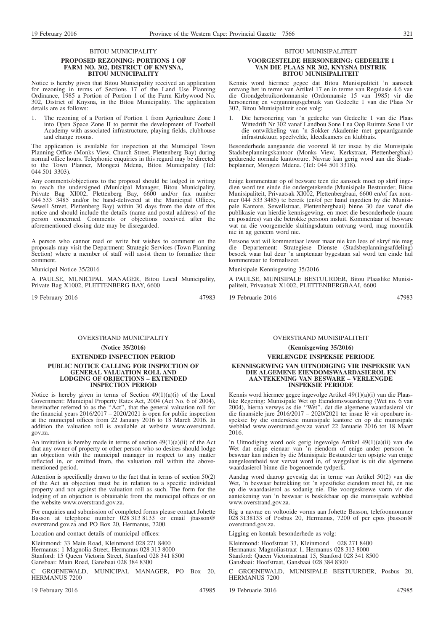#### BITOU MUNICIPALITY

#### **PROPOSED REZONING: PORTIONS 1 OF FARM NO. 302, DISTRICT OF KNYSNA, BITOU MUNICIPALITY**

Notice is hereby given that Bitou Municipality received an application for rezoning in terms of Sections 17 of the Land Use Planning Ordinance, 1985 a Portion of Portion 1 of the Farm Kirbywood No. 302, District of Knysna, in the Bitou Municipality. The application details are as follows:

1. The rezoning of a Portion of Portion 1 from Agriculture Zone I into Open Space Zone II to permit the development of Football Academy with associated infrastructure, playing fields, clubhouse and change rooms.

The application is available for inspection at the Municipal Town Planning Office (Monks View, Church Street, Plettenberg Bay) during normal office hours. Telephonic enquiries in this regard may be directed to the Town Planner, Mongezi Mdena, Bitou Municipality (Tel: 044 501 3303).

Any comments/objections to the proposal should be lodged in writing to reach the undersigned (Municipal Manager, Bitou Municipality, Private Bag XI002, Plettenberg Bay, 6600 and/or fax number 044 533 3485 and/or be hand-delivered at the Municipal Offices, Sewell Street, Plettenberg Bay) within 30 days from the date of this notice and should include the details (name and postal address) of the person concerned. Comments or objections received after the aforementioned closing date may be disregarded.

A person who cannot read or write but wishes to comment on the proposals may visit the Department: Strategic Services (Town Planning Section) where a member of staff will assist them to formalize their comment.

Municipal Notice 35/2016

A PAULSE, MUNICIPAL MANAGER, Bitou Local Municipality, Private Bag X1002, PLETTENBERG BAY, 6600

19 February 2016 47983

#### OVERSTRAND MUNICIPALITY

#### **(Notice 35/2016)**

**EXTENDED INSPECTION PERIOD**

#### **PUBLIC NOTICE CALLING FOR INSPECTION OF GENERAL VALUATION ROLL AND LODGING OF OBJECTIONS – EXTENDED INSPECTION PERIOD**

Notice is hereby given in terms of Section 49(1)(a)(i) of the Local Government: Municipal Property Rates Act, 2004 (Act No. 6 of 2004), hereinafter referred to as the ''Act'', that the general valuation roll for the financial years 2016/2017 – 2020/2021 is open for public inspection at the municipal offices from 22 January 2016 to 18 March 2016. In addition the valuation roll is available at website www.overstrand. gov.za.

An invitation is hereby made in terms of section  $49(1)(a)(ii)$  of the Act that any owner of property or other person who so desires should lodge an objection with the municipal manager in respect to any matter reflected in, or omitted from, the valuation roll within the abovementioned period.

Attention is specifically drawn to the fact that in terms of section 50(2) of the Act an objection must be in relation to a specific individual property and not against the valuation roll as such. The form for the lodging of an objection is obtainable from the municipal offices or on the website www.overstrand.gov.za.

For enquiries and submission of completed forms please contact Johette Basson at telephone number 028 313 8133 or email jbasson@ overstrand.gov.za and PO Box 20, Hermanus, 7200.

Location and contact details of municipal offices:

Kleinmond: 33 Main Road, Kleinmond 028 271 8400 Hermanus: 1 Magnolia Street, Hermanus 028 313 8000 Stanford: 15 Queen Victoria Street, Stanford 028 341 8500 Gansbaai: Main Road, Gansbaai 028 384 8300

C GROENEWALD, MUNICIPAL MANAGER, PO Box 20, HERMANUS 7200

19 February 2016 **47985** 

BITOU MUNISIPALITEIT

#### **VOORGESTELDE HERSONERING: GEDEELTE 1 VAN DIE PLAAS NR 302, KNYSNA DISTRIK BITOU MUNISIPALITEIT**

Kennis word hiermee gegee dat Bitou Munisipaliteit 'n aansoek ontvang het in terme van Artikel 17 en in terme van Regulasie 4.6 van die Grondgebruikordonnansie (Ordonnansie 15 van 1985) vir die hersonering en vergunningsgebruik van Gedeelte 1 van die Plaas Nr 302, Bitou Munisipaliteit soos volg:

1. Die hersonering van 'n gedeelte van Gedeelte 1 van die Plaas Wittedrift Nr 302 vanaf Landbou Sone I na Oop Ruimte Sone I vir die ontwikkeling van 'n Sokker Akademie met gepaardgaande infrastruktuur, speelvelde, kleedkamers en klubhuis.

Besonderhede aangaande die voorstel lê ter insae by die Munisipale Stadsbeplanningskantoor (Monks View, Kerkstraat, Plettenbergbaai) gedurende normale kantoorure. Navrae kan gerig word aan die Stadsbeplanner, Mongezi Mdena. (Tel: 044 501 3318).

Enige kommentaar op of besware teen die aansoek moet op skrif ingedien word ten einde die ondergetekende (Munisipale Bestuurder, Bitou Munisipaliteit, Privaatsak XI002, Plettenbergbaai, 6600 en/of fax nommer 044 533 3485) te bereik (en/of per hand ingedien by die Munisipale Kantore, Sewellstraat, Plettenbergbaai) binne 30 dae vanaf die publikasie van hierdie kennisgewing, en moet die besonderhede (naam en posadres) van die betrokke persoon insluit. Kommentaar of besware wat na die voorgemelde sluitingsdatum ontvang word, mag moontlik nie in ag geneem word nie.

Persone wat wil kommentaar lewer maar nie kan lees of skryf nie mag die Departement: Strategiese Dienste (Stadsbeplanningsafdeling) besoek waar hul deur 'n amptenaar bygestaan sal word ten einde hul kommentaar te formaliseer.

Munisipale Kennisgewing 35/2016

A PAULSE, MUNISIPALE BESTUURDER, Bitou Plaaslike Munisipaliteit, Privaatsak X1002, PLETTENBERGBAAI, 6600

19 Februarie 2016 47983

#### OVERSTRAND MUNISIPALITEIT

**(Kennisgewing 35/2016)**

**VERLENGDE INSPEKSIE PERIODE**

#### **KENNISGEWING VAN UITNODIGING VIR INSPEKSIE VAN DIE ALGEMENE EIENDOMSWAARDASIEROL EN AANTEKENING VAN BESWARE – VERLENGDE INSPEKSIE PERIODE**

Kennis word hiermee gegee ingevolge Artikel 49(1)(a)(i) van die Plaaslike Regering: Munisipale Wet op Eiendomswaardering (Wet no. 6 van 2004), hierna verwys as die ''Wet'', dat die algemene waardasierol vir die finansiële jare 2016/2017 – 2020/2021 ter insae lê vir openbare inspeksie by die onderskeie munisipale kantore en op die munisipale webblad www.overstrand.gov.za vanaf 22 Januarie 2016 tot 18 Maart 2016.

'n Uitnodiging word ook gerig ingevolge Artikel 49(1)(a)(ii) van die Wet dat enige eienaar van 'n eiendom of enige ander persoon 'n beswaar kan indien by die Munisipale Bestuurder ten opsigte van enige aangeleentheid wat vervat word in, of weggelaat is uit die algemene waardasierol binne die bogenoemde tydperk.

Aandag word daarop gevestig dat in terme van Artikel 50(2) van die Wet, 'n beswaar betrekking tot 'n spesifieke eiendom moet hê, en nie op die waardasierol as sodanig nie. Die voorgeskrewe vorm vir die aantekening van 'n beswaar is beskikbaar op die munisipale webblad www.overstrand.gov.za.

Rig u navrae en voltooide vorms aan Johette Basson, telefoonnommer 028 3138133 of Posbus 20, Hermanus, 7200 of per epos jbasson@ overstrand.gov.za.

Ligging en kontak besonderhede as volg:

Kleinmond: Hoofstraat 33, Kleinmond 028 271 8400 Hermanus: Magnoliastraat 1, Hermanus 028 313 8000 Stanford: Queen Victoriastraat 15, Stanford 028 341 8500 Gansbaai: Hoofstraat, Gansbaai 028 384 8300

C GROENEWALD, MUNISIPALE BESTUURDER, Posbus 20, HERMANUS 7200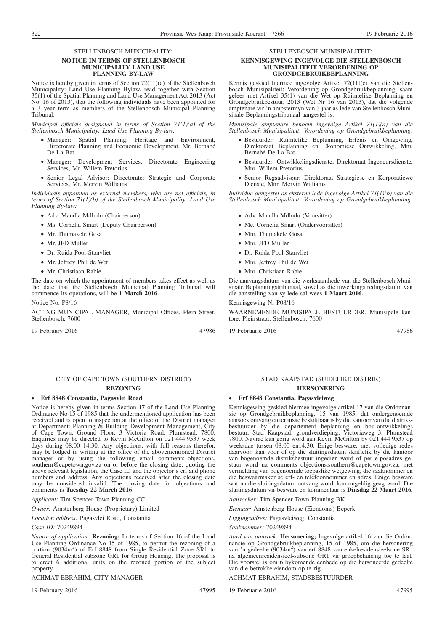#### STELLENBOSCH MUNICIPALITY:

#### **NOTICE IN TERMS OF STELLENBOSCH MUNICIPALITY LAND USE PLANNING BY-LAW**

Notice is hereby given in terms of Section 72(11)(c) of the Stellenbosch Municipality: Land Use Planning Bylaw, read together with Section 35(1) of the Spatial Planning and Land Use Management Act 2013 (Act No. 16 of 2013), that the following individuals have been appointed for a 3 year term as members of the Stellenbosch Municipal Planning Tribunal:

*Municipal offıcials designated in terms of Section 71(1)(a) of the Stellenbosch Municipality: Land Use Planning By-law:*

- Manager: Spatial Planning, Heritage and Environment, Directorate Planning and Economic Development, Mr. Bernabé De La Bat
- Manager: Development Services, Directorate Engineering Services, Mr. Willem Pretorius
- Senior Legal Advisor: Directorate: Strategic and Corporate Services, Mr. Mervin Williams

*Individuals appointed as external members, who are not offıcials, in terms of Section 71(1)(b) of the Stellenbosch Municipality: Land Use Planning By-law:*

- Adv. Mandla Mdludu (Chairperson)
- Ms. Cornelia Smart (Deputy Chairperson)
- Mr. Thumakele Gosa
- Mr. JFD Muller
- Dr. Ruida Pool-Stanvliet
- Mr. Jeffrey Phil de Wet
- Mr. Christiaan Rabie

The date on which the appointment of members takes effect as well as the date that the Stellenbosch Municipal Planning Tribunal will commence its operations, will be **1 March 2016**.

Notice No. P8/16

ACTING MUNICIPAL MANAGER, Municipal Offices, Plein Street, Stellenbosch, 7600

19 February 2016 47986

#### CITY OF CAPE TOWN (SOUTHERN DISTRICT)

### **REZONING**

#### • **Erf 8848 Constantia, Pagasvlei Road**

Notice is hereby given in terms Section 17 of the Land Use Planning Ordinance No 15 of 1985 that the undermentioned application has been received and is open to inspection at the office of the District manager at Department: Planning & Building Development Management, City of Cape Town, Ground Floor, 3 Victoria Road, Plumstead, 7800. Enquiries may be directed to Kevin McGilton on 021 444 9537 week days during 08:00–14:30. Any objections, with full reasons therefor, may be lodged in writing at the office of the abovementioned District manager or by using the following email comments\_objections. southern@capetown.gov.za on or before the closing date, quoting the above relevant legislation, the Case ID and the objector's erf and phone numbers and address. Any objections received after the closing date may be considered invalid. The closing date for objections and comments is **Tuesday 22 March 2016**.

*Applicant:* Tim Spencer Town Planning CC

*Owner:* Amstenberg House (Proprietary) Limited

*Location address:* Pagasvlei Road, Constantia

#### *Case ID:* 70249894

*Nature of application:* **Rezoning;** In terms of Section 16 of the Land Use Planning Ordinance No 15 of 1985, to permit the rezoning of a portion (9034m<sup>2</sup>) of Erf 8848 from Single Residential Zone SR1 to General Residential subzone GR1 for Group Housing. The proposal is to erect 6 additional units on the rezoned portion of the subject property.

#### ACHMAT EBRAHIM, CITY MANAGER

19 February 2016 47995

STELLENBOSCH MUNISIPALITEIT:

#### **KENNISGEWING INGEVOLGE DIE STELLENBOSCH MUNISIPALITEIT VERORDENING OP GRONDGEBRUIKBEPLANNING**

Kennis geskied hiermee ingevolge Artikel 72(11)(c) van die Stellenbosch Munisipaliteit: Verordening op Grondgebruikbeplanning, saam gelees met Artikel 35(1) van die Wet op Ruimtelike Beplanning en Grondgebruikbestuur, 2013 (Wet Nr 16 van 2013), dat die volgende amptenare vir 'n ampstermyn van 3 jaar as lede van Stellenbosch Munisipale Beplanningstribunaal aangestel is:

*Munisipale amptenare benoem ingevolge Artikel 71(1)(a) van die Stellenbosch Munisipaliteit: Verordening op Grondgebruikbeplanning:*

- Bestuurder: Ruimtelike Beplanning, Erfenis en Omgewing, Direktoraat Beplanning en Ekonomiese Ontwikkeling, Mnr. Bernabé De La Bat
- Bestuurder: Ontwikkelingsdienste, Direktoraat Ingeneursdienste, Mnr. Willem Pretorius
- Senior Regsadviseur: Direktoraat Strategiese en Korporatiewe Dienste, Mnr. Mervin Williams

*Individue aangestel as eksterne lede ingevolge Artikel 71(1)(b) van die Stellenbosch Munisipaliteit: Verordening op Grondgebruikbeplanning:*

- Adv. Mandla Mdludu (Voorsitter)
- Me. Cornelia Smart (Ondervoorsitter)
- Mnr. Thumakele Gosa
- Mnr. JFD Muller
- Dr. Ruida Pool-Stanvliet
- Mnr. Jeffrey Phil de Wet
- Mnr. Christiaan Rabie

Die aanvangsdatum van die werksaamhede van die Stellenbosch Munisipale Beplanningstribunaal, sowel as die inwerkingstredingsdatum van die aanstelling van sy lede sal wees **1 Maart 2016**.

#### Kennisgewing Nr P08/16

WAARNEMENDE MUNISIPALE BESTUURDER, Munisipale kantore, Pleinstraat, Stellenbosch, 7600

19 Februarie 2016 47986

#### STAD KAAPSTAD (SUIDELIKE DISTRIK) **HERSONERING**

#### • **Erf 8848 Constantia, Pagasvleiweg**

Kennisgewing geskied hiermee ingevolge artikel 17 van die Ordonnansie op Grondgebruikbeplanning, 15 van 1985, dat ondergenoemde aansoek ontvang en ter insae beskikbaar is by die kantoor van die distriksbestuurder by die departement beplanning en bou-ontwikkelings bestuur, Stad Kaapstad, grondverdieping, Victoriaweg 3, Plumstead 7800. Navrae kan gerig word aan Kevin McGilton by 021 444 9537 op weeksdae tussen 08:00 en14:30. Enige besware, met volledige redes daarvoor, kan voor of op die sluitingsdatum skriftelik by die kantoor van bogenoemde distriksbestuur ingedien word of per e-posadres gestuur word na comments\_objections.southern@capetown.gov.za, met vermelding van bogenoemde toepaslike wetgewing, die saaknommer en die beswaarmaker se erf- en telefoonnommer en adres. Enige besware wat na die sluitingsdatum ontvang word, kan ongeldig geag word. Die sluitingsdatum vir besware en kommentaar is **Dinsdag 22 Maart 2016**.

*Aansoeker:* Tim Spencer Town Planning BK

*Eienaar:* Amstenberg House (Eiendoms) Beperk

*Liggingsadres:* Pagasvleiweg, Constantia

*Saaknommer:* 70249894

*Aard van aansoek:* **Hersonering;** Ingevolge artikel 16 van die Ordonnansie op Grondgebruikbeplanning, 15 of 1985, om die hersonering van 'n gedeelte (9034m<sup>2</sup>) van erf 8848 van enkelresidensieelsone SR1 na algemeenresidensieel-subsone GR1 vir groepbehuising toe te laat. Die voorstel is om 6 bykomende eenhede op die hersoneerde gedeelte van die betrokke eiendom op te rig.

ACHMAT EBRAHIM, STADSBESTUURDER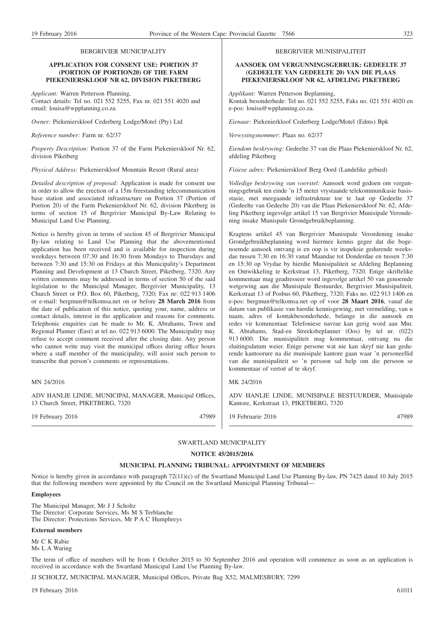#### BERGRIVIER MUNICIPALITY

#### **APPLICATION FOR CONSENT USE: PORTION 37 (PORTION OF PORTION20) OF THE FARM PIEKENIERSKLOOF NR 62, DIVISION PIKETBERG**

*Applicant:* Warren Petterson Planning, Contact details: Tel no. 021 552 5255, Fax nr. 021 551 4020 and email: louisa@wpplanning.co.za.

*Owner:* Piekenierskloof Cederberg Lodge/Motel (Pty) Ltd

*Reference number:* Farm nr. 62/37

*Property Description:* Portion 37 of the Farm Piekenierskloof Nr. 62, division Piketberg

*Physical Address:* Piekenierskloof Mountain Resort (Rural area)

*Detailed description of proposal:* Application is made for consent use in order to allow the erection of a 15m freestanding telecommunication base station and associated infrastructure on Portion 37 (Portion of Portion 20) of the Farm Piekenierskloof Nr. 62, division Piketberg in terms of section 15 of Bergrivier Municipal By-Law Relating to Municipal Land Use Planning.

Notice is hereby given in terms of section 45 of Bergrivier Municipal By-law relating to Land Use Planning that the abovementioned application has been received and is available for inspection during weekdays between 07:30 and 16:30 from Mondays to Thursdays and between 7:30 and 15:30 on Fridays at this Municipality's Department Planning and Development at 13 Church Street, Piketberg, 7320. Any written comments may be addressed in terms of section 50 of the said legislation to the Municipal Manager, Bergrivier Municipality, 13 Church Street or P.O. Box 60, Piketberg, 7320; Fax nr: 022 913 1406 or e-mail: bergmun@telkomsa.net on or before **28 March 2016** from the date of publication of this notice, quoting your, name, address or contact details, interest in the application and reasons for comments. Telephonic enquiries can be made to Mr. K. Abrahams, Town and Regional Planner (East) at tel no. 022 913 6000. The Municipality may refuse to accept comment received after the closing date. Any person who cannot write may visit the municipal offices during office hours where a staff member of the municipality, will assist such person to transcribe that person's comments or representations.

#### MN 24/2016

ADV HANLIE LINDE, MUNICIPAL MANAGER, Municipal Offices, 13 Church Street, PIKETBERG, 7320

#### BERGRIVIER MUNISIPALITEIT

#### **AANSOEK OM VERGUNNINGSGEBRUIK: GEDEELTE 37 (GEDEELTE VAN GEDEELTE 20) VAN DIE PLAAS PIEKENIERSKLOOF NR 62, AFDELING PIKETBERG**

*Applikant:* Warren Petterson Beplanning, Kontak besonderhede: Tel no. 021 552 5255, Faks no. 021 551 4020 en e-pos: louisa@wpplanning.co.za.

*Eienaar:* Piekenierkloof Cederberg Lodge/Motel (Edms) Bpk

*Verwysingsnommer:* Plaas no. 62/37

*Eiendom beskrywing:* Gedeelte 37 van die Plaas Piekenierskloof Nr. 62, afdeling Piketberg

*Fisiese adres:* Piekenierskloof Berg Oord (Landelike gebied)

*Volledige beskrywing van voorstel:* Aansoek word gedoen om vergunningsgebruik ten einde 'n 15 meter vrystaande telekommunikasie basisstasie, met meegaande infrastruktuur toe te laat op Gedeelte 37 (Gedeelte van Gedeelte 20) van die Plaas Piekenierskloof Nr. 62, Afdeling Piketberg ingevolge artikel 15 van Bergrivier Munisipale Verondening insake Munispale Grondgebruikbeplanning.

Kragtens artikel 45 van Bergrivier Munisipale Verordening insake Grondgebruikbeplanning word hiermee kennis gegee dat die bogenoemde aansoek ontvang is en oop is vir inspeksie gedurende weeksdae tussen 7:30 en 16:30 vanaf Maandae tot Donderdae en tussen 7:30 en 15:30 op Vrydae by hierdie Munisipaliteit se Afdeling Beplanning en Ontwikkeling te Kerkstraat 13, Piketberg, 7320. Enige skriftelike kommentaar mag geadresseer word ingevolge artikel 50 van genoemde wetgewing aan die Munisipale Bestuurder, Bergrivier Munisipaliteit, Kerkstraat 13 of Posbus 60, Piketberg, 7320; Faks no. 022 913 1406 en e-pos: bergmun@telkomsa.net op of voor **28 Maart 2016**, vanaf die datum van publikasie van hierdie kennisgewing, met vermelding, van u naam, adres of kontakbesonderhede, belange in die aansoek en redes vir kommentaar. Telefoniese navrae kan gerig word aan Mnr. K. Abrahams, Stad-en Streeksbeplanner (Oos) by tel nr. (022) 913 6000. Die munisipaliteit mag kommentaar, ontvang na die sluitingsdatum weier. Enige persone wat nie kan skryf nie kan gedurende kantoorure na die munisipale kantore gaan waar 'n personeellid van die munisipaliteit so 'n persoon sal help om die persoon se kommentaar of vertoë af te skryf.

#### MK 24/2016

ADV HANLIE LINDE, MUNISIPALE BESTUURDER, Munisipale Kantore, Kerkstraat 13, PIKETBERG, 7320

19 Februarie 2016 47989

19 February 2016 47989

SWARTLAND MUNICIPALITY

### **NOTICE 45/2015/2016**

#### **MUNICIPAL PLANNING TRIBUNAL: APPOINTMENT OF MEMBERS**

Notice is hereby given in accordance with paragraph 72(11)(c) of the Swartland Municipal Land Use Planning By-law, PN 7425 dated 10 July 2015 that the following members were appointed by the Council on the Swartland Municipal Planning Tribunal—

#### **Employees**

The Municipal Manager, Mr J J Scholtz The Director: Corporate Services, Ms M S Terblanche The Director: Protections Services, Mr P A C Humphreys

#### **External members**

Mr C K Rabie Ms L A Waring

The term of office of members will be from 1 October 2015 to 30 September 2016 and operation will commence as soon as an application is received in accordance with the Swartland Municipal Land Use Planning By-law.

JJ SCHOLTZ, MUNICIPAL MANAGER, Municipal Offices, Private Bag X52, MALMESBURY, 7299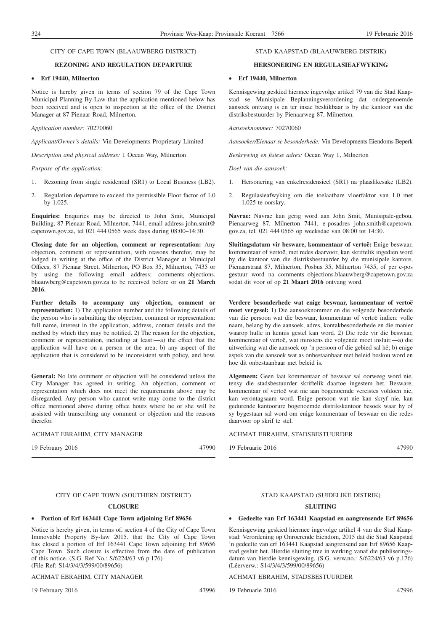#### CITY OF CAPE TOWN (BLAAUWBERG DISTRICT)

#### **REZONING AND REGULATION DEPARTURE**

#### • **Erf 19440, Milnerton**

Notice is hereby given in terms of section 79 of the Cape Town Municipal Planning By-Law that the application mentioned below has been received and is open to inspection at the office of the District Manager at 87 Pienaar Road, Milnerton.

#### *Application number:* 70270060

*Applicant/Owner's details:* Vin Developments Proprietary Limited

*Description and physical address:* 1 Ocean Way, Milnerton

#### *Purpose of the application:*

- 1. Rezoning from single residential (SR1) to Local Business (LB2).
- 2. Regulation departure to exceed the permissible Floor factor of 1.0 by 1.025.

**Enquiries:** Enquiries may be directed to John Smit, Municipal Building, 87 Pienaar Road, Milnerton, 7441, email address john.smit@ capetown.gov.za, tel 021 444 0565 week days during 08:00–14:30.

**Closing date for an objection, comment or representation:** Any objection, comment or representation, with reasons therefor, may be lodged in writing at the office of the District Manager at Municipal Offices, 87 Pienaar Street, Milnerton, PO Box 35, Milnerton, 7435 or by using the following email address: comments\_objections. blaauwberg@capetown.gov.za to be received before or on **21 March 2016**.

**Further details to accompany any objection, comment or representation:** 1) The application number and the following details of the person who is submitting the objection, comment or representation: full name, interest in the application, address, contact details and the method by which they may be notified. 2) The reason for the objection, comment or representation, including at least:—a) the effect that the application will have on a person or the area; b) any aspect of the application that is considered to be inconsistent with policy, and how.

**General:** No late comment or objection will be considered unless the City Manager has agreed in writing. An objection, comment or representation which does not meet the requirements above may be disregarded. Any person who cannot write may come to the district office mentioned above during office hours where he or she will be assisted with transcribing any comment or objection and the reasons therefor.

ACHMAT EBRAHIM, CITY MANAGER

19 February 2016 47990

#### CITY OF CAPE TOWN (SOUTHERN DISTRICT)

#### **CLOSURE**

#### • **Portion of Erf 163441 Cape Town adjoining Erf 89656**

Notice is hereby given, in terms of, section 4 of the City of Cape Town Immovable Property By-law 2015. that the City of Cape Town has closed a portion of Erf 163441 Cape Town adjoining Erf 89656 Cape Town. Such closure is effective from the date of publication of this notice. (S.G. Ref No.: S/6224/63 v6 p.176) (File Ref: S14/3/4/3/599/00/89656)

#### ACHMAT EBRAHIM, CITY MANAGER

19 February 2016 47996

#### STAD KAAPSTAD (BLAAUWBERG-DISTRIK)

#### **HERSONERING EN REGULASIEAFWYKING**

#### • **Erf 19440, Milnerton**

Kennisgewing geskied hiermee ingevolge artikel 79 van die Stad Kaapstad se Munisipale Beplanningsverordening dat ondergenoemde aansoek ontvang is en ter insae beskikbaar is by die kantoor van die distriksbestuurder by Pienaarweg 87, Milnerton.

*Aansoeknommer:* 70270060

*Aansoeker/Eienaar se besonderhede:* Vin Developments Eiendoms Beperk

*Beskrywing en fisiese adres:* Ocean Way 1, Milnerton

*Doel van die aansoek:*

- 1. Hersonering van enkelresidensieel (SR1) na plaaslikesake (LB2).
- 2. Regulasieafwyking om die toelaatbare vloerfaktor van 1.0 met 1.025 te oorskry.

**Navrae:** Navrae kan gerig word aan John Smit, Munisipale-gebou, Pienaarweg 87, Milnerton 7441, e-posadres john.smith@capetown. gov.za, tel. 021 444 0565 op weeksdae van 08:00 tot 14:30.

**Sluitingsdatum vir besware, kommentaar of vertoë:** Enige beswaar, kommentaar of vertoë, met redes daarvoor, kan skriftelik ingedien word by die kantoor van die distriksbestuurder by die munisipale kantore, Pienaarstraat 87, Milnerton, Posbus 35, Milnerton 7435, of per e-pos gestuur word na comments\_objections.blaauwberg@capetown.gov.za sodat dit voor of op **21 Maart 2016** ontvang word.

**Verdere besonderhede wat enige beswaar, kommentaar of vertoë moet vergesel:** 1) Die aansoeknommer en die volgende besonderhede van die persoon wat die beswaar, kommentaar of vertoë indien: volle naam, belang by die aansoek, adres, kontakbesonderhede en die manier waarop hulle in kennis gestel kan word. 2) Die rede vir die beswaar, kommentaar of vertoë, wat minstens die volgende moet insluit:—a) die uitwerking wat die aansoek op 'n persoon of die gebied sal hê; b) enige aspek van die aansoek wat as onbestaanbaar met beleid beskou word en hoe dit onbestaanbaar met beleid is.

**Algemeen:** Geen laat kommentaar of beswaar sal oorweeg word nie, tensy die stadsbestuurder skriftelik daartoe ingestem het. Besware, kommentaar of vertoë wat nie aan bogenoemde vereistes voldoen nie, kan verontagsaam word. Enige persoon wat nie kan skryf nie, kan gedurende kantoorure bogenoemde distrikskantoor besoek waar hy of sy bygestaan sal word om enige kommentaar of beswaar en die redes daarvoor op skrif te stel.

#### ACHMAT EBRAHIM, STADSBESTUURDER

19 Februarie 2016 47990

#### STAD KAAPSTAD (SUIDELIKE DISTRIK)

#### **SLUITING**

#### • **Gedeelte van Erf 163441 Kaapstad en aangrensende Erf 89656**

Kennisgewing geskied hiermee ingevolge artikel 4 van die Stad Kaapstad: Verordening op Onroerende Eiendom, 2015 dat die Stad Kaapstad 'n gedeelte van erf 163441 Kaapstad aangrensend aan Erf 89656 Kaapstad gesluit het. Hierdie sluiting tree in werking vanaf die publiseringsdatum van hierdie kennisgewing. (S.G. verw.no.: S/6224/63 v6 p.176) (Lêerverw.: S14/3/4/3/599/00/89656)

ACHMAT EBRAHIM, STADSBESTUURDER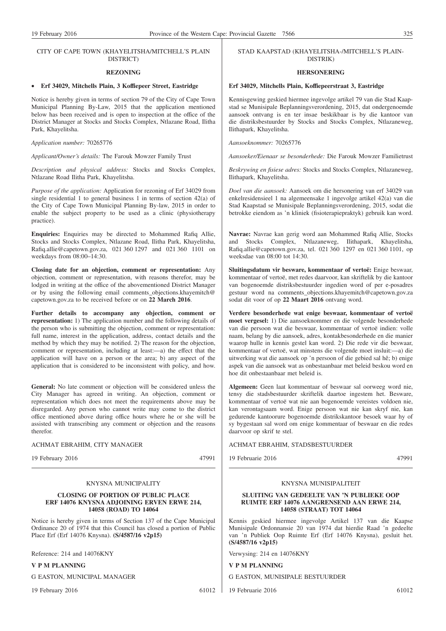#### CITY OF CAPE TOWN (KHAYELITSHA/MITCHELL'S PLAIN DISTRICT)

#### **REZONING**

#### • **Erf 34029, Mitchells Plain, 3 Koffiepeer Street, Eastridge**

Notice is hereby given in terms of section 79 of the City of Cape Town Municipal Planning By-Law, 2015 that the application mentioned below has been received and is open to inspection at the office of the District Manager at Stocks and Stocks Complex, Ntlazane Road, Ilitha Park, Khayelitsha.

*Application number:* 70265776

*Applicant/Owner's details:* The Farouk Mowzer Family Trust

*Description and physical address:* Stocks and Stocks Complex, Ntlazane Road Ilitha Park, Khayelitsha.

*Purpose of the application:* Application for rezoning of Erf 34029 from single residential 1 to general business 1 in terms of section 42(a) of the City of Cape Town Municipal Planning By-law, 2015 in order to enable the subject property to be used as a clinic (physiotherapy practice).

**Enquiries:** Enquiries may be directed to Mohammed Rafiq Allie, Stocks and Stocks Complex, Ntlazane Road, Ilitha Park, Khayelitsha, Rafiq.allie@capetown.gov.za, 021 360 1297 and 021 360 1101 on weekdays from 08:00–14:30.

**Closing date for an objection, comment or representation:** Any objection, comment or representation, with reasons therefor, may be lodged in writing at the office of the abovementioned District Manager or by using the following email comments objections.khayemitch@ capetown.gov.za to be received before or on **22 March 2016**.

**Further details to accompany any objection, comment or representation:** 1) The application number and the following details of the person who is submitting the objection, comment or representation: full name, interest in the application, address, contact details and the method by which they may be notified. 2) The reason for the objection, comment or representation, including at least:—a) the effect that the application will have on a person or the area; b) any aspect of the application that is considered to be inconsistent with policy, and how.

**General:** No late comment or objection will be considered unless the City Manager has agreed in writing. An objection, comment or representation which does not meet the requirements above may be disregarded. Any person who cannot write may come to the district office mentioned above during office hours where he or she will be assisted with transcribing any comment or objection and the reasons therefor.

#### ACHMAT EBRAHIM, CITY MANAGER

19 February 2016 47991

#### KNYSNA MUNICIPALITY

#### **CLOSING OF PORTION OF PUBLIC PLACE ERF 14076 KNYSNA ADJOINING ERVEN ERWE 214, 14058 (ROAD) TO 14064**

Notice is hereby given in terms of Section 137 of the Cape Municipal Ordinance 20 of 1974 that this Council has closed a portion of Public Place Erf (Erf 14076 Knysna). **(S/4587/16 v2p15)**

Reference: 214 and 14076KNY

#### **V P M PLANNING**

G EASTON, MUNICIPAL MANAGER

19 February 2016 61012

#### STAD KAAPSTAD (KHAYELITSHA-/MITCHELL'S PLAIN-DISTRIK)

#### **HERSONERING**

#### **Erf 34029, Mitchells Plain, Koffiepeerstraat 3, Eastridge**

Kennisgewing geskied hiermee ingevolge artikel 79 van die Stad Kaapstad se Munisipale Beplanningsverordening, 2015, dat ondergenoemde aansoek ontvang is en ter insae beskikbaar is by die kantoor van die distriksbestuurder by Stocks and Stocks Complex, Ntlazaneweg, Ilithapark, Khayelitsha.

*Aansoeknommer:* 70265776

*Aansoeker/Eienaar se besonderhede:* Die Farouk Mowzer Familietrust

*Beskrywing en fisiese adres:* Stocks and Stocks Complex, Ntlazaneweg, Ilithapark, Khayelitsha.

*Doel van die aansoek:* Aansoek om die hersonering van erf 34029 van enkelresidensieel 1 na algemeensake 1 ingevolge artikel 42(a) van die Stad Kaapstad se Munisipale Beplanningsverordening, 2015, sodat die betrokke eiendom as 'n kliniek (fisioterapiepraktyk) gebruik kan word.

**Navrae:** Navrae kan gerig word aan Mohammed Rafiq Allie, Stocks and Stocks Complex, Ntlazaneweg, Ilithapark, Khayelitsha, Rafiq.allie@capetown.gov.za, tel. 021 360 1297 en 021 360 1101, op weeksdae van 08:00 tot 14:30.

**Sluitingsdatum vir besware, kommentaar of vertoë:** Enige beswaar, kommentaar of vertoë, met redes daarvoor, kan skriftelik by die kantoor van bogenoemde distriksbestuurder ingedien word of per e-posadres gestuur word na comments objections.khayemitch@capetown.gov.za sodat dit voor of op **22 Maart 2016** ontvang word.

**Verdere besonderhede wat enige beswaar, kommentaar of vertoë moet vergesel:** 1) Die aansoeknommer en die volgende besonderhede van die persoon wat die beswaar, kommentaar of vertoë indien: volle naam, belang by die aansoek, adres, kontakbesonderhede en die manier waarop hulle in kennis gestel kan word. 2) Die rede vir die beswaar, kommentaar of vertoë, wat minstens die volgende moet insluit:—a) die uitwerking wat die aansoek op 'n persoon of die gebied sal hê; b) enige aspek van die aansoek wat as onbestaanbaar met beleid beskou word en hoe dit onbestaanbaar met beleid is.

**Algemeen:** Geen laat kommentaar of beswaar sal oorweeg word nie, tensy die stadsbestuurder skriftelik daartoe ingestem het. Besware, kommentaar of vertoë wat nie aan bogenoemde vereistes voldoen nie, kan verontagsaam word. Enige persoon wat nie kan skryf nie, kan gedurende kantoorure bogenoemde distrikskantoor besoek waar hy of sy bygestaan sal word om enige kommentaar of beswaar en die redes daarvoor op skrif te stel.

ACHMAT EBRAHIM, STADSBESTUURDER

19 Februarie 2016 47991

#### KNYSNA MUNISIPALITEIT

#### **SLUITING VAN GEDEELTE VAN 'N PUBLIEKE OOP RUIMTE ERF 14076 AANGRENSEND AAN ERWE 214, 14058 (STRAAT) TOT 14064**

Kennis geskied hiermee ingevolge Artikel 137 van die Kaapse Munisipale Ordonnansie 20 van 1974 dat hierdie Raad 'n gedeelte van 'n Publiek Oop Ruimte Erf (Erf 14076 Knysna), gesluit het. **(S/4587/16 v2p15)**

Verwysing: 214 en 14076KNY

**V P M PLANNING**

G EASTON, MUNISIPALE BESTUURDER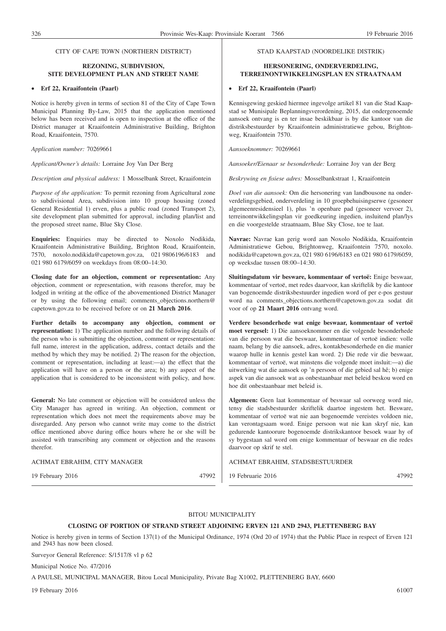#### CITY OF CAPE TOWN (NORTHERN DISTRICT)

## **REZONING, SUBDIVISION, SITE DEVELOPMENT PLAN AND STREET NAME**

#### • **Erf 22, Kraaifontein (Paarl)**

Notice is hereby given in terms of section 81 of the City of Cape Town Municipal Planning By-Law, 2015 that the application mentioned below has been received and is open to inspection at the office of the District manager at Kraaifontein Administrative Building, Brighton Road, Kraaifontein, 7570.

*Application number:* 70269661

*Applicant/Owner's details:* Lorraine Joy Van Der Berg

*Description and physical address:* 1 Mosselbank Street, Kraaifontein

*Purpose of the application:* To permit rezoning from Agricultural zone to subdivisional Area, subdivision into 10 group housing (zoned General Residential 1) erven, plus a public road (zoned Transport 2), site development plan submitted for approval, including plan/list and the proposed street name, Blue Sky Close.

**Enquiries:** Enquiries may be directed to Noxolo Nodikida, Kraaifontein Administrative Building, Brighton Road, Kraaifontein, 7570, noxolo.nodikida@capetown.gov.za, 021 9806196/6183 and 021 980 6179/6059 on weekdays from 08:00–14:30.

**Closing date for an objection, comment or representation:** Any objection, comment or representation, with reasons therefor, may be lodged in writing at the office of the abovementioned District Manager or by using the following email; comments objections.northern@ capetown.gov.za to be received before or on **21 March 2016**.

**Further details to accompany any objection, comment or representation:** 1) The application number and the following details of the person who is submitting the objection, comment or representation: full name, interest in the application, address, contact details and the method by which they may be notified. 2) The reason for the objection, comment or representation, including at least:—a) the effect that the application will have on a person or the area; b) any aspect of the application that is considered to be inconsistent with policy, and how.

**General:** No late comment or objection will be considered unless the City Manager has agreed in writing. An objection, comment or representation which does not meet the requirements above may be disregarded. Any person who cannot write may come to the district office mentioned above during office hours where he or she will be assisted with transcribing any comment or objection and the reasons therefor.

ACHMAT EBRAHIM, CITY MANAGER

19 February 2016 47992

#### STAD KAAPSTAD (NOORDELIKE DISTRIK)

#### **HERSONERING, ONDERVERDELING, TERREINONTWIKKELINGSPLAN EN STRAATNAAM**

#### • **Erf 22, Kraaifontein (Paarl)**

Kennisgewing geskied hiermee ingevolge artikel 81 van die Stad Kaapstad se Munisipale Beplanningsverordening, 2015, dat ondergenoemde aansoek ontvang is en ter insae beskikbaar is by die kantoor van die distriksbestuurder by Kraaifontein administratiewe gebou, Brightonweg, Kraaifontein 7570.

*Aansoeknommer:* 70269661

*Aansoeker/Eienaar se besonderhede:* Lorraine Joy van der Berg

*Beskrywing en fisiese adres:* Mosselbankstraat 1, Kraaifontein

*Doel van die aansoek:* Om die hersonering van landbousone na onderverdelingsgebied, onderverdeling in 10 groepbehuisingserwe (gesoneer algemeenresidensieel 1), plus 'n openbare pad (gesoneer vervoer 2), terreinontwikkelingsplan vir goedkeuring ingedien, insluitend plan/lys en die voorgestelde straatnaam, Blue Sky Close, toe te laat.

**Navrae:** Navrae kan gerig word aan Noxolo Nodikida, Kraaifontein Administratiewe Gebou, Brightonweg, Kraaifontein 7570, noxolo. nodikida@capetown.gov.za, 021 980 6196/6183 en 021 980 6179/6059, op weeksdae tussen 08:00–14:30.

**Sluitingsdatum vir besware, kommentaar of vertoë:** Enige beswaar, kommentaar of vertoë, met redes daarvoor, kan skriftelik by die kantoor van bogenoemde distriksbestuurder ingedien word of per e-pos gestuur word na comments objections.northern@capetown.gov.za sodat dit voor of op **21 Maart 2016** ontvang word.

**Verdere besonderhede wat enige beswaar, kommentaar of vertoë moet vergesel:** 1) Die aansoeknommer en die volgende besonderhede van die persoon wat die beswaar, kommentaar of vertoë indien: volle naam, belang by die aansoek, adres, kontakbesonderhede en die manier waarop hulle in kennis gestel kan word. 2) Die rede vir die beswaar, kommentaar of vertoë, wat minstens die volgende moet insluit:—a) die uitwerking wat die aansoek op 'n persoon of die gebied sal hê; b) enige aspek van die aansoek wat as onbestaanbaar met beleid beskou word en hoe dit onbestaanbaar met beleid is.

**Algemeen:** Geen laat kommentaar of beswaar sal oorweeg word nie, tensy die stadsbestuurder skriftelik daartoe ingestem het. Besware, kommentaar of vertoë wat nie aan bogenoemde vereistes voldoen nie, kan verontagsaam word. Enige persoon wat nie kan skryf nie, kan gedurende kantoorure bogenoemde distrikskantoor besoek waar hy of sy bygestaan sal word om enige kommentaar of beswaar en die redes daarvoor op skrif te stel.

ACHMAT EBRAHIM, STADSBESTUURDER

19 Februarie 2016 47992

#### BITOU MUNICIPALITY

#### **CLOSING OF PORTION OF STRAND STREET ADJOINING ERVEN 121 AND 2943, PLETTENBERG BAY**

Notice is hereby given in terms of Section 137(1) of the Municipal Ordinance, 1974 (Ord 20 of 1974) that the Public Place in respect of Erven 121 and 2943 has now been closed.

Surveyor General Reference: S/1517/8 vl p 62

Municipal Notice No. 47/2016

A PAULSE, MUNICIPAL MANAGER, Bitou Local Municipality, Private Bag X1002, PLETTENBERG BAY, 6600

19 February 2016 61007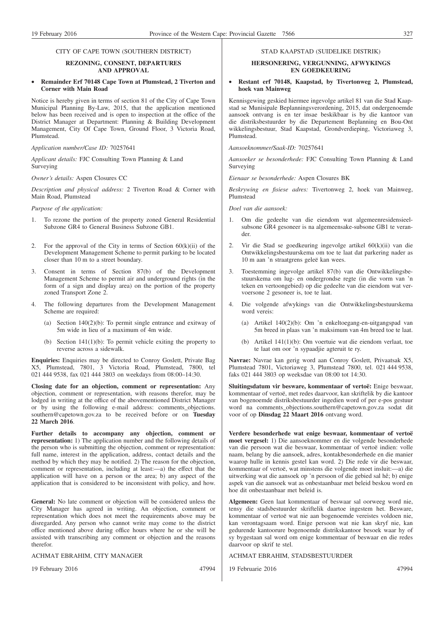#### CITY OF CAPE TOWN (SOUTHERN DISTRICT)

#### **REZONING, CONSENT, DEPARTURES AND APPROVAL**

#### • **Remainder Erf 70148 Cape Town at Plumstead, 2 Tiverton and Corner with Main Road**

Notice is hereby given in terms of section 81 of the City of Cape Town Municipal Planning By-Law, 2015, that the application mentioned below has been received and is open to inspection at the office of the District Manager at Department: Planning & Building Development Management, City Of Cape Town, Ground Floor, 3 Victoria Road, Plumstead.

*Application number/Case ID:* 70257641

*Applicant details:* FJC Consulting Town Planning & Land Surveying

*Owner's details:* Aspen Closures CC

*Description and physical address:* 2 Tiverton Road & Corner with Main Road, Plumstead

*Purpose of the application:*

- 1. To rezone the portion of the property zoned General Residential Subzone GR4 to General Business Subzone GB1.
- 2. For the approval of the City in terms of Section  $60(k)(ii)$  of the Development Management Scheme to permit parking to be located closer than 10 m to a street boundary.
- 3. Consent in terms of Section 87(b) of the Development Management Scheme to permit air and underground rights (in the form of a sign and display area) on the portion of the property zoned Transport Zone 2.
- 4. The following departures from the Development Management Scheme are required:
	- (a) Section 140(2)(b): To permit single entrance and exitway of 5m wide in lieu of a maximum of 4m wide.
	- (b) Section 141(1)(b): To permit vehicle exiting the property to reverse across a sidewalk.

**Enquiries:** Enquiries may be directed to Conroy Goslett, Private Bag X5, Plumstead, 7801, 3 Victoria Road, Plumstead, 7800, tel 021 444 9538, fax 021 444 3803 on weekdays from 08:00–14:30.

**Closing date for an objection, comment or representation:** Any objection, comment or representation, with reasons therefor, may be lodged in writing at the office of the abovementioned District Manager or by using the following e-mail address: comments\_objections. southern@capetown.gov.za to be received before or on **Tuesday 22 March 2016**.

**Further details to accompany any objection, comment or representation:** 1) The application number and the following details of the person who is submitting the objection, comment or representation: full name, interest in the application, address, contact details and the method by which they may be notified. 2) The reason for the objection, comment or representation, including at least:—a) the effect that the application will have on a person or the area; b) any aspect of the application that is considered to be inconsistent with policy, and how.

**General:** No late comment or objection will be considered unless the City Manager has agreed in writing. An objection, comment or representation which does not meet the requirements above may be disregarded. Any person who cannot write may come to the district office mentioned above during office hours where he or she will be assisted with transcribing any comment or objection and the reasons therefor.

ACHMAT EBRAHIM, CITY MANAGER

19 February 2016 47994

#### STAD KAAPSTAD (SUIDELIKE DISTRIK)

#### **HERSONERING, VERGUNNING, AFWYKINGS EN GOEDKEURING**

#### • **Restant erf 70148, Kaapstad, by Tivertonweg 2, Plumstead, hoek van Mainweg**

Kennisgewing geskied hiermee ingevolge artikel 81 van die Stad Kaapstad se Munisipale Beplanningsverordening, 2015, dat ondergenoemde aansoek ontvang is en ter insae beskikbaar is by die kantoor van die distriksbestuurder by die Departement Beplanning en Bou-Ont wikkelingsbestuur, Stad Kaapstad, Grondverdieping, Victoriaweg 3, Plumstead.

*Aansoeknommer/Saak-ID:* 70257641

*Aansoeker se besonderhede:* FJC Consulting Town Planning & Land Surveying

*Eienaar se besonderhede:* Aspen Closures BK

*Beskrywing en fisiese adres:* Tivertonweg 2, hoek van Mainweg, Plumstead

*Doel van die aansoek:*

- 1. Om die gedeelte van die eiendom wat algemeenresidensieelsubsone GR4 gesoneer is na algemeensake-subsone GB1 te verander.
- 2. Vir die Stad se goedkeuring ingevolge artikel 60(k)(ii) van die Ontwikkelingsbestuurskema om toe te laat dat parkering nader as 10 m aan 'n straatgrens geleë kan wees.
- 3. Toestemming ingevolge artikel 87(b) van die Ontwikkelingsbestuurskema om lug- en ondergrondse regte (in die vorm van 'n teken en vertoongebied) op die gedeelte van die eiendom wat vervoersone 2 gesoneer is, toe te laat.
- 4. Die volgende afwykings van die Ontwikkelingsbestuurskema word vereis:
	- (a) Artikel 140(2)(b): Om 'n enkeltoegang-en-uitgangspad van 5m breed in plaas van 'n maksimum van 4m breed toe te laat.
	- (b) Artikel 141(1)(b): Om voertuie wat die eiendom verlaat, toe te laat om oor 'n sypaadjie agteruit te ry.

**Navrae:** Navrae kan gerig word aan Conroy Goslett, Privaatsak X5, Plumstead 7801, Victoriaweg 3, Plumstead 7800, tel. 021 444 9538, faks 021 444 3803 op weeksdae van 08:00 tot 14:30.

**Sluitingsdatum vir besware, kommentaar of vertoë:** Enige beswaar, kommentaar of vertoë, met redes daarvoor, kan skriftelik by die kantoor van bogenoemde distriksbestuurder ingedien word of per e-pos gestuur word na comments\_objections.southern@capetown.gov.za sodat dit voor of op **Dinsdag 22 Maart 2016** ontvang word.

**Verdere besonderhede wat enige beswaar, kommentaar of vertoë moet vergesel:** 1) Die aansoeknommer en die volgende besonderhede van die persoon wat die beswaar, kommentaar of vertoë indien: volle naam, belang by die aansoek, adres, kontakbesonderhede en die manier waarop hulle in kennis gestel kan word. 2) Die rede vir die beswaar, kommentaar of vertoë, wat minstens die volgende moet insluit:—a) die uitwerking wat die aansoek op 'n persoon of die gebied sal hê; b) enige aspek van die aansoek wat as onbestaanbaar met beleid beskou word en hoe dit onbestaanbaar met beleid is.

**Algemeen:** Geen laat kommentaar of beswaar sal oorweeg word nie, tensy die stadsbestuurder skriftelik daartoe ingestem het. Besware, kommentaar of vertoë wat nie aan bogenoemde vereistes voldoen nie, kan verontagsaam word. Enige persoon wat nie kan skryf nie, kan gedurende kantoorure bogenoemde distrikskantoor besoek waar hy of sy bygestaan sal word om enige kommentaar of beswaar en die redes daarvoor op skrif te stel.

ACHMAT EBRAHIM, STADSBESTUURDER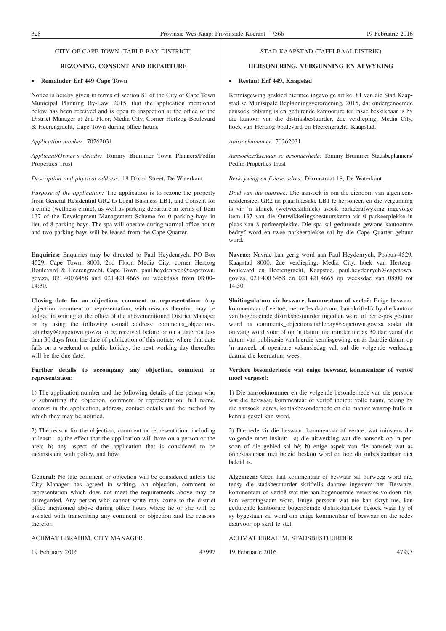#### **REZONING, CONSENT AND DEPARTURE**

#### • **Remainder Erf 449 Cape Town**

Notice is hereby given in terms of section 81 of the City of Cape Town Municipal Planning By-Law, 2015, that the application mentioned below has been received and is open to inspection at the office of the District Manager at 2nd Floor, Media City, Corner Hertzog Boulevard & Heerengracht, Cape Town during office hours.

*Application number:* 70262031

*Applicant/Owner's details:* Tommy Brummer Town Planners/Pedfin Properties Trust

*Description and physical address:* 18 Dixon Street, De Waterkant

*Purpose of the application:* The application is to rezone the property from General Residential GR2 to Local Business LB1, and Consent for a clinic (wellness clinic), as well as parking departure in terms of Item 137 of the Development Management Scheme for 0 parking bays in lieu of 8 parking bays. The spa will operate during normal office hours and two parking bays will be leased from the Cape Quarter.

**Enquiries:** Enquiries may be directed to Paul Heydenrych, PO Box 4529, Cape Town, 8000, 2nd Floor, Media City, corner Hertzog Boulevard & Heerengracht, Cape Town, paul.heydenrych@capetown. gov.za, 021 400 6458 and 021 421 4665 on weekdays from 08:00– 14:30.

**Closing date for an objection, comment or representation:** Any objection, comment or representation, with reasons therefor, may be lodged in writing at the office of the abovementioned District Manager or by using the following e-mail address: comments\_objections. tablebay@capetown.gov.za to be received before or on a date not less than 30 days from the date of publication of this notice; where that date falls on a weekend or public holiday, the next working day thereafter will be the due date.

#### **Further details to accompany any objection, comment or representation:**

1) The application number and the following details of the person who is submitting the objection, comment or representation: full name, interest in the application, address, contact details and the method by which they may be notified.

2) The reason for the objection, comment or representation, including at least:—a) the effect that the application will have on a person or the area; b) any aspect of the application that is considered to be inconsistent with policy, and how.

**General:** No late comment or objection will be considered unless the City Manager has agreed in writing. An objection, comment or representation which does not meet the requirements above may be disregarded. Any person who cannot write may come to the district office mentioned above during office hours where he or she will be assisted with transcribing any comment or objection and the reasons therefor.

#### ACHMAT EBRAHIM, CITY MANAGER

19 February 2016 47997

#### STAD KAAPSTAD (TAFELBAAI-DISTRIK)

#### **HERSONERING, VERGUNNING EN AFWYKING**

#### • **Restant Erf 449, Kaapstad**

Kennisgewing geskied hiermee ingevolge artikel 81 van die Stad Kaapstad se Munisipale Beplanningsverordening, 2015, dat ondergenoemde aansoek ontvang is en gedurende kantoorure ter insae beskikbaar is by die kantoor van die distriksbestuurder, 2de verdieping, Media City, hoek van Hertzog-boulevard en Heerengracht, Kaapstad.

*Aansoeknommer:* 70262031

*Aansoeker/Eienaar se besonderhede:* Tommy Brummer Stadsbeplanners/ Pedfin Properties Trust

*Beskrywing en fisiese adres:* Dixonstraat 18, De Waterkant

*Doel van die aansoek:* Die aansoek is om die eiendom van algemeenresidensieel GR2 na plaaslikesake LB1 te hersoneer, en die vergunning is vir 'n kliniek (welweeskliniek) asook parkeerafwyking ingevolge item 137 van die Ontwikkelingsbestuurskema vir 0 parkeerplekke in plaas van 8 parkeerplekke. Die spa sal gedurende gewone kantoorure bedryf word en twee parkeerplekke sal by die Cape Quarter gehuur word.

**Navrae:** Navrae kan gerig word aan Paul Heydenrych, Posbus 4529, Kaapstad 8000, 2de verdieping, Media City, hoek van Hertzogboulevard en Heerengracht, Kaapstad, paul.heydenrych@capetown. gov.za, 021 400 6458 en 021 421 4665 op weeksdae van 08:00 tot 14:30.

**Sluitingsdatum vir besware, kommentaar of vertoë:** Enige beswaar, kommentaar of vertoë, met redes daarvoor, kan skriftelik by die kantoor van bogenoemde distriksbestuurder ingedien word of per e-pos gestuur word na comments\_objections.tablebay@capetown.gov.za sodat dit ontvang word voor of op 'n datum nie minder nie as 30 dae vanaf die datum van publikasie van hierdie kennisgewing, en as daardie datum op 'n naweek of openbare vakansiedag val, sal die volgende werksdag daarna die keerdatum wees.

#### **Verdere besonderhede wat enige beswaar, kommentaar of vertoë moet vergesel:**

1) Die aansoeknommer en die volgende besonderhede van die persoon wat die beswaar, kommentaar of vertoë indien: volle naam, belang by die aansoek, adres, kontakbesonderhede en die manier waarop hulle in kennis gestel kan word.

2) Die rede vir die beswaar, kommentaar of vertoë, wat minstens die volgende moet insluit:—a) die uitwerking wat die aansoek op 'n persoon of die gebied sal hê; b) enige aspek van die aansoek wat as onbestaanbaar met beleid beskou word en hoe dit onbestaanbaar met beleid is.

**Algemeen:** Geen laat kommentaar of beswaar sal oorweeg word nie, tensy die stadsbestuurder skriftelik daartoe ingestem het. Besware, kommentaar of vertoë wat nie aan bogenoemde vereistes voldoen nie, kan verontagsaam word. Enige persoon wat nie kan skryf nie, kan gedurende kantoorure bogenoemde distrikskantoor besoek waar hy of sy bygestaan sal word om enige kommentaar of beswaar en die redes daarvoor op skrif te stel.

#### ACHMAT EBRAHIM, STADSBESTUURDER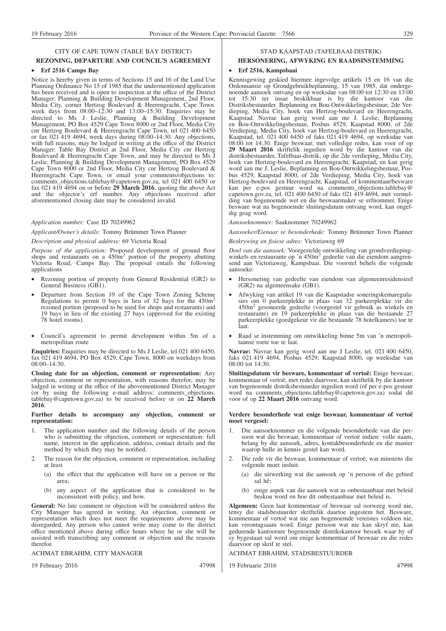#### **REZONING, DEPARTURE AND COUNCIL'S AGREEMENT**

#### • **Erf 2516 Camps Bay**

Notice is hereby given in terms of Sections 15 and 16 of the Land Use Planning Ordinance No 15 of 1985 that the undermentioned application has been received and is open to inspection at the office of the District Manager: Planning & Building Development Management, 2nd Floor, Media City, corner Hertzog Boulevard & Heerengracht, Cape Town. week days from 08:00–12:30 and 13:00–15:30. Enquiries may be directed to Ms J Leslie, Planning & Building Development Management, PO Box 4529 Cape Town 8000 or 2nd Floor, Media City cnr Hertzog Boulevard & Heerengracht Cape Town, tel 021 400 6450 or fax 021 419 4694, week days during 08:00–14:30. Any objections, with full reasons, may be lodged in writing at the office of the District Manager: Table Bay District at 2nd Floor, Media City cnr Hertzog Boulevard & Heerengracht Cape Town, and may be directed to Ms J Leslie, Planning & Building Development Management, PO Box 4529 Cape Town 8000 or 2nd Floor, Media City cnr Hertzog Boulevard & Heerengracht Cape Town, or email your comments/objections to: comments\_objections.tablebay@capetown.gov.za, tel 021 400 6450 or fax 021 419 4694 on or before **29 March 2016**, quoting the above Act and the objector's erf number. Any objections received after aforementioned closing date may be considered invalid.

*Application number:* Case ID 70249962

*Applicant/Owner's details:* Tommy Brümmer Town Planner

*Description and physical address:* 69 Victoria Road

Purpose of the application: Proposed development of ground floor shops and restaurants on a 450m<sup>2</sup> portion of the property abutting Victoria Road, Camps Bay. The proposal entails the following applications

- Rezoning portion of property from General Residential (GR2) to General Business (GB1).
- Departure from Section 19 of the Cape Town Zoning Scheme<br>Regulations to permit 0 bays in lieu of 32 bays for the 450m<sup>2</sup> rezoned portion (proposed to be used for shops and restaurants) and 19 bays in lieu of the existing 27 bays (approved for the existing 78 hotel rooms).
- Council's agreement to permit development within 5m of a metropolitan route

**Enquiries:** Enquiries may be directed to Ms J Leslie, tel 021 400 6450, fax 021 419 4694, PO Box 4529, Cape Town, 8000 on weekdays from 08:00–14:30.

**Closing date for an objection, comment or representation:** Any objection, comment or representation, with reasons therefor, may be lodged in writing at the office of the abovementioned District Manager (or by using the following e-mail address: comments\_objections. tablebay@capetown.gov.za) to be received before or on **22 March 2016**.

#### **Further details to accompany any objection, comment or representation:**

- 1. The application number and the following details of the person who is submitting the objection, comment or representation: full name, interest in the application, address, contact details and the method by which they may be notified.
- 2. The reason for the objection, comment or representation, including at least
	- (a) the effect that the application will have on a person or the area;
	- (b) any aspect of the application that is considered to be inconsistent with policy, and how.

**General:** No late comment or objection will be considered unless the City Manager has agreed in writing. An objection, comment or representation which does not meet the requirements above may be disregarded. Any person who cannot write may come to the district office mentioned above during office hours where he or she will be assisted with transcribing any comment or objection and the reasons therefor.

ACHMAT EBRAHIM, CITY MANAGER

19 February 2016 47998

### STAD KAAPSTAD (TAFELBAAI-DISTRIK)

### **HERSONERING, AFWYKING EN RAADSINSTEMMING**

#### • **Erf 2516, Kampsbaai**

Kennisgewing geskied hiermee ingevolge artikels 15 en 16 van die Ordonnansie op Grondgebruikbeplanning, 15 van 1985, dat ondergenoemde aansoek ontvang en op weeksdae van 08:00 tot 12:30 en 13:00 tot 15:30 ter insae beskikbaar is by die kantoor van die Distriksbestuurder. Beplanning en Bou-Ontwikkelingsbestuur, 2de Verdieping, Media City, hoek van Hertzog-boulevard en Heerengracht, Kaapstad. Navrae kan gerig word aan me J. Leslie, Beplanning en Bou-Ontwikkelingsbestuur, Posbus 4529, Kaapstad 8000, of 2de Verdieping, Media City, hoek van Hertzog-boulevard en Heerengracht, Kaapstad, tel. 021 400 6450 of faks 021 419 4694, op weeksdae van 08:00 tot 14:30. Enige beswaar, met volledige redes, kan voor of op **29 Maart 2016** skriftelik ingedien word by die kantoor van die distriksbestuurder, Tafelbaai-distrik, op die 2de verdieping, Media City, hoek van Hertzog-boulevard en Heerengracht, Kaapstad, en kan gerig word aan me J. Leslie, Beplanning en Bou-Ontwikkelingsbestuur, Posbus 4529, Kaapstad 8000, of 2de Verdieping, Media City, hoek van Hertzog-boulevard en Heerengracht, Kaapstad, of kommentaar/besware kan per e-pos gestuur word na comments\_objections.tablebay@ capetown.gov.za, tel. 021 400 6450 of faks 021 419 4694, met vermelding van bogenoemde wet en die beswaarmaker se erfnommer. Enige besware wat na bogenoemde sluitingsdatum ontvang word, kan ongeldig geag word.

*Aansoeknommer:* Saaknommer 70249962

*Aansoeker/Eienaar se besonderhede:* Tommy Brümmer Town Planner

#### *Beskrywing en fisiese adres:* Victoriaweg 69

*Doel van die aansoek:* Voorgestelde ontwikkeling van grondverdiepingwinkels en restaurante op 'n 450m<sup>2</sup> gedeelte van die eiendom aangrensend aan Victoriaweg, Kampsbaai. Die voorstel behels die volgende aansoeke:

- Hersonering van gedeelte van eiendom van algemeenresidensieel (GR2) na algemeensake (GB1).
- Afwyking van artikel 19 van die Kaapstadse soneringskemaregulasies om 0 parkeerplekke in plaas van 32 parkeerplekke vir die 450m2 gesoneerde gedeelte (voorgestel vir gebruik as winkels en restaurante) en 19 parkeerplekke in plaas van die bestaande 27 parkeerplekke (goedgekeur vir die bestaande 78 hotelkamers) toe te laat.
- Raad se instemming om ontwikkeling binne 5m van 'n metropolitaanse roete toe te laat.

**Navrae:** Navrae kan gerig word aan me J Leslie, tel. 021 400 6450, faks 021 419 4694, Posbus 4529, Kaapstad 8000, op weeksdae van 08:00 tot 14:30.

**Sluitingsdatum vir besware, kommentaar of vertoë:** Enige beswaar, kommentaar of vertoë, met redes daarvoor, kan skriftelik by die kantoor van bogenoemde distriksbestuurder ingedien word (of per e-pos gestuur word na comments\_objections.tablebay@capetown.gov.za) sodat dit voor of op **22 Maart 2016** ontvang word.

#### **Verdere besonderhede wat enige beswaar, kommentaar of vertoë moet vergesel:**

- 1. Die aansoeknommer en die volgende besonderhede van die persoon wat die beswaar, kommentaar of vertoë indien: volle naam, belang by die aansoek, adres, kontakbesonderhede en die manier waarop hulle in kennis gestel kan word.
- 2. Die rede vir die beswaar, kommentaar of vertoë, wat minstens die volgende moet insluit:
	- (a) die uitwerking wat die aansoek op 'n persoon of die gebied sal hê;
	- (b) enige aspek van die aansoek wat as onbestaanbaar met beleid beskou word en hoe dit onbestaanbaar met beleid is.

**Algemeen:** Geen laat kommentaar of beswaar sal oorweeg word nie, tensy die stadsbestuurder skriftelik daartoe ingestem het. Besware, kommentaar of vertoë wat nie aan bogenoemde vereistes voldoen nie, kan verontagsaam word. Enige persoon wat nie kan skryf nie, kan gedurende kantoorure bogenoemde distrikskantoor besoek waar hy of sy bygestaan sal word om enige kommentaar of beswaar en die redes daarvoor op skrif te stel.

#### ACHMAT EBRAHIM, STADSBESTUURDER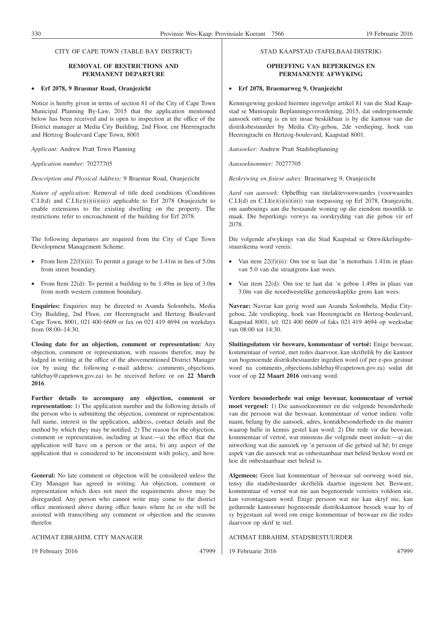#### **REMOVAL OF RESTRICTIONS AND PERMANENT DEPARTURE**

#### • **Erf 2078, 9 Braemar Road, Oranjezicht**

Notice is hereby given in terms of section 81 of the City of Cape Town Municipal Planning By-Law, 2015 that the application mentioned below has been received and is open to inspection at the office of the District manager at Media City Building, 2nd Floor, cnr Heerengracht and Hertzog Boulevard Cape Town, 8001

*Applicant:* Andrew Pratt Town Planning

*Application number:* 70277705

*Description and Physical Address:* 9 Braemar Road, Oranjezicht

*Nature of application:* Removal of title deed conditions (Conditions C.I.I(d) and C.I.I(e)(i)(ii)(iii)) applicable to Erf 2078 Oranjezicht to enable extensions to the existing dwelling on the property. The restrictions refer to encroachment of the building for Erf 2078.

The following departures are required from the City of Cape Town Development Management Scheme.

- From Item  $22(f)(iii)$ : To permit a garage to be 1.41m in lieu of 5.0m from street boundary.
- From Item 22(d): To permit a building to be 1.49m in lieu of 3.0m from north western common boundary.

**Enquiries:** Enquiries may be directed to Asanda Solombela, Media City Building, 2nd Floor, cnr Heerengracht and Hertzog Boulevard Cape Town, 8001, 021 400 6609 or fax on 021 419 4694 on weekdays from 08:00–14:30.

**Closing date for an objection, comment or representation:** Any objection, comment or representation, with reasons therefor, may be lodged in writing at the office of the abovementioned District Manager (or by using the following e-mail address: comments\_objections. tablebay@capetown.gov.za) to be received before or on **22 March 2016**.

**Further details to accompany any objection, comment or representation:** 1) The application number and the following details of the person who is submitting the objection, comment or representation: full name, interest in the application, address, contact details and the method by which they may be notified. 2) The reason for the objection, comment or representation, including at least:—a) the effect that the application will have on a person or the area; b) any aspect of the application that is considered to be inconsistent with policy, and how.

**General:** No late comment or objection will be considered unless the City Manager has agreed in writing. An objection, comment or representation which does not meet the requirements above may be disregarded. Any person who cannot write may come to the district office mentioned above during office hours where he or she will be assisted with transcribing any comment or objection and the reasons therefor.

ACHMAT EBRAHIM, CITY MANAGER

19 February 2016 47999

#### STAD KAAPSTAD (TAFELBAAI-DISTRIK)

#### **OPHEFFING VAN BEPERKINGS EN PERMANENTE AFWYKING**

#### • **Erf 2078, Braemarweg 9, Oranjezicht**

Kennisgewing geskied hiermee ingevolge artikel 81 van die Stad Kaapstad se Munisipale Beplanningsverordening, 2015, dat ondergenoemde aansoek ontvang is en ter insae beskikbaar is by die kantoor van die distriksbestuurder by Media City-gebou, 2de verdieping, hoek van Heerengracht en Hertzog-boulevard, Kaapstad 8001.

*Aansoeker:* Andrew Pratt Stadsbeplanning

*Aansoeknommer:* 70277705

*Beskrywing en fisiese adres:* Braemarweg 9, Oranjezicht

*Aard van aansoek:* Opheffing van titelaktevoorwaardes (voorwaardes C.I.I(d) en C.I.I(e)(i)(ii)(iii)) van toepassing op Erf 2078, Oranjezicht, om aanbouings aan die bestaande woning op die eiendom moontlik te maak. Die beperkings verwys na oorskryding van die gebou vir erf 2078.

Die volgende afwykings van die Stad Kaapstad se Ontwikkelingsbestuurskema word vereis:

- Van item  $22(f)(iii)$ : Om toe te laat dat 'n motorhuis 1.41m in plaas van 5.0 van die straatgrens kan wees.
- Van item 22(d): Om toe te laat dat 'n gebou 1.49m in plaas van 3.0m van die noordwestelike gemeenskaplike grens kan wees.

**Navrae:** Navrae kan gerig word aan Asanda Solombela, Media Citygebou, 2de verdieping, hoek van Heerengracht en Hertzog-boulevard, Kaapstad 8001, tel. 021 400 6609 of faks 021 419 4694 op weeksdae van 08:00 tot 14:30.

**Sluitingsdatum vir besware, kommentaar of vertoë:** Enige beswaar, kommentaar of vertoë, met redes daarvoor, kan skriftelik by die kantoor van bogenoemde distriksbestuurder ingedien word (of per e-pos gestuur word na comments\_objections.tablebay@capetown.gov.za) sodat dit voor of op **22 Maart 2016** ontvang word.

**Verdere besonderhede wat enige beswaar, kommentaar of vertoë moet vergesel:** 1) Die aansoeknommer en die volgende besonderhede van die persoon wat die beswaar, kommentaar of vertoë indien: volle naam, belang by die aansoek, adres, kontakbesonderhede en die manier waarop hulle in kennis gestel kan word. 2) Die rede vir die beswaar, kommentaar of vertoë, wat minstens die volgende moet insluit:—a) die uitwerking wat die aansoek op 'n persoon of die gebied sal hê; b) enige aspek van die aansoek wat as onbestaanbaar met beleid beskou word en hoe dit onbestaanbaar met beleid is.

**Algemeen:** Geen laat kommentaar of beswaar sal oorweeg word nie, tensy die stadsbestuurder skriftelik daartoe ingestem het. Besware, kommentaar of vertoë wat nie aan bogenoemde vereistes voldoen nie, kan verontagsaam word. Enige persoon wat nie kan skryf nie, kan gedurende kantoorure bogenoemde distrikskantoor besoek waar hy of sy bygestaan sal word om enige kommentaar of beswaar en die redes daarvoor op skrif te stel.

ACHMAT EBRAHIM, STADSBESTUURDER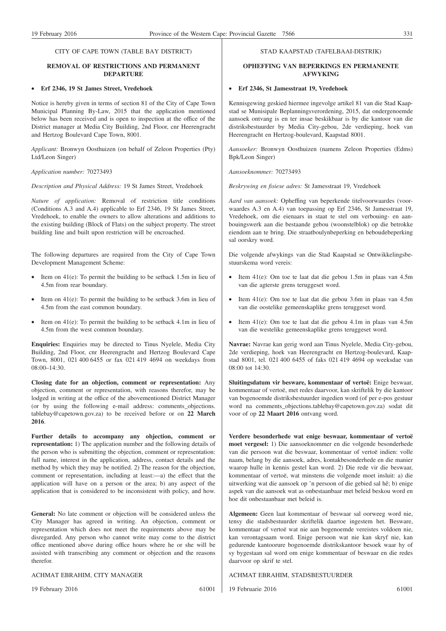#### **REMOVAL OF RESTRICTIONS AND PERMANENT DEPARTURE**

#### • **Erf 2346, 19 St James Street, Vredehoek**

Notice is hereby given in terms of section 81 of the City of Cape Town Municipal Planning By-Law, 2015 that the application mentioned below has been received and is open to inspection at the office of the District manager at Media City Building, 2nd Floor, cnr Heerengracht and Hertzog Boulevard Cape Town, 8001.

*Applicant:* Bronwyn Oosthuizen (on behalf of Zeleon Properties (Pty) Ltd/Leon Singer)

*Application number:* 70273493

*Description and Physical Address:* 19 St James Street, Vredehoek

*Nature of application:* Removal of restriction title conditions (Conditions A.3 and A.4) applicable to Erf 2346, 19 St James Street, Vredehoek, to enable the owners to allow alterations and additions to the existing building (Block of Flats) on the subject property. The street building line and built upon restriction will be encroached.

The following departures are required from the City of Cape Town Development Management Scheme:

- Item on  $41(e)$ : To permit the building to be setback 1.5m in lieu of 4.5m from rear boundary.
- Item on  $41(e)$ : To permit the building to be setback 3.6m in lieu of 4.5m from the east common boundary.
- Item on  $41(e)$ : To permit the building to be setback  $4.1m$  in lieu of 4.5m from the west common boundary.

**Enquiries:** Enquiries may be directed to Tinus Nyelele, Media City Building, 2nd Floor, cnr Heerengracht and Hertzog Boulevard Cape Town, 8001, 021 400 6455 or fax 021 419 4694 on weekdays from 08:00–14:30.

**Closing date for an objection, comment or representation:** Any objection, comment or representation, with reasons therefor, may be lodged in writing at the office of the abovementioned District Manager (or by using the following e-mail address: comments\_objections. tablebay@capetown.gov.za) to be received before or on **22 March 2016**.

**Further details to accompany any objection, comment or representation:** 1) The application number and the following details of the person who is submitting the objection, comment or representation: full name, interest in the application, address, contact details and the method by which they may be notified. 2) The reason for the objection, comment or representation, including at least:—a) the effect that the application will have on a person or the area; b) any aspect of the application that is considered to be inconsistent with policy, and how.

**General:** No late comment or objection will be considered unless the City Manager has agreed in writing. An objection, comment or representation which does not meet the requirements above may be disregarded. Any person who cannot write may come to the district office mentioned above during office hours where he or she will be assisted with transcribing any comment or objection and the reasons therefor.

ACHMAT EBRAHIM, CITY MANAGER

19 February 2016 61001

#### STAD KAAPSTAD (TAFELBAAI-DISTRIK)

#### **OPHEFFING VAN BEPERKINGS EN PERMANENTE AFWYKING**

#### • **Erf 2346, St Jamesstraat 19, Vredehoek**

Kennisgewing geskied hiermee ingevolge artikel 81 van die Stad Kaapstad se Munisipale Beplanningsverordening, 2015, dat ondergenoemde aansoek ontvang is en ter insae beskikbaar is by die kantoor van die distriksbestuurder by Media City-gebou, 2de verdieping, hoek van Heerengracht en Hertzog-boulevard, Kaapstad 8001.

*Aansoeker:* Bronwyn Oosthuizen (namens Zeleon Properties (Edms) Bpk/Leon Singer)

*Aansoeknommer:* 70273493

*Beskrywing en fisiese adres:* St Jamesstraat 19, Vredehoek

*Aard van aansoek:* Opheffing van beperkende titelvoorwaardes (voorwaardes A.3 en A.4) van toepassing op Erf 2346, St Jamesstraat 19, Vredehoek, om die eienaars in staat te stel om verbouing- en aanbouingswerk aan die bestaande gebou (woonstelblok) op die betrokke eiendom aan te bring. Die straatboulynbeperking en beboudebeperking sal oorskry word.

Die volgende afwykings van die Stad Kaapstad se Ontwikkelingsbestuurskema word vereis:

- Item 41(e): Om toe te laat dat die gebou 1.5m in plaas van 4.5m van die agterste grens teruggeset word.
- Item 41(e): Om toe te laat dat die gebou 3.6m in plaas van 4.5m van die oostelike gemeenskaplike grens teruggeset word.
- Item 41(e): Om toe te laat dat die gebou 4.1m in plaas van 4.5m van die westelike gemeenskaplike grens teruggeset word.

**Navrae:** Navrae kan gerig word aan Tinus Nyelele, Media City-gebou, 2de verdieping, hoek van Heerengracht en Hertzog-boulevard, Kaapstad 8001, tel. 021 400 6455 of faks 021 419 4694 op weeksdae van 08:00 tot 14:30.

**Sluitingsdatum vir besware, kommentaar of vertoë:** Enige beswaar, kommentaar of vertoë, met redes daarvoor, kan skriftelik by die kantoor van bogenoemde distriksbestuurder ingedien word (of per e-pos gestuur word na comments\_objections.tablebay@capetown.gov.za) sodat dit voor of op **22 Maart 2016** ontvang word.

**Verdere besonderhede wat enige beswaar, kommentaar of vertoë moet vergesel:** 1) Die aansoeknommer en die volgende besonderhede van die persoon wat die beswaar, kommentaar of vertoë indien: volle naam, belang by die aansoek, adres, kontakbesonderhede en die manier waarop hulle in kennis gestel kan word. 2) Die rede vir die beswaar, kommentaar of vertoë, wat minstens die volgende moet insluit: a) die uitwerking wat die aansoek op 'n persoon of die gebied sal hê; b) enige aspek van die aansoek wat as onbestaanbaar met beleid beskou word en hoe dit onbestaanbaar met beleid is.

**Algemeen:** Geen laat kommentaar of beswaar sal oorweeg word nie, tensy die stadsbestuurder skriftelik daartoe ingestem het. Besware, kommentaar of vertoë wat nie aan bogenoemde vereistes voldoen nie, kan verontagsaam word. Enige persoon wat nie kan skryf nie, kan gedurende kantoorure bogenoemde distrikskantoor besoek waar hy of sy bygestaan sal word om enige kommentaar of beswaar en die redes daarvoor op skrif te stel.

ACHMAT EBRAHIM, STADSBESTUURDER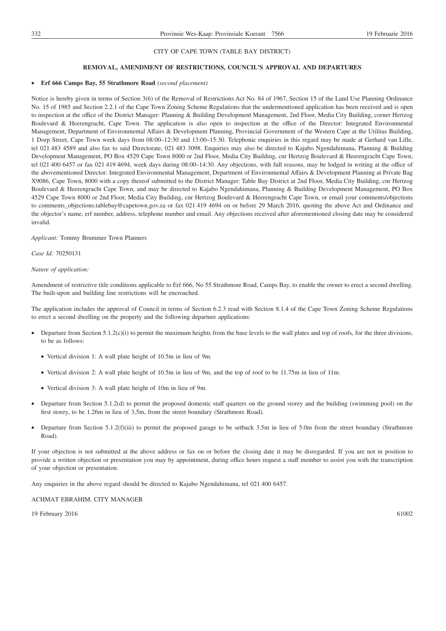#### **REMOVAL, AMENDMENT OF RESTRICTIONS, COUNCIL'S APPROVAL AND DEPARTURES**

#### • **Erf 666 Camps Bay, 55 Strathmore Road** *(second placement)*

Notice is hereby given in terms of Section 3(6) of the Removal of Restrictions Act No. 84 of 1967, Section 15 of the Land Use Planning Ordinance No. 15 of 1985 and Section 2.2.1 of the Cape Town Zoning Scheme Regulations that the undermentioned application has been received and is open to inspection at the office of the District Manager: Planning & Building Development Management, 2nd Floor, Media City Building, corner Hertzog Boulevard & Heerengracht, Cape Town. The application is also open to inspection at the office of the Director: Integrated Environmental Management, Department of Environmental Affairs & Development Planning, Provincial Government of the Western Cape at the Utilitas Building, 1 Dorp Street, Cape Town week days from 08:00–12:30 and 13:00–15:30. Telephonic enquiries in this regard may be made at Gerhard van Lille, tel 021 483 4589 and also fax to said Directorate, 021 483 3098. Enquiries may also be directed to Kajabo Ngendahimana, Planning & Building Development Management, PO Box 4529 Cape Town 8000 or 2nd Floor, Media City Building, cnr Hertzog Boulevard & Heerengracht Cape Town, tel 021 400 6457 or fax 021 419 4694, week days during 08:00–14:30. Any objections, with full reasons, may be lodged in writing at the office of the abovementioned Director: Integrated Environmental Management, Department of Environmental Affairs & Development Planning at Private Bag X9086, Cape Town, 8000 with a copy thereof submitted to the District Manager: Table Bay District at 2nd Floor, Media City Building, cnr Hertzog Boulevard & Heerengracht Cape Town, and may be directed to Kajabo Ngendahimana, Planning & Building Development Management, PO Box 4529 Cape Town 8000 or 2nd Floor, Media City Building, cnr Hertzog Boulevard & Heerengracht Cape Town, or email your comments/objections to comments\_objections.tablebay@capetown.gov.za or fax 021 419 4694 on or before 29 March 2016, quoting the above Act and Ordinance and the objector's name, erf number, address, telephone number and email. Any objections received after aforementioned closing date may be considered invalid.

*Applicant:* Tommy Brummer Town Planners

*Case Id:* 70250131

#### *Nature of application:*

Amendment of restrictive title conditions applicable to Erf 666, No 55 Strathmore Road, Camps Bay, to enable the owner to erect a second dwelling. The built-upon and building line restrictions will be encroached.

The application includes the approval of Council in terms of Section 6.2.3 read with Section 8.1.4 of the Cape Town Zoning Scheme Regulations to erect a second dwelling on the property and the following departure applications:

- Departure from Section 5.1.2(c)(i) to permit the maximum heights from the base levels to the wall plates and top of roofs, for the three divisions, to be as follows:
	- Vertical division 1: A wall plate height of 10.5m in lieu of 9m.
	- Vertical division 2: A wall plate height of 10.5m in lieu of 9m, and the top of roof to be 11.75m in lieu of 11m.
	- Vertical division 3: A wall plate height of 10m in lieu of 9m.
- Departure from Section 5.1.2(d) to permit the proposed domestic staff quarters on the ground storey and the building (swimming pool) on the first storey, to be 1.26m in lieu of 3,5m, from the street boundary (Strathmore Road).
- Departure from Section 5.1.2(f)(iii) to permit the proposed garage to be setback 3.5m in lieu of 5.0m from the street boundary (Strathmore Road).

If your objection is not submitted at the above address or fax on or before the closing date it may be disregarded. If you are not in position to provide a written objection or presentation you may by appointment, during office hours request a staff member to assist you with the transcription of your objection or presentation.

Any enquiries in the above regard should be directed to Kajabo Ngendahimana, tel 021 400 6457.

ACHMAT EBRAHIM, CITY MANAGER

19 February 2016 61002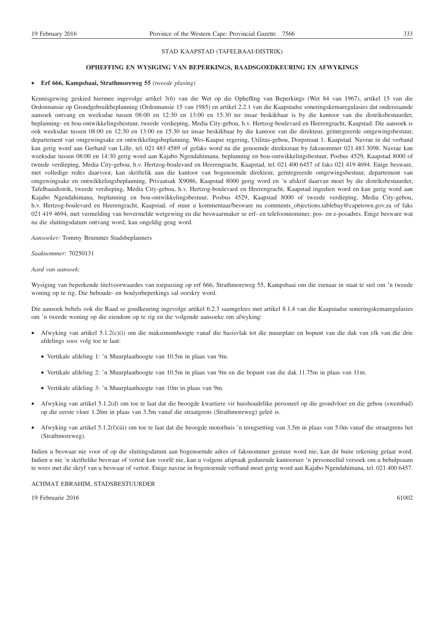#### STAD KAAPSTAD (TAFELBAAI-DISTRIK)

#### **OPHEFFING EN WYSIGING VAN BEPERKINGS, RAADSGOEDKEURING EN AFWYKINGS**

#### • **Erf 666, Kampsbaai, Strathmoreweg 55** *(tweede plasing)*

Kennisgewing geskied hiermee ingevolge artikel 3(6) van die Wet op die Opheffing van Beperkings (Wet 84 van 1967), artikel 15 van die Ordonnansie op Grondgebruikbeplanning (Ordonnansie 15 van 1985) en artikel 2.2.1 van die Kaapstadse soneringskemaregulasies dat onderstaande aansoek ontvang en weeksdae tussen 08:00 en 12:30 en 13:00 en 15:30 ter insae beskikbaar is by die kantoor van die distriksbestuurder, beplanning- en bou-ontwikkelingsbestuur, tweede verdieping, Media City-gebou, h.v. Hertzog-boulevard en Heerengracht, Kaapstad. Die aansoek is ook weeksdae tussen 08:00 en 12:30 en 13:00 en 15:30 ter insae beskikbaar by die kantoor van die direkteur, geïntegreerde omgewingsbestuur, departement van omgewingsake en ontwikkelingsbeplanning, Wes-Kaapse regering, Utilitas-gebou, Dorpstraat 1, Kaapstad. Navrae in dié verband kan gerig word aan Gerhard van Lille, tel. 021 483 4589 of gefaks word na die genoemde direktoraat by faksnommer 021 483 3098. Navrae kan weeksdae tussen 08:00 en 14:30 gerig word aan Kajabo Ngendahimana, beplanning en bou-ontwikkelingsbestuur, Posbus 4529, Kaapstad 8000 of tweede verdieping, Media City-gebou, h.v. Hertzog-boulevard en Heerengracht, Kaapstad, tel. 021 400 6457 of faks 021 419 4694. Enige besware, met volledige redes daarvoor, kan skriftelik aan die kantoor van bogenoemde direkteur, geïntegreerde omgewingsbestuur, departement van omgewingsake en ontwikkelingsbeplanning, Privaatsak X9086, Kaapstad 8000 gerig word en 'n afskrif daarvan moet by die distriksbestuurder, Tafelbaaidistrik, tweede verdieping, Media City-gebou, h.v. Hertzog-boulevard en Heerengracht, Kaapstad ingedien word en kan gerig word aan Kajabo Ngendahimana, beplanning en bou-ontwikkelingsbestuur, Posbus 4529, Kaapstad 8000 of tweede verdieping, Media City-gebou, h.v. Hertzog-boulevard en Heerengracht, Kaapstad, of stuur u kommentaar/besware na comments\_objections.tablebay@capetown.gov.za of faks 021 419 4694, met vermelding van bovermelde wetgewing en die beswaarmaker se erf- en telefoonnommer, pos- en e-posadres. Enige besware wat na die sluitingsdatum ontvang word, kan ongeldig geag word.

*Aansoeker:* Tommy Brummer Stadsbeplanners

*Saaknommer:* 70250131

#### *Aard van aansoek:*

Wysiging van beperkende titelvoorwaardes van toepassing op erf 666, Strathmoreweg 55, Kampsbaai om die eienaar in staat te stel om 'n tweede woning op te rig. Die beboude- en boulynbeperkings sal oorskry word.

Die aansoek behels ook die Raad se goedkeuring ingevolge artikel 6.2.3 saamgelees met artikel 8.1.4 van die Kaapstadse soneringskemaregulasies om 'n tweede woning op die eiendom op te rig en die volgende aansoeke om afwyking:

- Afwyking van artikel 5.1.2(c)(i) om die maksimumhoogte vanaf die basisvlak tot die muurplate en bopunt van die dak van elk van die drie afdelings soos volg toe te laat:
	- Vertikale afdeling 1: 'n Muurplaathoogte van 10.5m in plaas van 9m.
	- Vertikale afdeling 2: 'n Muurplaathoogte van 10.5m in plaas van 9m en die bopunt van die dak 11.75m in plaas van 11m.
	- Vertikale afdeling 3: 'n Muurplaathoogte van 10m in plaas van 9m.
- Afwyking van artikel 5.1.2(d) om toe te laat dat die beoogde kwartiere vir huishoudelike personeel op die grondvloer en die gebou (swembad) op die eerste vloer 1.26m in plaas van 3.5m vanaf die straatgrens (Strathmoreweg) geleë is.
- Afwyking van artikel 5.1.2(f)(iii) om toe te laat dat die beoogde motorhuis 'n terugsetting van 3.5m in plaas van 5.0m vanaf die straatgrens het (Strathmoreweg).

Indien u beswaar nie voor of op die sluitingsdatum aan bogenoemde adres of faksnommer gestuur word nie, kan dit buite rekening gelaat word. Indien u nie 'n skriftelike beswaar of vertoë kan voorlê nie, kan u volgens afspraak gedurende kantoorure 'n personeellid versoek om u behulpsaam te wees met die skryf van u beswaar of vertoë. Enige navrae in bogenoemde verband moet gerig word aan Kajabo Ngendahimana, tel. 021 400 6457.

#### ACHMAT EBRAHIM, STADSBESTUURDER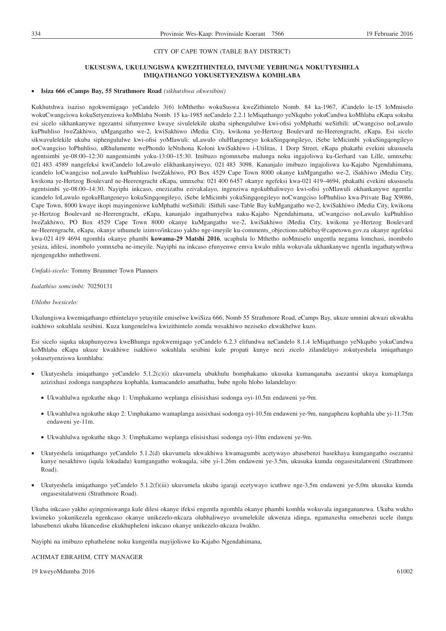#### **UKUSUSWA, UKULUNGISWA KWEZITHINTELO, IMVUME YEBHUNGA NOKUTYESHELA IMIQATHANGO YOKUSETYENZISWA KOMHLABA**

#### • **Isiza 666 eCamps Bay, 55 Strathmore Road** *(sikhutshwa okwesibini)*

Kukhutshwa isaziso ngokwemigaqo yeCandelo 3(6) loMthetho wokuSuswa kweZithintelo Nomb. 84 ka-1967, iCandelo le-15 loMmiselo wokuCwangciswa kokuSetyenziswa koMhlaba Nomb. 15 ka-1985 neCandelo 2.2.1 leMiqathango yeNkqubo yokuCandwa koMhlaba eKapa sokuba esi sicelo sikhankanywe ngezantsi sifunyenwe kwaye sivulelekile ukuba siphengululwe kwi-ofisi yoMphathi weSithili: uCwangciso noLawulo kuPhuhliso lweZakhiwo, uMgangatho we-2, kwiSakhiwo iMedia City, kwikona ye-Hertzog Boulevard ne-Heerengracht, eKapa. Esi sicelo sikwavulelekile ukuba siphengululwe kwi-ofisi yoMlawuli: uLawulo oluHlangeneyo kokuSingqongileyo, iSebe leMicimbi yokuSingqongileyo noCwangciso loPhuhliso, uRhulumente wePhondo leNtshona Koloni kwiSakhiwo i-Utilitas, 1 Dorp Street, eKapa phakathi evekini ukususela ngentsimbi ye-08:00–12:30 nangentsimbi yoku-13:00–15:30. Imibuzo ngomnxeba malunga noku ingajoliswa ku-Gerhard van Lille, umnxeba: 021 483 4589 nangefeksi kwiCandelo loLawulo elikhankanyiweyo, 021 483 3098. Kananjalo imibuzo ingajoliswa ku-Kajabo Ngendahimana, icandelo loCwangciso noLawulo kuPhuhliso lweZakhiwo, PO Box 4529 Cape Town 8000 okanye kuMgangatho we-2, iSakhiwo iMedia City, kwikona ye-Hertzog Boulevard ne-Heerengracht eKapa, umnxeba: 021 400 6457 okanye ngefeksi kwa-021 419–4694, phakathi evekini ukususela ngentsimbi ye-08:00–14:30. Nayiphi inkcaso, enezizathu ezivakalayo, ingenziwa ngokubhaliweyo kwi-ofisi yoMlawuli okhankanywe ngentla: icandelo loLawulo ngokuHlangeneyo kokuSingqongileyo, iSebe leMicimbi yokuSingqongileyo noCwangciso loPhuhliso kwa-Private Bag X9086, Cape Town, 8000 kwaye ikopi mayingeniswe kuMphathi weSithili: iSithili sase-Table Bay kuMgangatho we-2, kwiSakhiwo iMedia City, kwikona ye-Hertzog Boulevard ne-Heerengracht, eKapa, kananjalo ingathunyelwa naku-Kajabo Ngendahimana, uCwangciso noLawulo kuPhuhliso lweZakhiwo, PO Box 4529 Cape Town 8000 okanye kuMgangatho we-2, kwiSakhiwo iMedia City, kwikona ye-Hertzog Boulevard ne-Heerengracht, eKapa, okanye uthumele izimvo/inkcaso yakho nge-imeyile ku-comments\_objections.tablebay@capetown.gov.za okanye ngefeksi kwa-021 419 4694 ngomhla okanye phambi **kowama-29 Matshi 2016**, ucaphula lo Mthetho noMmiselo ungentla negama lomchasi, inombolo yesiza, idilesi, inombolo yomnxeba ne-imeyile. Nayiphi na inkcaso efunyenwe emva kwalo mhla wokuvala ukhankanywe ngentla ingathatywthwa njengengekho mthethweni.

*Umfaki-sicelo:* Tommy Brummer Town Planners

*Isalathiso somcimbi:* 70250131

#### *Uhlobo lwesicelo:*

Ukulungiswa kwemiqathango ethintelayo yetayitile emiselwe kwiSiza 666, Nomb 55 Strathmore Road, eCamps Bay, ukuze umnini akwazi ukwakha isakhiwo sokuhlala sesibini. Kuza kungenelelwa kwizithintelo zomda wesakhiwo neziseko ekwakhelwe kuzo.

Esi sicelo siquka ukuphunyezwa kweBhunga ngokwemigaqo yeCandelo 6.2.3 elifundwa neCandelo 8.1.4 leMiqathango yeNkqubo yokuCandwa koMhlaba eKapa ukuze kwakhiwe isakhiwo sokuhlala sesibini kule propati kunye nezi zicelo zilandelayo zokutyeshela imiqathango yokusetyenziswa komhlaba:

- Ukutyeshela imiqathango yeCandelo 5.1.2(c)(i) ukuvumela ubukhulu bomphakamo ukusuka kumanqanaba asezantsi ukuya kumaplanga azizixhasi zodonga nangaphezu kophahla, kumacandelo amathathu, bube ngolu hlobo lulandelayo:
	- Ukwahlulwa ngokuthe nkqo 1: Umphakamo weplanga elisisixhasi sodonga oyi-10.5m endaweni ye-9m.
	- Ukwahlulwa ngokuthe nkqo 2: Umphakamo wamaplanga asisixhasi sodonga oyi-10.5m endaweni ye-9m, nangaphezu kophahla ube yi-11.75m endaweni ye-11m.
	- Ukwahlulwa ngokuthe nkqo 3: Umphakamo weplanga elisisixhasi sodonga oyi-10m endaweni ye-9m.
- Ukutyeshela imiqathango yeCandelo 5.1.2(d) ukuvumela ukwakhiwa kwamagumbi acetywayo abasebenzi basekhaya kumgangatho osezantsi kunye nesakhiwo (iqula lokudada) kumgangatho wokuqala, sibe yi-1.26m endaweni ye-3.5m, ukusuka kumda ongasesitalatweni (Strathmore Road).
- Ukutyeshela imiqathango yeCandelo 5.1.2(f)(iii) ukuvumela ukuba igaraji ecetywayo icuthwe nge-3,5m endaweni ye-5,0m ukusuka kumda ongasesitalatweni (Strathmore Road).

Ukuba inkcaso yakho ayingeniswanga kule dilesi okanye ifeksi engentla ngomhla okanye phambi komhla wokuvala ingangananzwa. Ukuba wukho kwimeko yokunikezela ngenkcaso okanye unikezelo-nkcaza olubhaliweyo uvumelekile ukwenza idinga, ngamaxesha omsebenzi ucele ilungu labasebenzi ukuba likuncedise ekukhupheleni inkcaso okanye unikezelo-nkcaza lwakho.

Nayiphi na imibuzo ephathelene noku kungentla mayijoliswe ku-Kajabo Ngendahimana,

#### ACHMAT EBRAHIM, CITY MANAGER

19 kweyoMdumba 2016 61002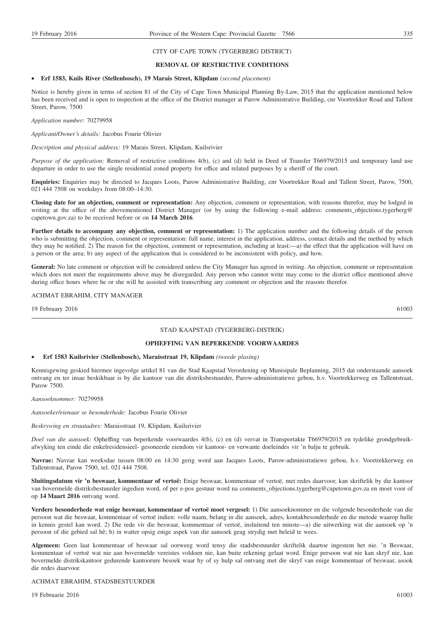#### CITY OF CAPE TOWN (TYGERBERG DISTRICT)

#### **REMOVAL OF RESTRICTIVE CONDITIONS**

#### • **Erf 1583, Kuils River (Stellenbosch), 19 Marais Street, Klipdam** *(second placement)*

Notice is hereby given in terms of section 81 of the City of Cape Town Municipal Planning By-Law, 2015 that the application mentioned below has been received and is open to inspection at the office of the District manager at Parow Administrative Building, cnr Voortrekker Road and Tallent Street, Parow, 7500

*Application number:* 70279958

#### *Applicant/Owner's details:* Jacobus Fourie Olivier

*Description and physical address:* 19 Marais Street, Klipdam, Kuilsrivier

*Purpose of the application:* Removal of restrictive conditions 4(b), (c) and (d) held in Deed of Transfer T66979/2015 and temporary land use departure in order to use the single residential zoned property for office and related purposes by a sheriff of the court.

**Enquiries:** Enquiries may be directed to Jacques Loots, Parow Administrative Building, cnr Voortrekker Road and Tallent Street, Parow, 7500, 021 444 7508 on weekdays from 08:00–14:30.

**Closing date for an objection, comment or representation:** Any objection, comment or representation, with reasons therefor, may be lodged in writing at the office of the abovementioned District Manager (or by using the following e-mail address: comments objections.tygerberg@ capetown.gov.za) to be received before or on **14 March 2016**.

Further details to accompany any objection, comment or representation: 1) The application number and the following details of the person who is submitting the objection, comment or representation: full name, interest in the application, address, contact details and the method by which they may be notified. 2) The reason for the objection, comment or representation, including at least:—a) the effect that the application will have on a person or the area; b) any aspect of the application that is considered to be inconsistent with policy, and how.

**General:** No late comment or objection will be considered unless the City Manager has agreed in writing. An objection, comment or representation which does not meet the requirements above may be disregarded. Any person who cannot write may come to the district office mentioned above during office hours where he or she will be assisted with transcribing any comment or objection and the reasons therefor.

#### ACHMAT EBRAHIM, CITY MANAGER

19 February 2016 61003

#### STAD KAAPSTAD (TYGERBERG-DISTRIK)

#### **OPHEFFING VAN BEPERKENDE VOORWAARDES**

#### • **Erf 1583 Kuilsrivier (Stellenbosch), Maraisstraat 19, Klipdam** *(tweede plasing)*

Kennisgewing geskied hiermee ingevolge artikel 81 van die Stad Kaapstad Verordening op Munisipale Beplanning, 2015 dat onderstaande aansoek ontvang en ter insae beskikbaar is by die kantoor van die distriksbestuurder, Parow-administratiewe gebou, h.v. Voortrekkerweg en Tallentstraat, Parow 7500.

#### *Aansoeknommer:* 70279958

*Aansoeker/eienaar se besonderhede:* Jacobus Fourie Olivier

*Beskrywing en straatadres:* Maraisstraat 19, Klipdam, Kuilsrivier

*Doel van die aansoek:* Opheffing van beperkende voorwaardes 4(b), (c) en (d) vervat in Transportakte T66979/2015 en tydelike grondgebruikafwyking ten einde die enkelresidensieel- gesoneerde eiendom vir kantoor- en verwante doeleindes vir 'n balju te gebruik.

**Navrae:** Navrae kan weeksdae tussen 08:00 en 14:30 gerig word aan Jacques Loots, Parow-administratiewe gebou, h.v. Voortrekkerweg en Tallentstraat, Parow 7500, tel. 021 444 7508.

**Sluitingsdatum vir 'n beswaar, kommentaar of vertoë:** Enige beswaar, kommentaar of vertoë, met redes daarvoor, kan skriftelik by die kantoor van bovermelde distriksbestuurder ingedien word, of per e-pos gestuur word na comments\_objections.tygerberg@capetown.gov.za en moet voor of op **14 Maart 2016** ontvang word.

**Verdere besonderhede wat enige beswaar, kommentaar of vertoë moet vergesel:** 1) Die aansoeknommer en die volgende besonderhede van die persoon wat die beswaar, kommentaar of vertoë indien: volle naam, belang in die aansoek, adres, kontakbesonderhede en die metode waarop hulle in kennis gestel kan word. 2) Die rede vir die beswaar, kommentaar of vertoë, insluitend ten minste—a) die uitwerking wat die aansoek op 'n persoon of die gebied sal hê; b) in watter opsig enige aspek van die aansoek geag strydig met beleid te wees.

**Algemeen:** Geen laat kommentaar of beswaar sal oorweeg word tensy die stadsbestuurder skriftelik daartoe ingestem het nie. 'n Beswaar, kommentaar of vertoë wat nie aan bovermelde vereistes voldoen nie, kan buite rekening gelaat word. Enige persoon wat nie kan skryf nie, kan bovermelde distrikskantoor gedurende kantoorure besoek waar hy of sy hulp sal ontvang met die skryf van enige kommentaar of beswaar, asook die redes daarvoor.

#### ACHMAT EBRAHIM, STADSBESTUURDER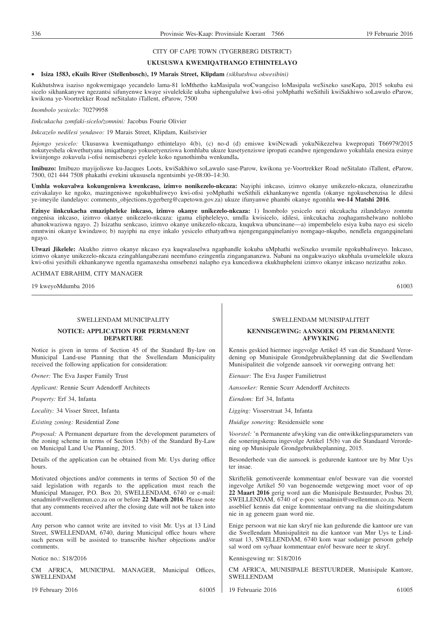#### CITY OF CAPE TOWN (TYGERBERG DISTRICT)

#### **UKUSUSWA KWEMIQATHANGO ETHINTELAYO**

#### • **Isiza 1583, eKuils River (Stellenbosch), 19 Marais Street, Klipdam** *(sikhutshwa okwesibini)*

Kukhutshwa isaziso ngokwemigaqo yecandelo lama-81 loMthetho kaMasipala woCwangciso loMasipala weSixeko saseKapa, 2015 sokuba esi sicelo sikhankanywe ngezantsi sifunyenwe kwaye sivulelekile ukuba siphengululwe kwi-ofisi yoMphathi weSithili kwiSakhiwo soLawulo eParow, kwikona ye-Voortrekker Road neSitalato iTallent, eParow, 7500

*Inombolo yesicelo:* 70279958

*Iinkcukacha zomfaki-sicelo/zomnini:* Jacobus Fourie Olivier

*Inkcazelo nedilesi yendawo:* 19 Marais Street, Klipdam, Kuilsrivier

*Injongo yesicelo:* Ukususwa kwemiqathango ethintelayo 4(b), (c) no-d (d) emiswe kwiNcwadi yokuNikezelwa kwepropati T66979/2015 nokutyeshela okwethutyana imiqathango yokusetyenziswa komhlaba ukuze kusetyenziswe ipropati ecandwe njengendawo yokuhlala enesiza esinye kwiinjongo zokuvula i-ofisi nemisebenzi eyelele koko ngunothimba wenkundla**.**

**Imibuzo:** Imibuzo mayijoliswe ku-Jacques Loots, kwiSakhiwo soLawulo sase-Parow, kwikona ye-Voortrekker Road neSitalato iTallent, eParow, 7500, 021 444 7508 phakathi evekini ukususela ngentsimbi ye-08:00–14:30.

**Umhla wokuvalwa kokungeniswa kwenkcaso, izimvo nonikezelo-nkcaza:** Nayiphi inkcaso, izimvo okanye unikezelo-nkcaza, olunezizathu ezivakalayo ke ngoko, mazingeniswe ngokubhaliweyo kwi-ofisi yoMphathi weSithili ekhankanywe ngentla (okanye ngokusebenzisa le dilesi ye-imeyile ilandelayo: comments\_objections.tygerberg@capetown.gov.za) ukuze ifunyanwe phambi okanye ngomhla **we-14 Matshi 2016**.

**Ezinye iinkcukacha emazipheleke inkcaso, izimvo okanye unikezelo-nkcaza:** 1) Inombolo yesicelo nezi nkcukacha zilandelayo zomntu ongenisa inkcaso, izimvo okanye unikezelo-nkcaza: igama elipheleleyo, umdla kwisicelo, idilesi, iinkcukacha zoqhagamshelwano nohlobo abanokwaziswa ngayo. 2) Isizathu senkcaso, izimvo okanye unikezelo-nkcaza, kuqukwa ubuncinane—a) impembelelo esiya kuba nayo esi sicelo emntwini okanye kwindawo; b) nayiphi na enye inkalo yesicelo ethatyathwa njengengangqinelaniyo nomgaqo-nkqubo, nendlela engangqinelani ngayo.

**Ulwazi Jikelele:** Akukho zimvo okanye nkcaso eya kuqwalaselwa ngaphandle kokuba uMphathi weSixeko uvumile ngokubhaliweyo. Inkcaso, izimvo okanye unikezelo-nkcaza ezingahlangabezani neemfuno ezingentla zingangananzwa. Nabani na ongakwaziyo ukubhala uvumelekile ukuza kwi-ofisi yesithili ekhankanywe ngentla ngamaxesha omsebenzi nalapho eya kuncediswa ekukhupheleni izimvo okanye inkcaso nezizathu zoko.

ACHMAT EBRAHIM, CITY MANAGER

19 kweyoMdumba 2016 61003

#### SWELLENDAM MUNICIPALITY

#### **NOTICE: APPLICATION FOR PERMANENT DEPARTURE**

Notice is given in terms of Section 45 of the Standard By-law on Municipal Land-use Planning that the Swellendam Municipality received the following application for consideration:

*Owner:* The Eva Jasper Family Trust

*Applicant:* Rennie Scurr Adendorff Architects

*Property:* Erf 34, Infanta

*Locality:* 34 Visser Street, Infanta

*Existing zoning:* Residential Zone

*Proposal:* A Permanent departure from the development parameters of the zoning scheme in terms of Section 15(b) of the Standard By-Law on Municipal Land Use Planning, 2015.

Details of the application can be obtained from Mr. Uys during office hours.

Motivated objections and/or comments in terms of Section 50 of the said legislation with regards to the application must reach the Municipal Manager, P.O. Box 20, SWELLENDAM, 6740 or e-mail: senadmin@swellenmun.co.za on or before **22 March 2016**. Please note that any comments received after the closing date will not be taken into account.

Any person who cannot write are invited to visit Mr. Uys at 13 Lind Street, SWELLENDAM, 6740, during Municipal office hours where such person will be assisted to transcribe his/her objections and/or comments.

Notice no.: S18/2016

CM AFRICA, MUNICIPAL MANAGER, Municipal Offices, SWELLENDAM

19 February 2016 61005

#### SWELLENDAM MUNISIPALITEIT

#### **KENNISGEWING: AANSOEK OM PERMANENTE AFWYKING**

Kennis geskied hiermee ingevolge Artikel 45 van die Standaard Verordening op Munisipale Grondgebruikbeplanning dat die Swellendam Munisipaliteit die volgende aansoek vir oorweging ontvang het:

*Eienaar:* The Eva Jasper Familietrust

*Aansoeker:* Rennie Scurr Adendorff Architects

*Eiendom:* Erf 34, Infanta

*Ligging:* Visserstraat 34, Infanta

*Huidige sonering:* Residensiële sone

*Voorstel:* 'n Permanente afwyking van die ontwikkelingsparameters van die soneringskema ingevolge Artikel 15(b) van die Standaard Verordening op Munisipale Grondgebruikbeplanning, 2015.

Besonderhede van die aansoek is gedurende kantoor ure by Mnr Uys ter insae.

Skriftelik gemotiveerde kommentaar en/of besware van die voorstel ingevolge Artikel 50 van bogenoemde wetgewing moet voor of op **22 Maart 2016** gerig word aan die Munisipale Bestuurder, Posbus 20, SWELLENDAM, 6740 of e-pos: senadmin@swellenmun.co.za. Neem asseblief kennis dat enige kommentaar ontvang na die sluitingsdatum nie in ag geneem gaan word nie.

Enige persoon wat nie kan skryf nie kan gedurende die kantoor ure van die Swellendam Munisipaliteit na die kantoor van Mnr Uys te Lindstraat 13, SWELLENDAM, 6740 kom waar sodanige persoon gehelp sal word om sy/haar kommentaar en/of besware neer te skryf.

Kennisgewing nr: S18/2016

CM AFRICA, MUNISIPALE BESTUURDER, Munisipale Kantore, SWELLENDAM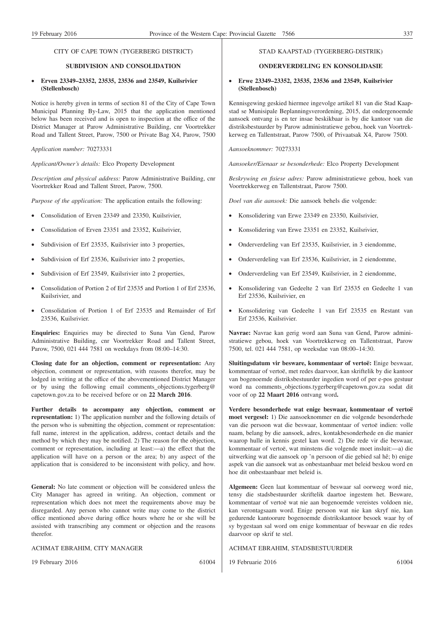#### CITY OF CAPE TOWN (TYGERBERG DISTRICT)

#### **SUBDIVISION AND CONSOLIDATION**

#### • **Erven 23349–23352, 23535, 23536 and 23549, Kuilsrivier (Stellenbosch)**

Notice is hereby given in terms of section 81 of the City of Cape Town Municipal Planning By-Law, 2015 that the application mentioned below has been received and is open to inspection at the office of the District Manager at Parow Administrative Building, cnr Voortrekker Road and Tallent Street, Parow, 7500 or Private Bag X4, Parow, 7500

*Application number:* 70273331

*Applicant/Owner's details:* Elco Property Development

*Description and physical address:* Parow Administrative Building, cnr Voortrekker Road and Tallent Street, Parow, 7500.

*Purpose of the application:* The application entails the following:

- Consolidation of Erven 23349 and 23350, Kuilsrivier,
- Consolidation of Erven 23351 and 23352, Kuilsrivier,
- Subdivision of Erf 23535, Kuilsrivier into 3 properties,
- Subdivision of Erf 23536, Kuilsrivier into 2 properties,
- Subdivision of Erf 23549, Kuilsrivier into 2 properties,
- Consolidation of Portion 2 of Erf 23535 and Portion 1 of Erf 23536, Kuilsrivier, and
- Consolidation of Portion 1 of Erf 23535 and Remainder of Erf 23536, Kuilsrivier.

**Enquiries:** Enquiries may be directed to Suna Van Gend, Parow Administrative Building, cnr Voortrekker Road and Tallent Street, Parow, 7500, 021 444 7581 on weekdays from 08:00–14:30.

**Closing date for an objection, comment or representation:** Any objection, comment or representation, with reasons therefor, may be lodged in writing at the office of the abovementioned District Manager or by using the following email comments\_objections.tygerberg@ capetown.gov.za to be received before or on **22 March 2016**.

**Further details to accompany any objection, comment or representation:** 1) The application number and the following details of the person who is submitting the objection, comment or representation: full name, interest in the application, address, contact details and the method by which they may be notified. 2) The reason for the objection, comment or representation, including at least:—a) the effect that the application will have on a person or the area; b) any aspect of the application that is considered to be inconsistent with policy, and how.

**General:** No late comment or objection will be considered unless the City Manager has agreed in writing. An objection, comment or representation which does not meet the requirements above may be disregarded. Any person who cannot write may come to the district office mentioned above during office hours where he or she will be assisted with transcribing any comment or objection and the reasons therefor.

ACHMAT EBRAHIM, CITY MANAGER

19 February 2016 61004

#### STAD KAAPSTAD (TYGERBERG-DISTRIK)

#### **ONDERVERDELING EN KONSOLIDASIE**

#### • **Erwe 23349–23352, 23535, 23536 and 23549, Kuilsrivier (Stellenbosch)**

Kennisgewing geskied hiermee ingevolge artikel 81 van die Stad Kaapstad se Munisipale Beplanningsverordening, 2015, dat ondergenoemde aansoek ontvang is en ter insae beskikbaar is by die kantoor van die distriksbestuurder by Parow administratiewe gebou, hoek van Voortrekkerweg en Tallentstraat, Parow 7500, of Privaatsak X4, Parow 7500.

*Aansoeknommer:* 70273331

*Aansoeker/Eienaar se besonderhede:* Elco Property Development

*Beskrywing en fisiese adres:* Parow administratiewe gebou, hoek van Voortrekkerweg en Tallentstraat, Parow 7500.

*Doel van die aansoek:* Die aansoek behels die volgende:

- Konsolidering van Erwe 23349 en 23350, Kuilsrivier,
- Konsolidering van Erwe 23351 en 23352, Kuilsrivier,
- Onderverdeling van Erf 23535, Kuilsrivier, in 3 eiendomme,
- Onderverdeling van Erf 23536, Kuilsrivier, in 2 eiendomme,
- Onderverdeling van Erf 23549, Kuilsrivier, in 2 eiendomme,
- Konsolidering van Gedeelte 2 van Erf 23535 en Gedeelte 1 van Erf 23536, Kuilsrivier, en
- Konsolidering van Gedeelte 1 van Erf 23535 en Restant van Erf 23536, Kuilsrivier.

**Navrae:** Navrae kan gerig word aan Suna van Gend, Parow administratiewe gebou, hoek van Voortrekkerweg en Tallentstraat, Parow 7500, tel. 021 444 7581, op weeksdae van 08:00–14:30.

**Sluitingsdatum vir besware, kommentaar of vertoë:** Enige beswaar, kommentaar of vertoë, met redes daarvoor, kan skriftelik by die kantoor van bogenoemde distriksbestuurder ingedien word of per e-pos gestuur word na comments\_objections.tygerberg@capetown.gov.za sodat dit voor of op **22 Maart 2016** ontvang word**.**

**Verdere besonderhede wat enige beswaar, kommentaar of vertoë moet vergesel:** 1) Die aansoeknommer en die volgende besonderhede van die persoon wat die beswaar, kommentaar of vertoë indien: volle naam, belang by die aansoek, adres, kontakbesonderhede en die manier waarop hulle in kennis gestel kan word. 2) Die rede vir die beswaar, kommentaar of vertoë, wat minstens die volgende moet insluit:—a) die uitwerking wat die aansoek op 'n persoon of die gebied sal hê; b) enige aspek van die aansoek wat as onbestaanbaar met beleid beskou word en hoe dit onbestaanbaar met beleid is.

**Algemeen:** Geen laat kommentaar of beswaar sal oorweeg word nie, tensy die stadsbestuurder skriftelik daartoe ingestem het. Besware, kommentaar of vertoë wat nie aan bogenoemde vereistes voldoen nie, kan verontagsaam word. Enige persoon wat nie kan skryf nie, kan gedurende kantoorure bogenoemde distrikskantoor besoek waar hy of sy bygestaan sal word om enige kommentaar of beswaar en die redes daarvoor op skrif te stel.

ACHMAT EBRAHIM, STADSBESTUURDER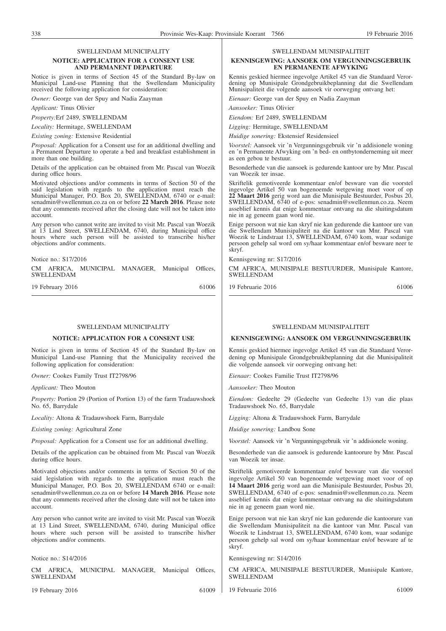### SWELLENDAM MUNICIPALITY

#### **NOTICE: APPLICATION FOR A CONSENT USE AND PERMANENT DEPARTURE**

Notice is given in terms of Section 45 of the Standard By-law on Municipal Land-use Planning that the Swellendam Municipality received the following application for consideration:

*Owner:* George van der Spuy and Nadia Zaayman

#### *Applicant:* Tinus Olivier

*Property:*Erf 2489, SWELLENDAM

*Locality:* Hermitage, SWELLENDAM

*Existing zoning:* Extensive Residential

*Proposal:* Application for a Consent use for an additional dwelling and a Permanent Departure to operate a bed and breakfast establishment in more than one building.

Details of the application can be obtained from Mr. Pascal van Woezik during office hours.

Motivated objections and/or comments in terms of Section 50 of the said legislation with regards to the application must reach the Municipal Manager, P.O. Box 20, SWELLENDAM, 6740 or e-mail: senadmin@swellenmun.co.za on or before **22 March 2016**. Please note that any comments received after the closing date will not be taken into account.

Any person who cannot write are invited to visit Mr. Pascal van Woezik at 13 Lind Street, SWELLENDAM, 6740, during Municipal office hours where such person will be assisted to transcribe his/her objections and/or comments.

Notice no.: S17/2016

CM AFRICA, MUNICIPAL MANAGER, Municipal Offices, SWELLENDAM

19 February 2016 61006

#### SWELL ENDAM MUNICIPALITY

#### **NOTICE: APPLICATION FOR A CONSENT USE**

Notice is given in terms of Section 45 of the Standard By-law on Municipal Land-use Planning that the Municipality received the following application for consideration:

*Owner:* Cookes Family Trust IT2798/96

*Applicant:* Theo Mouton

*Property:* Portion 29 (Portion of Portion 13) of the farm Tradauwshoek No. 65, Barrydale

*Locality:* Altona & Tradauwshoek Farm, Barrydale

*Existing zoning:* Agricultural Zone

*Proposal:* Application for a Consent use for an additional dwelling.

Details of the application can be obtained from Mr. Pascal van Woezik during office hours.

Motivated objections and/or comments in terms of Section 50 of the said legislation with regards to the application must reach the Municipal Manager, P.O. Box 20, SWELLENDAM 6740 or e-mail: senadmin@swellenmun.co.za on or before **14 March 2016**. Please note that any comments received after the closing date will not be taken into account.

Any person who cannot write are invited to visit Mr. Pascal van Woezik at 13 Lind Street, SWELLENDAM, 6740, during Municipal office hours where such person will be assisted to transcribe his/her objections and/or comments.

Notice no.: S14/2016

CM AFRICA, MUNICIPAL MANAGER, Municipal Offices, SWELLENDAM

19 February 2016 61009

#### SWELLENDAM MUNISIPALITEIT

#### **KENNISGEWING: AANSOEK OM VERGUNNINGSGEBRUIK EN PERMANENTE AFWYKING**

Kennis geskied hiermee ingevolge Artikel 45 van die Standaard Verordening op Munisipale Grondgebruikbeplanning dat die Swellendam Munisipaliteit die volgende aansoek vir oorweging ontvang het:

*Eienaar:* George van der Spuy en Nadia Zaayman

*Aansoeker:* Tinus Olivier

*Eiendom:* Erf 2489, SWELLENDAM

*Ligging:* Hermitage, SWELLENDAM

*Huidige sonering:* Ekstensief Residensieel

*Voorstel:* Aansoek vir 'n Vergunningsgebruik vir 'n addisionele woning en 'n Permanente Afwyking om 'n bed- en ontbytonderneming uit meer as een gebou te bestuur.

Besonderhede van die aansoek is gedurende kantoor ure by Mnr. Pascal van Woezik ter insae.

Skriftelik gemotiveerde kommentaar en/of besware van die voorstel ingevolge Artikel 50 van bogenoemde wetgewing moet voor of op **22 Maart 2016** gerig word aan die Munisipale Bestuurder, Posbus 20, SWELLENDAM, 6740 of e-pos: senadmin@swellenmun.co.za. Neem asseblief kennis dat enige kommentaar ontvang na die sluitingsdatum nie in ag geneem gaan word nie.

Enige persoon wat nie kan skryf nie kan gedurende die kantoor ure van die Swellendam Munisipaliteit na die kantoor van Mnr. Pascal van Woezik te Lindstraat 13, SWELLENDAM, 6740 kom, waar sodanige persoon gehelp sal word om sy/haar kommentaar en/of besware neer te skryf.

Kennisgewing nr: S17/2016

CM AFRICA, MUNISIPALE BESTUURDER, Munisipale Kantore, SWELLENDAM

19 Februarie 2016 61006

#### SWELL ENDAM MUNISIPAL ITEIT

#### **KENNISGEWING: AANSOEK OM VERGUNNINGSGEBRUIK**

Kennis geskied hiermee ingevolge Artikel 45 van die Standaard Verordening op Munisipale Grondgebruikbeplanning dat die Munisipaliteit die volgende aansoek vir oorweging ontvang het:

*Eienaar:* Cookes Familie Trust IT2798/96

*Aansoeker:* Theo Mouton

*Eiendom:* Gedeelte 29 (Gedeelte van Gedeelte 13) van die plaas Tradauwshoek No. 65, Barrydale

*Ligging:* Altona & Tradauwshoek Farm, Barrydale

*Huidige sonering:* Landbou Sone

*Voorstel:* Aansoek vir 'n Vergunningsgebruik vir 'n addisionele woning.

Besonderhede van die aansoek is gedurende kantoorure by Mnr. Pascal van Woezik ter insae.

Skriftelik gemotiveerde kommentaar en/of besware van die voorstel ingevolge Artikel 50 van bogenoemde wetgewing moet voor of op **14 Maart 2016** gerig word aan die Munisipale Bestuurder, Posbus 20, SWELLENDAM, 6740 of e-pos: senadmin@swellenmun.co.za. Neem asseblief kennis dat enige kommentaar ontvang na die sluitingsdatum nie in ag geneem gaan word nie.

Enige persoon wat nie kan skryf nie kan gedurende die kantoorure van die Swellendam Munisipaliteit na die kantoor van Mnr. Pascal van Woezik te Lindstraat 13, SWELLENDAM, 6740 kom, waar sodanige persoon gehelp sal word om sy/haar kommentaar en/of besware af te skryf.

Kennisgewing nr: S14/2016

CM AFRICA, MUNISIPALE BESTUURDER, Munisipale Kantore, SWELLENDAM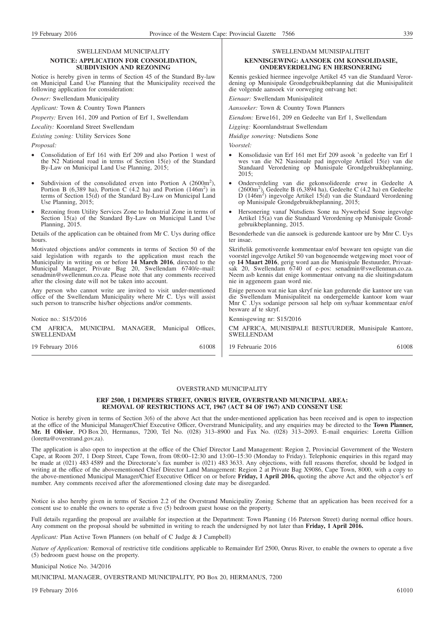## SWELLENDAM MUNICIPALITY

#### **NOTICE: APPLICATION FOR CONSOLIDATION, SUBDIVISION AND REZONING**

Notice is hereby given in terms of Section 45 of the Standard By-law on Municipal Land Use Planning that the Municipality received the following application for consideration:

*Owner:* Swellendam Municipality

*Applicant:* Town & Country Town Planners

*Property:* Erven 161, 209 and Portion of Erf 1, Swellendam

*Locality:* Koornland Street Swellendam

*Existing zoning:* Utility Services Sone

*Proposal:*

- Consolidation of Erf 161 with Erf 209 and also Portion 1 west of the N2 National road in terms of Section 15(e) of the Standard By-Law on Municipal Land Use Planning, 2015;
- Subdivision of the consolidated erven into Portion A  $(2600m^2)$ , Portion B  $(6,389 \text{ ha})$ , Portion C  $(4.2 \text{ ha})$  and Portion  $(146m^2)$  in terms of Section 15(d) of the Standard By-Law on Municipal Land Use Planning, 2015;
- Rezoning from Utility Services Zone to Industrial Zone in terms of Section 15(a) of the Standard By-Law on Municipal Land Use Planning, 2015.

Details of the application can be obtained from Mr C. Uys during office hours.

Motivated objections and/or comments in terms of Section 50 of the said legislation with regards to the application must reach the Municipality in writing on or before **14 March 2016**, directed to the Municipal Manager, Private Bag 20, Swellendam 6740/e–mail: senadmin@swellenmun.co.za. Please note that any comments received after the closing date will not be taken into account.

Any person who cannot write are invited to visit under-mentioned office of the Swellendam Municipality where Mr C. Uys will assist such person to transcribe his/her objections and/or comments.

Notice no.: S15/2016

CM AFRICA, MUNICIPAL MANAGER, Municipal Offices, SWELLENDAM

19 February 2016 61008

#### SWELLENDAM MUNISIPALITEIT **KENNISGEWING: AANSOEK OM KONSOLIDASIE, ONDERVERDELING EN HERSONERING**

Kennis geskied hiermee ingevolge Artikel 45 van die Standaard Verordening op Munisipale Grondgebruikbeplanning dat die Munisipaliteit die volgende aansoek vir oorweging ontvang het:

*Eienaar:* Swellendam Munisipaliteit

*Aansoeker:* Town & Country Town Planners

*Eiendom:* Erwe161, 209 en Gedeelte van Erf 1, Swellendam

*Ligging:* Koornlandstraat Swellendam

*Huidige sonering:* Nutsdiens Sone

*Voorstel:*

- Konsolidasie van Erf 161 met Erf 209 asook 'n gedeelte van Erf 1 wes van die N2 Nasionale pad ingevolge Artikel 15(e) van die Standaard Verordening op Munisipale Grondgebruikbeplanning, 2015;
- Onderverdeling van die gekonsolideerde erwe in Gedeelte A (2600m2 ), Gedeelte B (6,3894 ha), Gedeelte C (4.2 ha) en Gedeelte D (146m<sup>2</sup> ) ingevolge Artikel 15(d) van die Standaard Verordening op Munisipale Grondgebruikbeplanning, 2015;
- Hersonering vanaf Nutsdiens Sone na Nywerheid Sone ingevolge Artikel 15(a) van die Standaard Verordening op Munisipale Grondgebruikbeplanning, 2015.

Besonderhede van die aansoek is gedurende kantoor ure by Mnr C. Uys ter insae.

Skriftelik gemotiveerde kommentaar en/of besware ten opsigte van die voorstel ingevolge Artikel 50 van bogenoemde wetgewing moet voor of op **14 Maart 2016**, gerig word aan die Munisipale Bestuurder, Privaatsak 20, Swellendam 6740 of e-pos: senadmin@swellenmun.co.za. Neem asb kennis dat enige kommentaar ontvang na die sluitingsdatum nie in aggeneem gaan word nie.

Enige persoon wat nie kan skryf nie kan gedurende die kantoor ure van die Swellendam Munisipaliteit na ondergemelde kantoor kom waar Mnr C .Uys sodanige persoon sal help om sy/haar kommentaar en/of besware af te skryf.

Kennisgewing nr: S15/2016

CM AFRICA, MUNISIPALE BESTUURDER, Munisipale Kantore, **SWELLENDAM** 

19 Februarie 2016 61008

#### OVERSTRAND MUNICIPALITY

#### **ERF 2500, 1 DEMPERS STREET, ONRUS RIVER, OVERSTRAND MUNICIPAL AREA: REMOVAL OF RESTRICTIONS ACT, 1967 (ACT 84 OF 1967) AND CONSENT USE**

Notice is hereby given in terms of Section 3(6) of the above Act that the under-mentioned application has been received and is open to inspection at the office of the Municipal Manager/Chief Executive Officer, Overstrand Municipality, and any enquiries may be directed to the **Town Planner, Mr. H Olivier**, PO Box 20, Hermanus, 7200, Tel No. (028) 313–8900 and Fax No. (028) 313–2093. E-mail enquiries: Loretta Gillion (loretta@overstrand.gov.za).

The application is also open to inspection at the office of the Chief Director Land Management: Region 2, Provincial Government of the Western Cape, at Room 207, 1 Dorp Street, Cape Town, from 08:00–12:30 and 13:00–15:30 (Monday to Friday). Telephonic enquiries in this regard may be made at (021) 483 4589 and the Directorate's fax number is (021) 483 3633. Any objections, with full reasons therefor, should be lodged in writing at the office of the abovementioned Chief Director Land Management: Region 2 at Private Bag X9086, Cape Town, 8000, with a copy to the above-mentioned Municipal Manager/Chief Executive Officer on or before **Friday, 1 April 2016,** quoting the above Act and the objector's erf number. Any comments received after the aforementioned closing date may be disregarded.

Notice is also hereby given in terms of Section 2.2 of the Overstrand Municipality Zoning Scheme that an application has been received for a consent use to enable the owners to operate a five (5) bedroom guest house on the property.

Full details regarding the proposal are available for inspection at the Department: Town Planning (16 Paterson Street) during normal office hours. Any comment on the proposal should be submitted in writing to reach the undersigned by not later than **Friday, 1 April 2016.**

*Applicant:* Plan Active Town Planners (on behalf of C Judge & J Campbell)

*Nature of Application:* Removal of restrictive title conditions applicable to Remainder Erf 2500, Onrus River, to enable the owners to operate a five (5) bedroom guest house on the property.

Municipal Notice No. 34/2016

MUNICIPAL MANAGER, OVERSTRAND MUNICIPALITY, PO Box 20, HERMANUS, 7200

19 February 2016 61010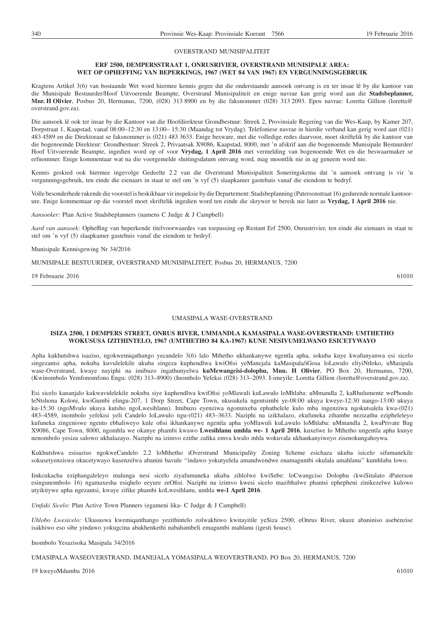#### OVERSTRAND MUNISIPALITEIT

#### **ERF 2500, DEMPERSSTRAAT 1, ONRUSRIVIER, OVERSTRAND MUNISIPALE AREA: WET OP OPHEFFING VAN BEPERKINGS, 1967 (WET 84 VAN 1967) EN VERGUNNINGSGEBRUIK**

Kragtens Artikel 3(6) van bostaande Wet word hiermee kennis gegee dat die onderstaande aansoek ontvang is en ter insae lê by die kantoor van die Munisipale Bestuurder/Hoof Uitvoerende Beampte, Overstrand Munisipaliteit en enige navrae kan gerig word aan die **Stadsbeplanner, Mnr. H Olivier**, Posbus 20, Hermanus, 7200, (028) 313 8900 en by die faksnommer (028) 313 2093. Epos navrae: Loretta Gillion (loretta@ overstrand.gov.za).

Die aansoek lê ook ter insae by die Kantoor van die Hoofdirekteur Grondbestuur: Streek 2, Provinsiale Regering van die Wes-Kaap, by Kamer 207, Dorpstraat 1, Kaapstad, vanaf 08:00–12:30 en 13:00– 15:30 (Maandag tot Vrydag). Telefoniese navrae in hierdie verband kan gerig word aan (021) 483 4589 en die Direktoraat se faksnommer is (021) 483 3633. Enige besware, met die volledige redes daarvoor, moet skriftelik by die kantoor van die bogenoemde Direkteur: Grondbestuur: Streek 2, Privaatsak X9086, Kaapstad, 8000, met 'n afskrif aan die bogenoemde Munisipale Bestuurder/ Hoof Uitvoerende Beampte, ingedien word op of voor **Vrydag, 1 April 2016** met vermelding van bogenoemde Wet en die beswaarmaker se erfnommer. Enige kommentaar wat na die voorgemelde sluitingsdatum ontvang word, mag moontlik nie in ag geneem word nie.

Kennis geskied ook hiermee ingevolge Gedeelte 2.2 van die Overstrand Munisipaliteit Soneringskema dat 'n aansoek ontvang is vir 'n vergunningsgebruik, ten einde die eienaars in staat te stel om 'n vyf (5) slaapkamer gastehuis vanaf die eiendom te bedryf.

Volle besonderhede rakende die voorstel is beskikbaar vir inspeksie by die Departement: Stadsbeplanning (Patersonstraat 16) gedurende normale kantoorure. Enige kommentaar op die voorstel moet skriftelik ingedien word ten einde die skrywer te bereik nie later as **Vrydag, 1 April 2016** nie.

*Aansoeker:* Plan Active Stadsbeplanners (namens C Judge & J Campbell)

*Aard van aansoek:* Opheffing van beperkende titelvoorwaardes van toepassing op Restant Erf 2500, Onrustrivier, ten einde die eienaars in staat te stel om 'n vyf (5) slaapkamer gastehuis vanaf die eiendom te bedryf.

#### Munisipale Kennisgewing Nr 34/2016

MUNISIPALE BESTUURDER, OVERSTRAND MUNISIPALITEIT, Posbus 20, HERMANUS, 7200

19 Februarie 2016 61010

#### UMASIPALA WASE-OVERSTRAND

#### **ISIZA 2500, 1 DEMPERS STREET, ONRUS RIVER, UMMANDLA KAMASIPALA WASE-OVERSTRAND: UMTHETHO WOKUSUSA IZITHINTELO, 1967 (UMTHETHO 84 KA-1967) KUNE NESIVUMELWANO ESICETYWAYO**

Apha kukhutshwa isaziso, ngokwemiqathango yecandelo 3(6) lalo Mthetho ukhankanywe ngentla apha, sokuba kuye kwafunyanwa esi sicelo singezantsi apha, nokuba kuvulelekile ukuba singeza kuphendlwa kwiOfisi yeManejala kaMasipala/iGosa loLawulo eliyiNtloko, uMasipala wase-Overstrand, kwaye nayiphi na imibuzo ingathunyelwa **kuMcwangcisi-dolophu, Mnu. H Olivier**, PO Box 20, Hermanus, 7200, (Kwinombolo Yemfonomfono Engu: (028) 313–8900) (Inombolo Yefeksi (028) 313–2093. I-imeyile: Loretta Gillion (loretta@overstrand.gov.za).

Esi sicelo kananjalo kukwavulelekile nokuba siye kuphendlwa kwiOfisi yoMlawuli kuLawulo loMhlaba: uMmandla 2, kaRhulumente wePhondo leNtshona Koloni, kwiGumbi elingu-207, 1 Dorp Street, Cape Town, ukusukela ngentsimbi ye-08:00 ukuya kweye-12:30 nango-13:00 ukuya ku-15:30 (ngoMvulo ukuya kutsho ngoLwesihlanu). Imibuzo eyenziwa ngomnxeba ephathelele kulo mba ingenziwa ngokutsalela kwa-(021) 483–4589, inombolo yefekisi yeli Candelo loLawulo ngu-(021) 483–3633. Naziphi na izikhalazo, ekufuneka zihambe nezizathu ezipheleleyo kufuneka zingeniswe ngento ebhaliweyo kule ofisi ikhankanywe ngentla apha yoMlawuli kuLawulo loMhlaba: uMmandla 2, kwaPrivate Bag X9086, Cape Town, 8000, ngomhla we okanye phambi kwawo **Lwesihlanu umhla we- 1 April 2016**, kuxelwe lo Mthetho ungentla apha kunye nenombolo yesiza salowo ukhalazayo. Naziphi na izimvo ezithe zafika emva kwalo mhla wokuvala ukhankanyiweyo zisenokungahoywa.

Kukhutshwa esisaziso ngokweCandelo 2.2 loMthetho iOverstrand Municipality Zoning Scheme esichaza ukuba isicelo sifumanekile sokusetyenziswa okucetywayo kusenzelwa abanini bavule ''indawo yokutyelela amandwendwe enamagumbi okulala amahlanu'' kumhlaba lowo.

Iinkcukacha eziphangaleleyo malunga nesi sicelo ziyafumaneka ukuba zihlolwe kwiSebe: loCwangciso Dolophu (kwiSitalato iPaterson esingunombolo 16) ngamaxesha esiqhelo eeyure zeOfisi. Naziphi na izimvo kwesi sicelo mazibhalwe phantsi ephepheni zinikezelwe kulowo utyikitywe apha ngezantsi, kwaye zifike phambi koLwesihlanu, umhla **we-1 April 2016**.

*Umfaki Sicelo:* Plan Active Town Planners (egameni lika- C Judge & J Campbell)

*Uhlobo Lwesicelo:* Ukususwa kwemiqanthango yezithintelo zolwakhiwo kwitayitile yeSiza 2500, eOnrus River, ukuze abaniniso asebenzise isakhiwo eso sibe yindawo yokugcina abakhenkethi nabahambeli emagumbi mahlanu (igesti house).

Inombolo Yesazisoka Masipala 34/2016

UMASIPALA WASEOVERSTRAND, IMANEJALA YOMASIPALA WEOVERSTRAND, PO Box 20, HERMANUS, 7200

19 kweyoMdumba 2016 61010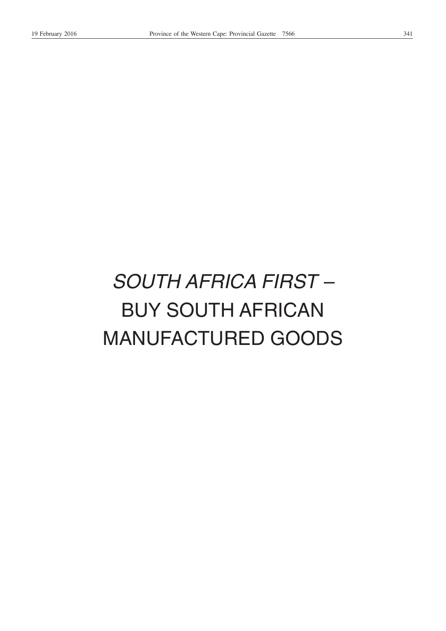# *SOUTH AFRICA FIRST –* BUY SOUTH AFRICAN MANUFACTURED GOODS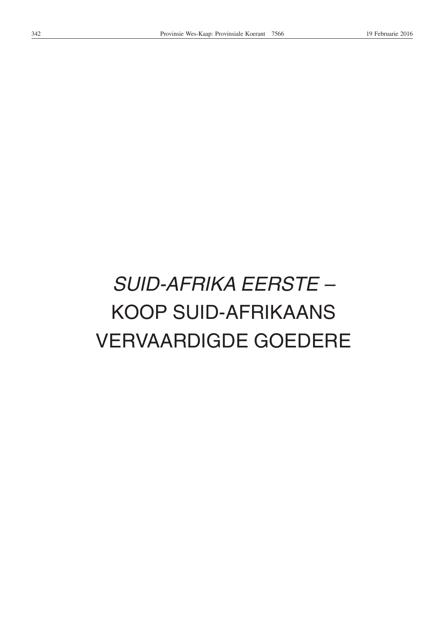# *SUID-AFRIKA EERSTE –* KOOP SUID-AFRIKAANS VERVAARDIGDE GOEDERE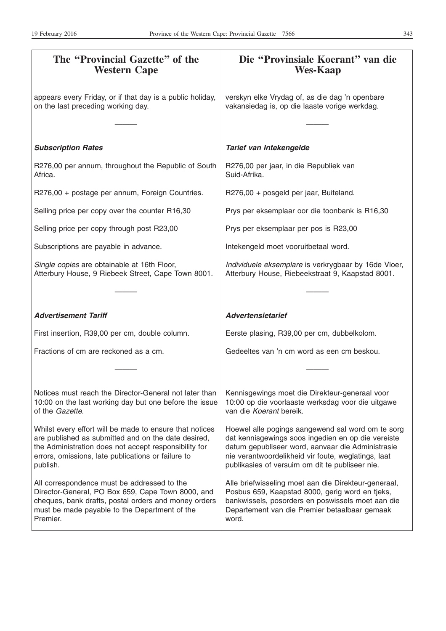| The "Provincial Gazette" of the<br><b>Western Cape</b>                                                                                                                                                                                    | Die "Provinsiale Koerant" van die<br><b>Wes-Kaap</b>                                                                                                                                                                                                                   |
|-------------------------------------------------------------------------------------------------------------------------------------------------------------------------------------------------------------------------------------------|------------------------------------------------------------------------------------------------------------------------------------------------------------------------------------------------------------------------------------------------------------------------|
| appears every Friday, or if that day is a public holiday,<br>on the last preceding working day.                                                                                                                                           | verskyn elke Vrydag of, as die dag 'n openbare<br>vakansiedag is, op die laaste vorige werkdag.                                                                                                                                                                        |
| <b>Subscription Rates</b>                                                                                                                                                                                                                 | Tarief van Intekengelde                                                                                                                                                                                                                                                |
| R276,00 per annum, throughout the Republic of South<br>Africa.                                                                                                                                                                            | R276,00 per jaar, in die Republiek van<br>Suid-Afrika.                                                                                                                                                                                                                 |
| R276,00 + postage per annum, Foreign Countries.                                                                                                                                                                                           | R276,00 + posgeld per jaar, Buiteland.                                                                                                                                                                                                                                 |
| Selling price per copy over the counter R16,30                                                                                                                                                                                            | Prys per eksemplaar oor die toonbank is R16,30                                                                                                                                                                                                                         |
| Selling price per copy through post R23,00                                                                                                                                                                                                | Prys per eksemplaar per pos is R23,00                                                                                                                                                                                                                                  |
| Subscriptions are payable in advance.                                                                                                                                                                                                     | Intekengeld moet vooruitbetaal word.                                                                                                                                                                                                                                   |
| Single copies are obtainable at 16th Floor,<br>Atterbury House, 9 Riebeek Street, Cape Town 8001.                                                                                                                                         | Individuele eksemplare is verkrygbaar by 16de Vloer,<br>Atterbury House, Riebeekstraat 9, Kaapstad 8001.                                                                                                                                                               |
|                                                                                                                                                                                                                                           |                                                                                                                                                                                                                                                                        |
| <b>Advertisement Tariff</b>                                                                                                                                                                                                               | <b>Advertensietarief</b>                                                                                                                                                                                                                                               |
| First insertion, R39,00 per cm, double column.                                                                                                                                                                                            | Eerste plasing, R39,00 per cm, dubbelkolom.                                                                                                                                                                                                                            |
| Fractions of cm are reckoned as a cm.                                                                                                                                                                                                     | Gedeeltes van 'n cm word as een cm beskou.                                                                                                                                                                                                                             |
|                                                                                                                                                                                                                                           |                                                                                                                                                                                                                                                                        |
| Notices must reach the Director-General not later than<br>10:00 on the last working day but one before the issue<br>of the Gazette.                                                                                                       | Kennisgewings moet die Direkteur-generaal voor<br>10:00 op die voorlaaste werksdag voor die uitgawe<br>van die Koerant bereik.                                                                                                                                         |
| Whilst every effort will be made to ensure that notices<br>are published as submitted and on the date desired,<br>the Administration does not accept responsibility for<br>errors, omissions, late publications or failure to<br>publish. | Hoewel alle pogings aangewend sal word om te sorg<br>dat kennisgewings soos ingedien en op die vereiste<br>datum gepubliseer word, aanvaar die Administrasie<br>nie verantwoordelikheid vir foute, weglatings, laat<br>publikasies of versuim om dit te publiseer nie. |
| All correspondence must be addressed to the<br>Director-General, PO Box 659, Cape Town 8000, and<br>cheques, bank drafts, postal orders and money orders<br>must be made payable to the Department of the<br>Premier.                     | Alle briefwisseling moet aan die Direkteur-generaal,<br>Posbus 659, Kaapstad 8000, gerig word en tjeks,<br>bankwissels, posorders en poswissels moet aan die<br>Departement van die Premier betaalbaar gemaak<br>word.                                                 |